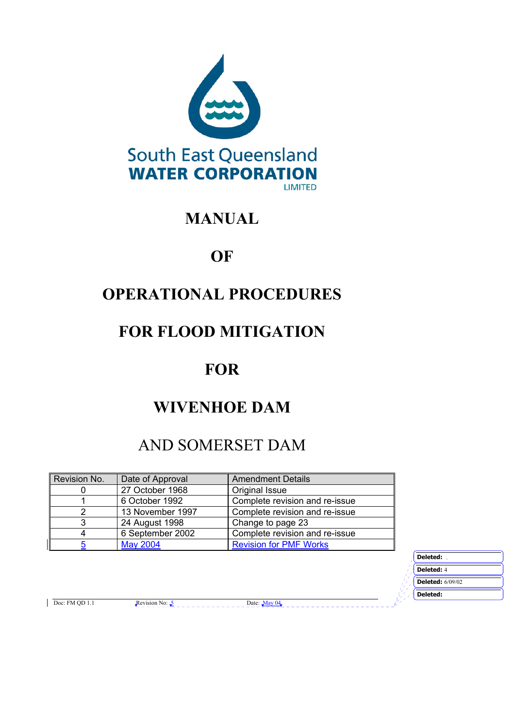

# **MANUAL**

# **OF**

# **OPERATIONAL PROCEDURES**

# **FOR FLOOD MITIGATION**

# **FOR**

# **WIVENHOE DAM**

# AND SOMERSET DAM

| Revision No. | Date of Approval | <b>Amendment Details</b>       |
|--------------|------------------|--------------------------------|
|              | 27 October 1968  | Original Issue                 |
|              | 6 October 1992   | Complete revision and re-issue |
|              | 13 November 1997 | Complete revision and re-issue |
|              | 24 August 1998   | Change to page 23              |
|              | 6 September 2002 | Complete revision and re-issue |
|              | <b>May 2004</b>  | <b>Revision for PMF Works</b>  |

**Deleted: Deleted:** 4 **Deleted:** 6/09/02 **Deleted:** 

Doc: FM QD 1.1 Revision No: 5 Date: May 04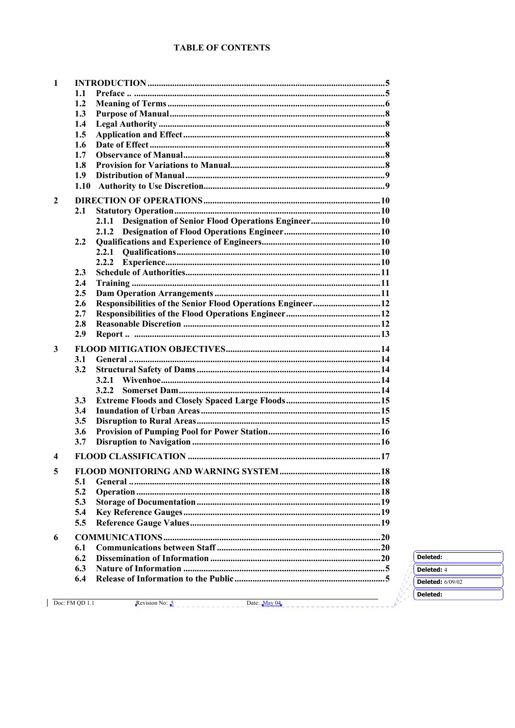# **TABLE OF CONTENTS**

| $\mathbf{1}$     |                                                             |                                                            |
|------------------|-------------------------------------------------------------|------------------------------------------------------------|
|                  | 1.1                                                         |                                                            |
|                  | 1.2                                                         |                                                            |
|                  | 1.3                                                         |                                                            |
|                  | 1.4                                                         |                                                            |
|                  | 1.5                                                         |                                                            |
|                  | 1.6                                                         |                                                            |
|                  | 1.7                                                         |                                                            |
|                  | 1.8                                                         |                                                            |
|                  | 1.9                                                         |                                                            |
|                  | 1.10                                                        |                                                            |
| $\mathbf{2}$     |                                                             |                                                            |
|                  | 2.1                                                         |                                                            |
|                  |                                                             | Designation of Senior Flood Operations Engineer10<br>2.1.1 |
|                  |                                                             | 2.1.2                                                      |
|                  | 2.2                                                         |                                                            |
|                  |                                                             | 2.2.1                                                      |
|                  |                                                             | 2.2.2                                                      |
|                  | 2.3                                                         |                                                            |
|                  | 2.4                                                         |                                                            |
|                  | 2.5                                                         |                                                            |
|                  | 2.6                                                         | Responsibilities of the Senior Flood Operations Engineer12 |
|                  | 2.7                                                         |                                                            |
|                  | 2.8                                                         |                                                            |
|                  | 2.9                                                         |                                                            |
| $\mathbf{3}$     |                                                             |                                                            |
|                  | 3.1                                                         |                                                            |
|                  | 3.2                                                         |                                                            |
|                  |                                                             | 3.2.1                                                      |
|                  |                                                             | 3.2.2                                                      |
|                  | 3.3                                                         |                                                            |
|                  | 3.4                                                         |                                                            |
|                  | 3.5                                                         |                                                            |
|                  | 3.6                                                         |                                                            |
|                  | 3.7                                                         |                                                            |
|                  |                                                             |                                                            |
| $\boldsymbol{4}$ |                                                             |                                                            |
| 5                |                                                             |                                                            |
|                  | 5.1                                                         |                                                            |
|                  | 5.2                                                         |                                                            |
|                  | 5.3                                                         |                                                            |
|                  | 5.4                                                         |                                                            |
|                  | 5.5                                                         |                                                            |
| 6                |                                                             |                                                            |
|                  | 6.1                                                         |                                                            |
|                  | 6.2                                                         |                                                            |
|                  | 6.3                                                         |                                                            |
|                  | 6.4                                                         |                                                            |
|                  |                                                             |                                                            |
|                  | $D_{\text{eff}}$ $\Gamma$ <i>M <math>\Omega</math>D 1.1</i> | (1)<br>$\mathbf{D}$ and $\mathbf{M}$ and $\mathbf{E}$      |

Deleted: Deleted: 4 **Deleted:** 6/09/02 Deleted:

Revision No:  $\frac{5}{2}$  \_ \_ \_ \_ \_ \_ \_ \_ \_ \_ \_ \_ \_ Date:  $\frac{\text{Mac}}{2}$  \_ \_ \_ \_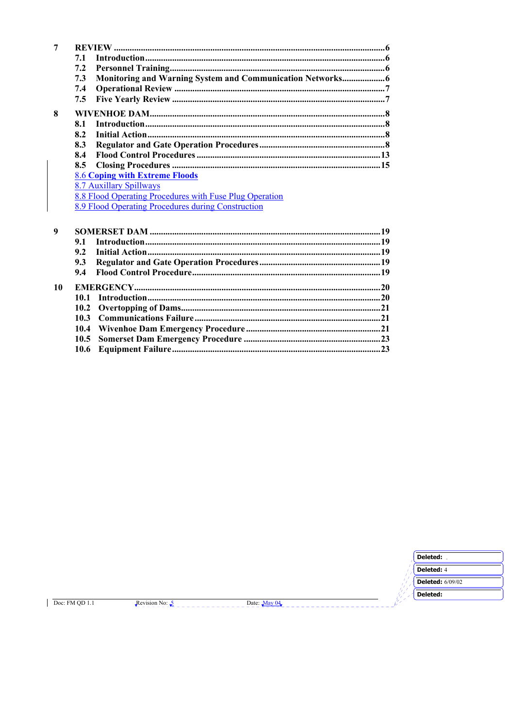| 7  |                                                                  |  |
|----|------------------------------------------------------------------|--|
|    | 7.1                                                              |  |
|    | 7.2                                                              |  |
|    | Monitoring and Warning System and Communication Networks6<br>7.3 |  |
|    | 7.4                                                              |  |
|    | 7.5                                                              |  |
| 8  |                                                                  |  |
|    | 8.1                                                              |  |
|    | 8.2                                                              |  |
|    | 8.3                                                              |  |
|    | 8.4                                                              |  |
|    | 8.5                                                              |  |
|    | <b>8.6 Coping with Extreme Floods</b>                            |  |
|    | 8.7 Auxillary Spillways                                          |  |
|    | 8.8 Flood Operating Procedures with Fuse Plug Operation          |  |
|    | 8.9 Flood Operating Procedures during Construction               |  |
|    |                                                                  |  |
|    |                                                                  |  |
| 9  |                                                                  |  |
|    | 9.1                                                              |  |
|    | 9.2                                                              |  |
|    | 9.3                                                              |  |
|    | 9.4                                                              |  |
| 10 |                                                                  |  |
|    | 10.1                                                             |  |
|    | 10.2                                                             |  |
|    | 10.3                                                             |  |
|    |                                                                  |  |
|    | 10.4                                                             |  |

Deleted: Deleted: 4 **Deleted:** 6/09/02 Deleted:

Doc: FM QD 1.1

Revision No: 5 Date: May 04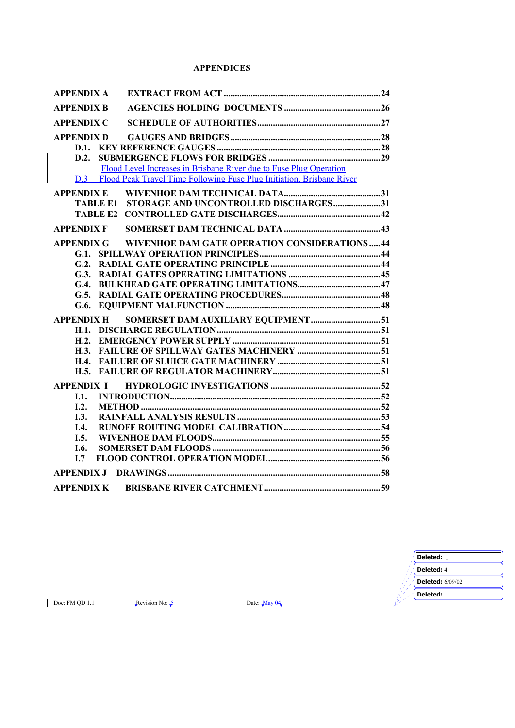#### **APPENDICES**

| <b>APPENDIX A</b> |                                                                           |
|-------------------|---------------------------------------------------------------------------|
| <b>APPENDIX B</b> |                                                                           |
| <b>APPENDIX C</b> |                                                                           |
| <b>APPENDIX D</b> |                                                                           |
|                   |                                                                           |
| D.2.              |                                                                           |
|                   | Flood Level Increases in Brisbane River due to Fuse Plug Operation        |
|                   | D.3 Flood Peak Travel Time Following Fuse Plug Initiation, Brisbane River |
| <b>APPENDIX E</b> |                                                                           |
| <b>TABLE E1</b>   | STORAGE AND UNCONTROLLED DISCHARGES31                                     |
|                   |                                                                           |
| <b>APPENDIX F</b> |                                                                           |
| <b>APPENDIX G</b> | WIVENHOE DAM GATE OPERATION CONSIDERATIONS44                              |
| G.1.              |                                                                           |
| G.2.              |                                                                           |
| G.3.              |                                                                           |
| G.4.              |                                                                           |
| G.5.              |                                                                           |
| G.6.              |                                                                           |
| <b>APPENDIX H</b> |                                                                           |
|                   |                                                                           |
|                   |                                                                           |
|                   |                                                                           |
| H.4.              |                                                                           |
| H.5.              |                                                                           |
| <b>APPENDIX I</b> |                                                                           |
| I.1.              |                                                                           |
| I.2.              |                                                                           |
| I.3.              |                                                                           |
| I.4.              |                                                                           |
| I.5.              |                                                                           |
| I.6.              |                                                                           |
| L7                |                                                                           |
| <b>APPENDIX J</b> |                                                                           |
| <b>APPENDIX K</b> |                                                                           |

**Deleted: Deleted:** 4 **Deleted:** 6/09/02 **Deleted:**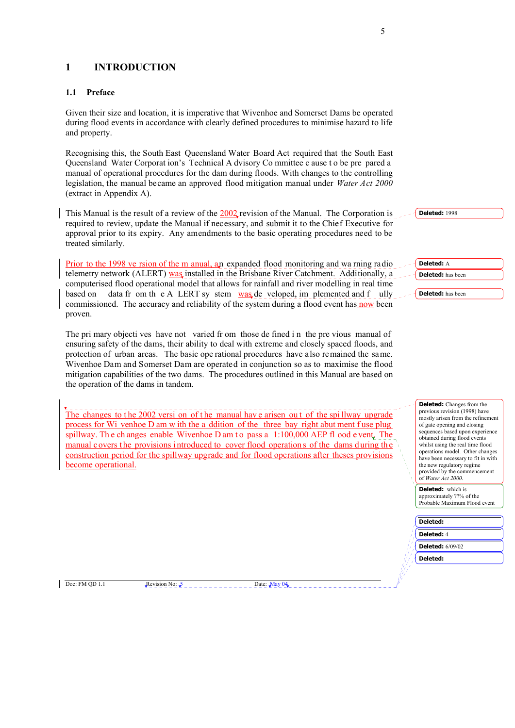# <span id="page-4-0"></span>**1 INTRODUCTION**

### **1.1 Preface**

<span id="page-4-1"></span>Given their size and location, it is imperative that Wivenhoe and Somerset Dams be operated during flood events in accordance with clearly defined procedures to minimise hazard to life and property.

Recognising this, the South East Queensland Water Board Act required that the South East Queensland Water Corporat ion's Technical A dvisory Co mmittee c ause t o be pre pared a manual of operational procedures for the dam during floods. With changes to the controlling legislation, the manual became an approved flood mitigation manual under *Water Act 2000*  (extract in Appendix A).

This Manual is the result of a review of the 2002 revision of the Manual. The Corporation is required to review, update the Manual if necessary, and submit it to the Chief Executive for approval prior to its expiry. Any amendments to the basic operating procedures need to be treated similarly.

Prior to the 1998 ve rsion of the m anual, an expanded flood monitoring and wa rning radio telemetry network (ALERT) was installed in the Brisbane River Catchment. Additionally, a computerised flood operational model that allows for rainfall and river modelling in real time based on data fr om th e A LERT sy stem was de veloped, im plemented and f ully commissioned. The accuracy and reliability of the system during a flood event has now been proven.

The pri mary objecti ves have not varied fr om those de fined i n the pre vious manual of ensuring safety of the dams, their ability to deal with extreme and closely spaced floods, and protection of urban areas. The basic ope rational procedures have also remained the same. Wivenhoe Dam and Somerset Dam are operated in conjunction so as to maximise the flood mitigation capabilities of the two dams. The procedures outlined in this Manual are based on the operation of the dams in tandem.

The changes to the 2002 versi on of the manual have arisen out of the spillway upgrade process for Wi venhoe D am w ith the a ddition of the three bay right abut ment f use plug spillway. The changes enable Wivenhoe D am t o pass a 1:100,000 AEP fl ood e vent. The manual covers the provisions introduced to cover flood operation s of the dams during the construction period for the spillway upgrade and for flood operations after theses provisions become operational.

**Deleted:** 1998

**Deleted:** A **Deleted:** has been

**Deleted:** has been

**Deleted:** Changes from the previous revision (1998) have mostly arisen from the refinement of gate opening and closing sequences based upon experience obtained during flood events whilst using the real time flood operations model. Other changes have been necessary to fit in with the new regulatory regime provided by the commencement of *Water Act 2000*.

**Deleted:** which is approximately ??% of the Probable Maximum Flood event

**Deleted:** 

**Deleted:** 4

**Deleted:** 6/09/02

**Deleted:** 

Doc: FM QD 1.1 Revision No:  $\frac{5}{2}$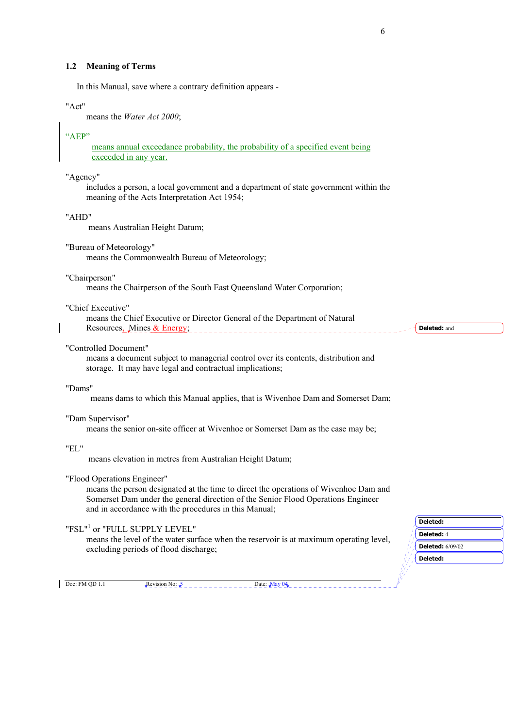#### <span id="page-5-0"></span>**1.2 Meaning of Terms**

In this Manual, save where a contrary definition appears -

#### "Act"

means the *Water Act 2000*;

#### "AEP"

means annual exceedance probability, the probability of a specified event being exceeded in any year.

#### "Agency"

includes a person, a local government and a department of state government within the meaning of the Acts Interpretation Act 1954;

#### "AHD"

means Australian Height Datum;

#### "Bureau of Meteorology"

means the Commonwealth Bureau of Meteorology;

#### "Chairperson"

means the Chairperson of the South East Queensland Water Corporation;

#### "Chief Executive"

means the Chief Executive or Director General of the Department of Natural Resources, Mines & Energy;

#### "Controlled Document"

means a document subject to managerial control over its contents, distribution and storage. It may have legal and contractual implications;

#### "Dams"

means dams to which this Manual applies, that is Wivenhoe Dam and Somerset Dam;

#### "Dam Supervisor"

means the senior on-site officer at Wivenhoe or Somerset Dam as the case may be;

#### "EL"

means elevation in metres from Australian Height Datum;

#### "Flood Operations Engineer"

means the person designated at the time to direct the operations of Wivenhoe Dam and Somerset Dam under the general direction of the Senior Flood Operations Engineer and in accordance with the procedures in this Manual;

# "FSL"<sup>1</sup> or "FULL SUPPLY LEVEL"

means the level of the water surface when the reservoir is at maximum operating level, excluding periods of flood discharge;



**Deleted:** and

 $\overline{D}$  Doc: FM QD 1.1 Revision No:  $\frac{5}{2}$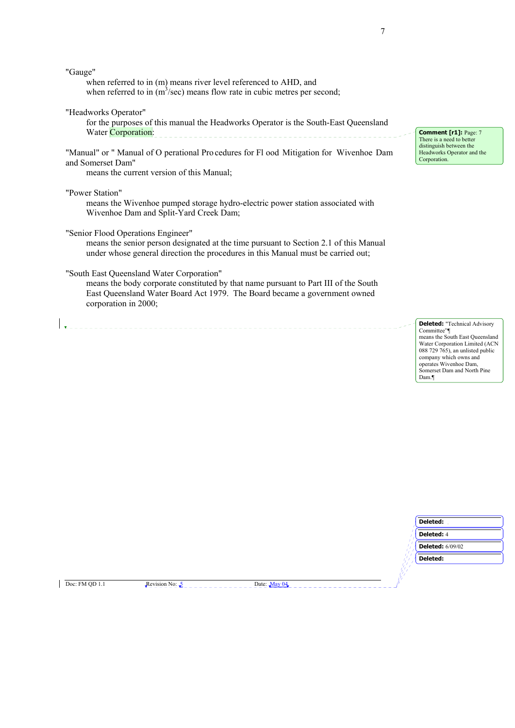when referred to in (m) means river level referenced to AHD, and when referred to in  $(m^3/sec)$  means flow rate in cubic metres per second; "Headworks Operator" for the purposes of this manual the Headworks Operator is the South-East Queensland Water Corporation: "Manual" or " Manual of O perational Pro cedures for Fl ood Mitigation for Wivenhoe Dam and Somerset Dam" means the current version of this Manual; "Power Station" means the Wivenhoe pumped storage hydro-electric power station associated with Wivenhoe Dam and Split-Yard Creek Dam; "Senior Flood Operations Engineer" means the senior person designated at the time pursuant to Section 2.1 of this Manual under whose general direction the procedures in this Manual must be carried out; **Comment [r1]:** Page: 7 There is a need to better distinguish between the Headworks Operator and the Corporation.

#### "South East Queensland Water Corporation"

"Gauge"

means the body corporate constituted by that name pursuant to Part III of the South East Queensland Water Board Act 1979. The Board became a government owned corporation in 2000;

**Deleted:** "Technical Advisory Committee"¶ means the South East Queensland Water Corporation Limited (ACN 088 729 765), an unlisted public company which owns and operates Wivenhoe Dam, Somerset Dam and North Pine Dam<sup>q</sup>

| Deleted:                |
|-------------------------|
| Deleted: 4              |
| <b>Deleted: 6/09/02</b> |
| Deleted:                |

Doc: FM QD 1.1 Revision No:  $\frac{5}{2}$   $\frac{9}{2}$  Date: May 04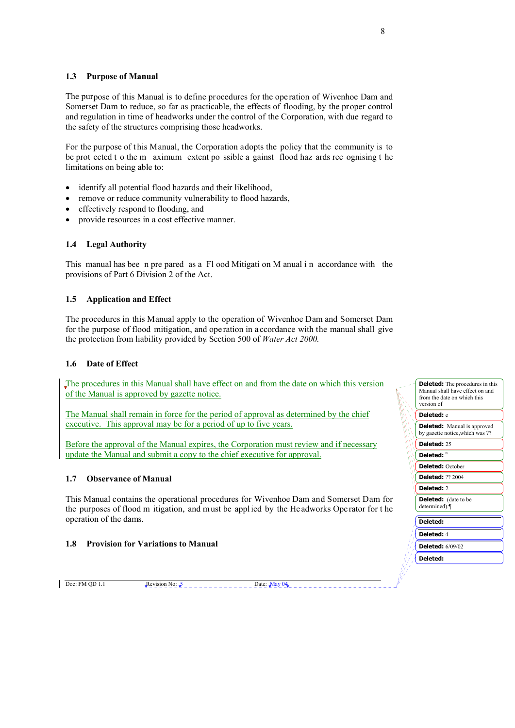### **1.3 Purpose of Manual**

<span id="page-7-0"></span>The purpose of this Manual is to define procedures for the ope ration of Wivenhoe Dam and Somerset Dam to reduce, so far as practicable, the effects of flooding, by the proper control and regulation in time of headworks under the control of the Corporation, with due regard to the safety of the structures comprising those headworks.

For the purpose of this Manual, the Corporation adopts the policy that the community is to be prot ected t o the m aximum extent po ssible a gainst flood haz ards rec ognising t he limitations on being able to:

- identify all potential flood hazards and their likelihood,
- remove or reduce community vulnerability to flood hazards,
- effectively respond to flooding, and
- provide resources in a cost effective manner.

# **1.4 Legal Authority**

This manual has bee n pre pared as a Fl ood Mitigati on M anual in accordance with the provisions of Part 6 Division 2 of the Act.

# <span id="page-7-1"></span>**1.5 Application and Effect**

The procedures in this Manual apply to the operation of Wivenhoe Dam and Somerset Dam for the purpose of flood mitigation, and ope ration in a ccordance with the manual shall give the protection from liability provided by Section 500 of *Water Act 2000.*

# <span id="page-7-2"></span>**1.6 Date of Effect**

The procedures in this Manual shall have effect on and from the date on which this version of the Manual is approved by gazette notice.

The Manual shall remain in force for the period of approval as determined by the chief executive. This approval may be for a period of up to five years.

<span id="page-7-3"></span>Before the approval of the Manual expires, the Corporation must review and if necessary update the Manual and submit a copy to the chief executive for approval.

# **1.7 Observance of Manual**

This Manual contains the operational procedures for Wivenhoe Dam and Somerset Dam for the purposes of flood m itigation, and must be appl ied by the Headworks Operator for t he operation of the dams.

# **1.8 Provision for Variations to Manual**



<span id="page-7-5"></span><span id="page-7-4"></span>Doc: FM QD 1.1 Revision No:  $\frac{5}{2}$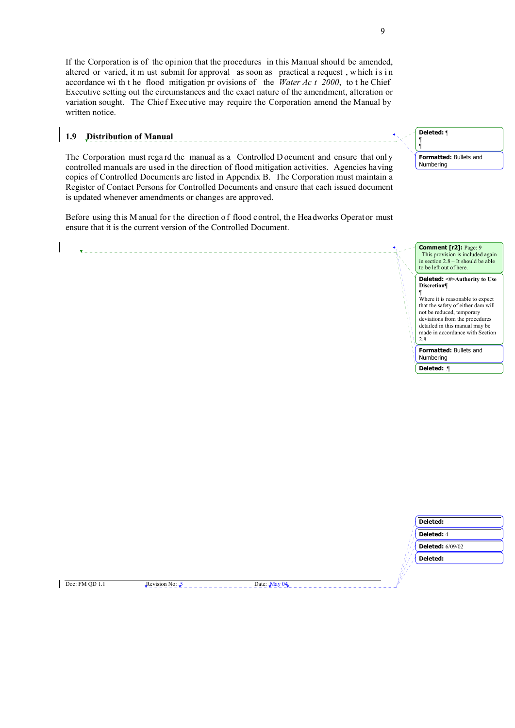If the Corporation is of the opinion that the procedures in this Manual should be amended, altered or varied, it m ust submit for approval as soon as practical a request, which is in accordance wi th t he flood mitigation pr ovisions of the *Water Ac t 2000*, to t he Chief Executive setting out the circumstances and the exact nature of the amendment, alteration or variation sought. The Chief Executive may require the Corporation amend the Manual by written notice.

# **1.9 Distribution of Manual**

<span id="page-8-0"></span>The Corporation must rega rd the manual as a Controlled D ocument and ensure that onl y controlled manuals are used in the direction of flood mitigation activities. Agencies having copies of Controlled Documents are listed in Appendix B. The Corporation must maintain a Register of Contact Persons for Controlled Documents and ensure that each issued document is updated whenever amendments or changes are approved.

Before using this Manual for the direction of flood control, the Headworks Operator must ensure that it is the current version of the Controlled Document.

<span id="page-8-1"></span>

| <b>Comment [r2]: Page: 9</b><br>This provision is included again<br>in section $2.8 -$ It should be able<br>to be left out of here.                                                                                                                             |
|-----------------------------------------------------------------------------------------------------------------------------------------------------------------------------------------------------------------------------------------------------------------|
| Deleted: <#>Authority to Use<br>Discretion<br>Where it is reasonable to expect<br>that the safety of either dam will<br>not be reduced, temporary<br>deviations from the procedures<br>detailed in this manual may be<br>made in accordance with Section<br>2.8 |
| Formatted: Bullets and<br>Numbering                                                                                                                                                                                                                             |
| Deleted: 1                                                                                                                                                                                                                                                      |
|                                                                                                                                                                                                                                                                 |

| Deleted:                |
|-------------------------|
| <b>Deleted: 4</b>       |
| <b>Deleted: 6/09/02</b> |
| Deleted:                |

**Formatted:** Bullets and

Numbering

**Deleted:** ¶ ¶ ¶

Doc: FM QD 1.1 Revision No:  $\frac{5}{2}$   $\frac{2}{5}$   $\frac{2}{5}$   $\frac{2}{5}$   $\frac{2}{5}$   $\frac{5}{10}$  Date:  $\frac{May~04}{5}$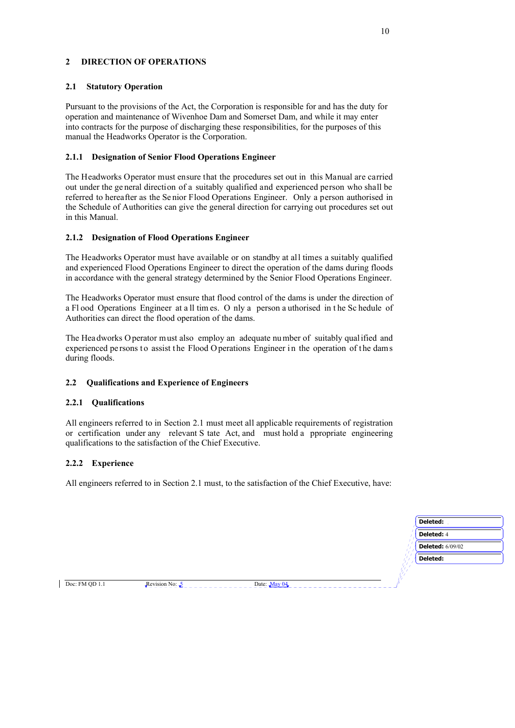# <span id="page-9-0"></span>**2 DIRECTION OF OPERATIONS**

# **2.1 Statutory Operation**

<span id="page-9-1"></span>Pursuant to the provisions of the Act, the Corporation is responsible for and has the duty for operation and maintenance of Wivenhoe Dam and Somerset Dam, and while it may enter into contracts for the purpose of discharging these responsibilities, for the purposes of this manual the Headworks Operator is the Corporation.

# **2.1.1 Designation of Senior Flood Operations Engineer**

<span id="page-9-2"></span>The Headworks Operator must ensure that the procedures set out in this Manual are carried out under the ge neral direction of a suitably qualified and experienced person who shall be referred to hereafter as the Se nior Flood Operations Engineer. Only a person authorised in the Schedule of Authorities can give the general direction for carrying out procedures set out in this Manual.

# **2.1.2 Designation of Flood Operations Engineer**

The Headworks Operator must have available or on standby at all times a suitably qualified and experienced Flood Operations Engineer to direct the operation of the dams during floods in accordance with the general strategy determined by the Senior Flood Operations Engineer.

<span id="page-9-3"></span>The Headworks Operator must ensure that flood control of the dams is under the direction of a Fl ood Operations Engineer at a ll tim es. O nly a person a uthorised in t he Sc hedule of Authorities can direct the flood operation of the dams.

The Hea dworks O perator must also employ an adequate nu mber of suitably qualified and experienced persons to assist the Flood O perations Engineer in the operation of the dam s during floods.

# **2.2 Qualifications and Experience of Engineers**

# **2.2.1 Qualifications**

All engineers referred to in Section 2.1 must meet all applicable requirements of registration or certification under any relevant S tate Act, and must hold a ppropriate engineering qualifications to the satisfaction of the Chief Executive.

# <span id="page-9-4"></span>**2.2.2 Experience**

<span id="page-9-5"></span>All engineers referred to in Section 2.1 must, to the satisfaction of the Chief Executive, have:

| Deleted:                |
|-------------------------|
| Deleted: 4              |
| <b>Deleted: 6/09/02</b> |
| Deleted:                |
|                         |

<span id="page-9-6"></span>Doc: FM QD 1.1 Revision No:  $\frac{5}{2}$   $\frac{2}{5}$   $\frac{2}{5}$   $\frac{2}{5}$   $\frac{2}{5}$   $\frac{5}{10}$  Date: May 04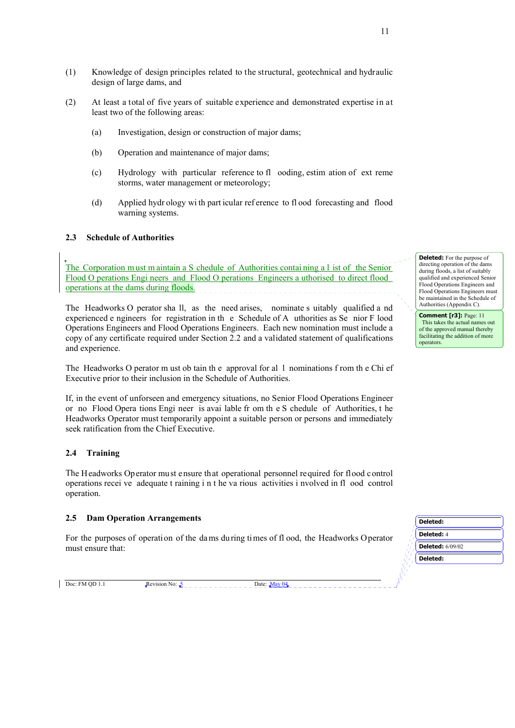- (1) Knowledge of design principles related to the structural, geotechnical and hydraulic design of large dams, and
- (2) At least a total of five years of suitable experience and demonstrated expertise in at least two of the following areas:
	- (a) Investigation, design or construction of major dams;
	- (b) Operation and maintenance of major dams;
	- (c) Hydrology with particular reference to fl ooding, estim ation of ext reme storms, water management or meteorology;
	- (d) Applied hydr ology wi th part icular ref erence to fl ood forecasting and flood warning systems.

### **2.3 Schedule of Authorities**

<span id="page-10-0"></span>The Corporation m ust m aintain a S chedule of Authorities contai ning a l ist of the Senior Flood O perations Engi neers and Flood O perations Engineers a uthorised to direct flood operations at the dams during floods.

The Headworks O perator sha ll, as the need arises, nominate s uitably qualified a nd experienced e ngineers for registration in th e Schedule of A uthorities as Se nior F lood Operations Engineers and Flood Operations Engineers. Each new nomination must include a copy of any certificate required under Section 2.2 and a validated statement of qualifications and experience.

The Headworks O perator m ust ob tain th e approval for al l nominations f rom th e Chi ef Executive prior to their inclusion in the Schedule of Authorities.

If, in the event of unforseen and emergency situations, no Senior Flood Operations Engineer or no Flood Opera tions Engi neer is avai lable fr om th e S chedule of Authorities, t he Headworks Operator must temporarily appoint a suitable person or persons and immediately seek ratification from the Chief Executive.

# **2.4 Training**

The Headworks Operator must ensure that operational personnel required for flood control operations recei ve adequate t raining i n t he va rious activities i nvolved in fl ood control operation.

#### **2.5 Dam Operation Arrangements**

<span id="page-10-1"></span>For the purposes of operation of the dams during times of fl ood, the Headworks Operator must ensure that:

| Deleted:                |  |
|-------------------------|--|
| <b>Deleted: 4</b>       |  |
| <b>Deleted: 6/09/02</b> |  |
| Deleted:                |  |

<span id="page-10-2"></span>Doc: FM QD 1.1 Revision No:  $\frac{5}{2}$   $\frac{2}{5}$   $\frac{2}{5}$   $\frac{2}{5}$   $\frac{2}{5}$   $\frac{5}{10}$  Date: May 04

**Deleted:** For the purpose of directing operation of the dams during floods, a list of suitably qualified and experienced Senior Flood Operations Engineers and Flood Operations Engineers must be maintained in the Schedule of Authorities (Appendix C).

**Comment [r3]:** Page: 11 This takes the actual names out of the approved manual thereby facilitating the addition of more operators.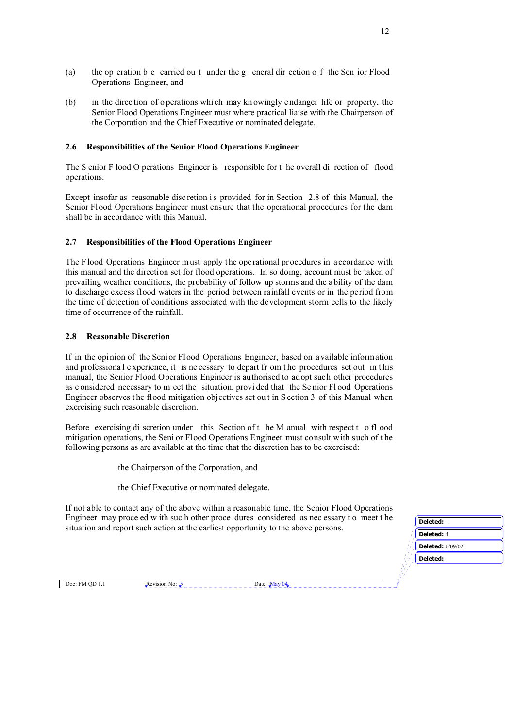- (a) the op eration b e carried ou t under the g eneral dir ection o f the Sen ior Flood Operations Engineer, and
- (b) in the direc tion of o perations whi ch may kn owingly e ndanger life or property, the Senior Flood Operations Engineer must where practical liaise with the Chairperson of the Corporation and the Chief Executive or nominated delegate.

# **2.6 Responsibilities of the Senior Flood Operations Engineer**

<span id="page-11-0"></span>The S enior F lood O perations Engineer is responsible for t he overall di rection of flood operations.

Except insofar as reasonable discretion is provided for in Section 2.8 of this Manual, the Senior Flood Operations Engineer must ensure that the operational procedures for the dam shall be in accordance with this Manual.

### **2.7 Responsibilities of the Flood Operations Engineer**

<span id="page-11-1"></span>The Flood Operations Engineer m ust apply t he operational procedures in accordance with this manual and the direction set for flood operations. In so doing, account must be taken of prevailing weather conditions, the probability of follow up storms and the ability of the dam to discharge excess flood waters in the period between rainfall events or in the period from the time of detection of conditions associated with the development storm cells to the likely time of occurrence of the rainfall.

### **2.8 Reasonable Discretion**

If in the opinion of the Senior Flood Operations Engineer, based on available information and professional experience, it is necessary to depart fr om the procedures set out in this manual, the Senior Flood Operations Engineer is authorised to adopt such other procedures as c onsidered necessary to m eet the situation, provi ded that the Se nior Fl ood Operations Engineer observes t he flood mitigation objectives set ou t in S ection 3 of this Manual when exercising such reasonable discretion.

<span id="page-11-2"></span>Before exercising di scretion under this Section of  $t \in M$  anual with respect  $t \circ f$  od mitigation operations, the Seni or Flood Operations Engineer must consult with such of t he following persons as are available at the time that the discretion has to be exercised:

the Chairperson of the Corporation, and

the Chief Executive or nominated delegate.

If not able to contact any of the above within a reasonable time, the Senior Flood Operations Engineer may proce ed w ith suc h other proce dures considered as nec essary t o meet t he situation and report such action at the earliest opportunity to the above persons.



Doc: FM QD 1.1 Revision No:  $\frac{5}{2}$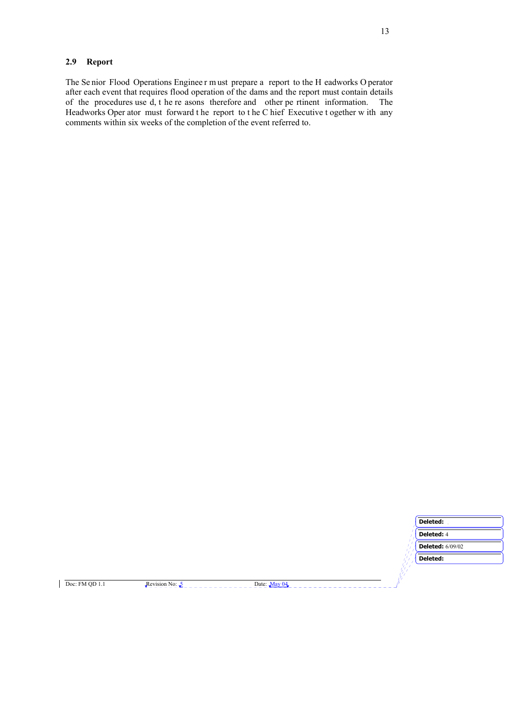#### **2.9 Report**

<span id="page-12-0"></span>The Se nior Flood Operations Enginee r m ust prepare a report to the H eadworks O perator after each event that requires flood operation of the dams and the report must contain details of the procedures use d, t he re asons therefore and other pe rtinent information. The Headworks Oper ator must forward t he report to t he C hief Executive t ogether w ith any comments within six weeks of the completion of the event referred to.



Doc: FM QD 1.1 Revision No:  $\frac{5}{2}$  \_\_\_\_\_\_\_\_\_\_\_\_\_ Date:  $\frac{\text{Mac: } 4}{\text{Mac: } 4}$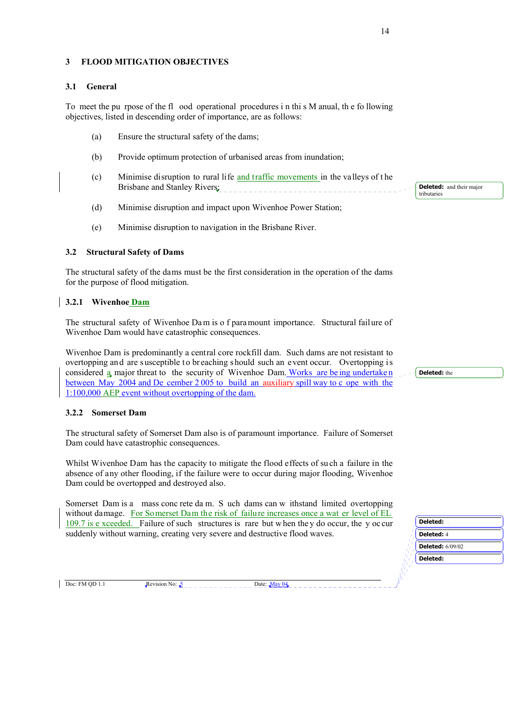# <span id="page-13-0"></span>**3 FLOOD MITIGATION OBJECTIVES**

#### **3.1 General**

<span id="page-13-1"></span>To meet the pu rpose of the fl ood operational procedures i n thi s M anual, th e fo llowing objectives, listed in descending order of importance, are as follows:

- (a) Ensure the structural safety of the dams;
- (b) Provide optimum protection of urbanised areas from inundation;
- (c) Minimise disruption to rural life and traffic movements in the valleys of t he Brisbane and Stanley Rivers;<br>
- (d) Minimise disruption and impact upon Wivenhoe Power Station;
- (e) Minimise disruption to navigation in the Brisbane River.

#### **3.2 Structural Safety of Dams**

The structural safety of the dams must be the first consideration in the operation of the dams for the purpose of flood mitigation.

#### <span id="page-13-2"></span>**3.2.1 Wivenhoe Dam**

The structural safety of Wivenhoe Da m is o f para mount importance. Structural failure of Wivenhoe Dam would have catastrophic consequences.

<span id="page-13-3"></span>Wivenhoe Dam is predominantly a central core rockfill dam. Such dams are not resistant to overtopping and are susceptible to breaching should such an event occur. Overtopping i s considered  $\frac{a}{a}$  major threat to the security of Wivenhoe Dam. Works are being undertaken between May 2004 and De cember 2 005 to build an auxiliary spill way to c ope with the 1:100,000 AEP event without overtopping of the dam.

#### **3.2.2 Somerset Dam**

The structural safety of Somerset Dam also is of paramount importance. Failure of Somerset Dam could have catastrophic consequences.

Whilst Wivenhoe Dam has the capacity to mitigate the flood effects of su ch a failure in the absence of any other flooding, if the failure were to occur during major flooding, Wivenhoe Dam could be overtopped and destroyed also.

<span id="page-13-4"></span>Somerset Dam is a mass conc rete da m. S uch dams can w ithstand limited overtopping without damage. For Somerset Dam the risk of failure increases once a wat er level of EL 109.7 is e xceeded. Failure of such structures is rare but w hen the y do occur, the y oc cur suddenly without warning, creating very severe and destructive flood waves.



Doc: FM QD 1.1 Revision No:  $\frac{5}{2}$   $\frac{2}{5}$   $\frac{2}{5}$   $\frac{2}{5}$   $\frac{2}{5}$   $\frac{5}{10}$  Date:  $\frac{May~04}{5}$ 

**Deleted:** the

**Deleted:** and their major

tributaries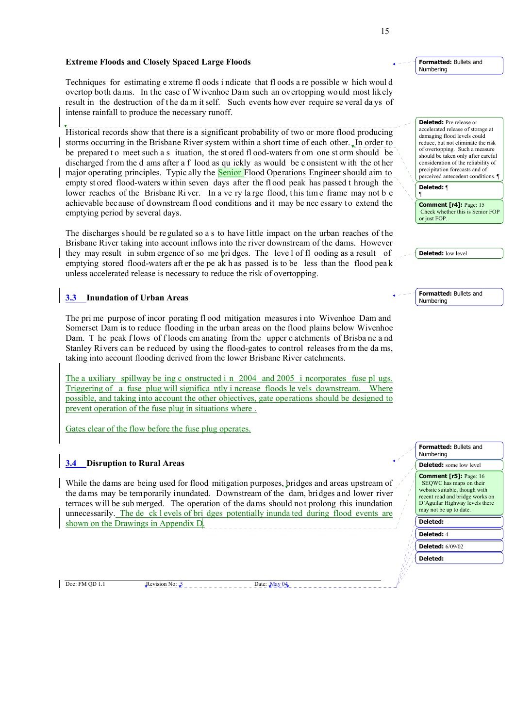#### **Extreme Floods and Closely Spaced Large Floods**

<span id="page-14-0"></span>Techniques for estimating e xtreme fl oods i ndicate that fl oods a re possible w hich woul d overtop both dams. In the case of Wivenhoe Dam such an overtopping would most likely result in the destruction of the dam it self. Such events how ever require se veral days of intense rainfall to produce the necessary runoff.

Historical records show that there is a significant probability of two or more flood producing storms occurring in the Brisbane River system within a short time of each other. In order to be prepared to meet such a s ituation, the st ored fl ood-waters from one st orm should be discharged from the d ams after a f lood as qu ickly as would be consistent with the other major operating principles. Typic ally the **Senior** Flood Operations Engineer should aim to empty st ored flood-waters w ithin seven days after the fl ood peak has passed t hrough the lower reaches of the Brisbane River. In a ve ry large flood, this time frame may not be achievable because of downstream flood conditions and it may be nec essary to extend the emptying period by several days.

The discharges should be regulated so a s to have little impact on the urban reaches of the Brisbane River taking into account inflows into the river downstream of the dams. However they may result in subm ergence of so me bri dges. The leve l of fl ooding as a result of emptying stored flood-waters aft er the pe ak h as passed is to be less than the flood pea k unless accelerated release is necessary to reduce the risk of overtopping.

# **3.3 Inundation of Urban Areas**

The pri me purpose of incor porating fl ood mitigation measures i nto Wivenhoe Dam and Somerset Dam is to reduce flooding in the urban areas on the flood plains below Wivenhoe Dam. T he peak flows of floods em anating from the upper c atchments of Brisba ne a nd Stanley Rivers can be reduced by using the flood-gates to control releases from the da ms, taking into account flooding derived from the lower Brisbane River catchments.

<span id="page-14-1"></span>The a uxiliary spillway be ing c onstructed i n 2004 and 2005 i ncorporates fuse pl ugs. Triggering of a fuse plug will significa ntly i ncrease floods le vels downstream. Where possible, and taking into account the other objectives, gate operations should be designed to prevent operation of the fuse plug in situations where .

Gates clear of the flow before the fuse plug operates.

# **3.4 Disruption to Rural Areas**

While the dams are being used for flood mitigation purposes, bridges and areas upstream of the dams may be temporarily inundated. Downstream of the dam, bridges and lower river terraces will be sub merged. The operation of the dams should not prolong this inundation unnecessarily. The de ck l evels of bri dges potentially inunda ted during flood shown on the Drawings in Appendix D.



Numbering

**Formatted:** Bullets and

<span id="page-14-2"></span>Doc: FM QD 1.1 Revision No:  $\frac{5}{2}$ 



**Formatted:** Bullets and Numbering

> **Deleted:** Pre release or accelerated release of storage at damaging flood levels could reduce, but not eliminate the risk of overtopping. Such a measure should be taken only after careful consideration of the reliability of precipitation forecasts and of perceived antecedent conditions. ¶

**Deleted:** ¶

¶

**Comment [r4]:** Page: 15 Check whether this is Senior FOP or just FOP.

**Deleted:** low level

**Formatted:** Bullets and Numbering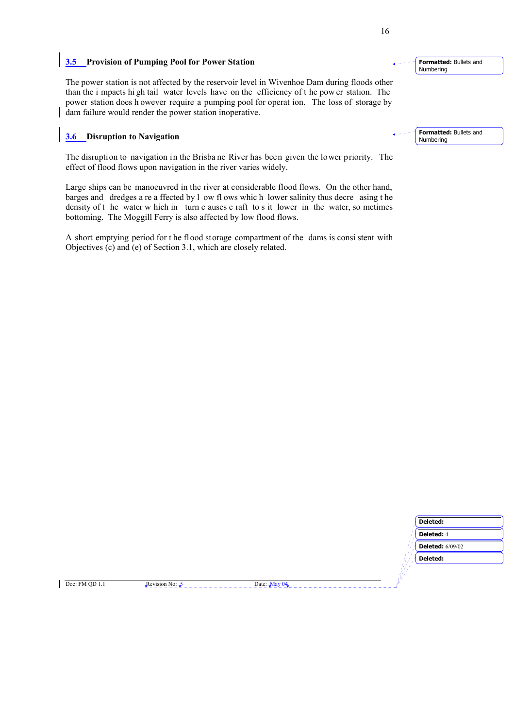## **3.5 Provision of Pumping Pool for Power Station**

<span id="page-15-0"></span>The power station is not affected by the reservoir level in Wivenhoe Dam during floods other than the i mpacts hi gh tail water levels have on the efficiency of t he pow er station. The power station does h owever require a pumping pool for operat ion. The loss of storage by dam failure would render the power station inoperative.

### **3.6 Disruption to Navigation**

<span id="page-15-1"></span>The disruption to navigation in the Brisba ne River has been given the lower priority. The effect of flood flows upon navigation in the river varies widely.

Large ships can be manoeuvred in the river at considerable flood flows. On the other hand, barges and dredges a re a ffected by l ow fl ows whic h lower salinity thus decre asing t he density of t he water w hich in turn c auses c raft to s it lower in the water, so metimes bottoming. The Moggill Ferry is also affected by low flood flows.

A short emptying period for t he flood storage compartment of the dams is consi stent with Objectives (c) and (e) of Section 3.1, which are closely related.

**Formatted:** Bullets and Numbering

**Formatted:** Bullets and Numbering

Doc: FM QD 1.1 Revision No:  $\frac{5}{2}$   $\frac{2}{5}$   $\frac{2}{5}$   $\frac{2}{5}$   $\frac{2}{5}$   $\frac{5}{10}$  Date:  $\frac{May~04}{5}$ 

**Deleted: Deleted:** 4 **Deleted:** 6/09/02 **Deleted:**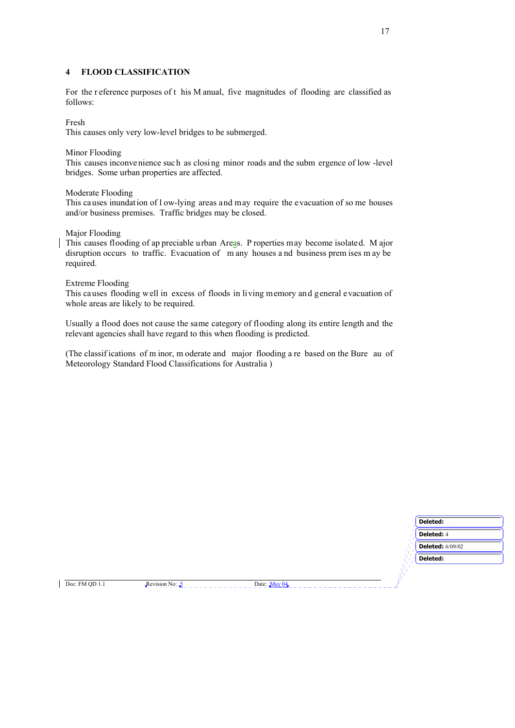## **4 FLOOD CLASSIFICATION**

<span id="page-16-0"></span>For the r eference purposes of t his M anual, five magnitudes of flooding are classified as follows:

Fresh

This causes only very low-level bridges to be submerged.

#### Minor Flooding

This causes inconvenience such as closing minor roads and the subm ergence of low -level bridges. Some urban properties are affected.

#### Moderate Flooding

This causes inundation of l ow-lying areas and may require the evacuation of so me houses and/or business premises. Traffic bridges may be closed.

#### Major Flooding

This causes flooding of ap preciable urban Areas. P roperties may become isolated. M ajor disruption occurs to traffic. Evacuation of m any houses a nd business prem ises m ay be required.

#### Extreme Flooding

This causes flooding well in excess of floods in living memory and general evacuation of whole areas are likely to be required.

Usually a flood does not cause the same category of flooding along its entire length and the relevant agencies shall have regard to this when flooding is predicted.

(The classif ications of m inor, m oderate and major flooding a re based on the Bure au of Meteorology Standard Flood Classifications for Australia )

> **Deleted: Deleted:** 4 **Deleted:** 6/09/02 **Deleted:**

Doc: FM QD 1.1 Revision No:  $\frac{5}{2}$   $\frac{2}{5}$   $\frac{2}{5}$   $\frac{2}{5}$   $\frac{2}{5}$   $\frac{5}{10}$  Date:  $\frac{May~04}{5}$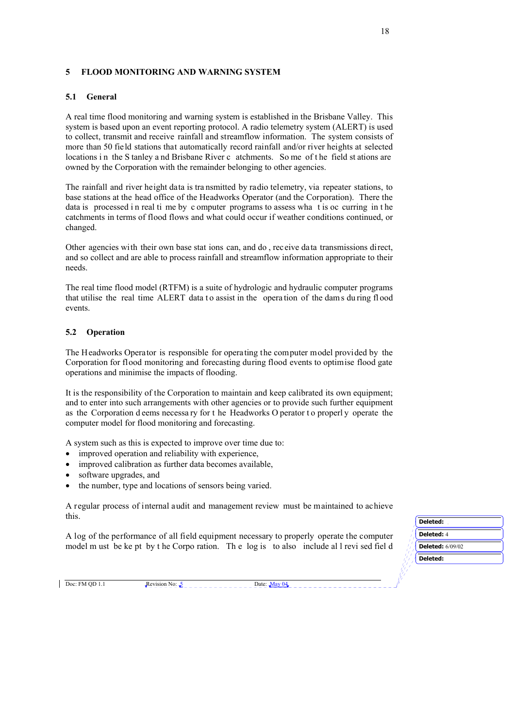# **5 FLOOD MONITORING AND WARNING SYSTEM**

#### <span id="page-17-0"></span>**5.1 General**

<span id="page-17-1"></span>A real time flood monitoring and warning system is established in the Brisbane Valley. This system is based upon an event reporting protocol. A radio telemetry system (ALERT) is used to collect, transmit and receive rainfall and streamflow information. The system consists of more than 50 field stations that automatically record rainfall and/or river heights at selected locations in the S tanley a nd Brisbane River c atchments. So me of the field st ations are owned by the Corporation with the remainder belonging to other agencies.

The rainfall and river height data is tra nsmitted by radio telemetry, via repeater stations, to base stations at the head office of the Headworks Operator (and the Corporation). There the data is processed i n real ti me by c omputer programs to assess wha t is oc curring in t he catchments in terms of flood flows and what could occur if weather conditions continued, or changed.

Other agencies with their own base stat ions can, and do , receive data transmissions direct, and so collect and are able to process rainfall and streamflow information appropriate to their needs.

The real time flood model (RTFM) is a suite of hydrologic and hydraulic computer programs that utilise the real time ALERT data to assist in the operation of the dams during flood events.

### **5.2 Operation**

The Headworks Operator is responsible for operating the computer model provided by the Corporation for flood monitoring and forecasting during flood events to optimise flood gate operations and minimise the impacts of flooding.

<span id="page-17-2"></span>It is the responsibility of the Corporation to maintain and keep calibrated its own equipment; and to enter into such arrangements with other agencies or to provide such further equipment as the Corporation d eems necessa ry for t he Headworks O perator t o properl y operate the computer model for flood monitoring and forecasting.

A system such as this is expected to improve over time due to:

- improved operation and reliability with experience,
- improved calibration as further data becomes available,
- software upgrades, and
- the number, type and locations of sensors being varied.

A regular process of internal audit and management review must be maintained to achieve this.

A log of the performance of all field equipment necessary to properly operate the computer model m ust be ke pt by t he Corpo ration. Th e log is to also include al l revi sed fiel d



Doc: FM QD 1.1 Revision No:  $\frac{5}{2}$   $\frac{2}{5}$   $\frac{2}{5}$   $\frac{2}{5}$   $\frac{2}{5}$   $\frac{5}{10}$  Date:  $\frac{May~04}{5}$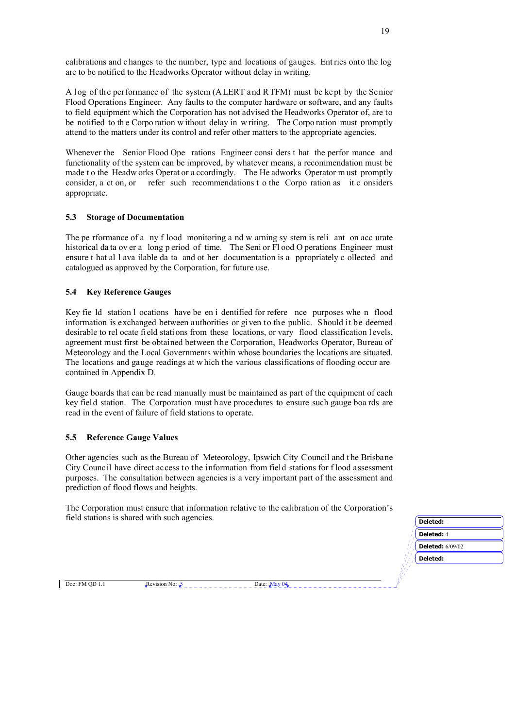calibrations and c hanges to the number, type and locations of gauges. Ent ries onto the log are to be notified to the Headworks Operator without delay in writing.

A log of the performance of the system (ALERT and RTFM) must be kept by the Senior Flood Operations Engineer. Any faults to the computer hardware or software, and any faults to field equipment which the Corporation has not advised the Headworks Operator of, are to be notified to th e Corpo ration w ithout delay in w riting. The Corpo ration must promptly attend to the matters under its control and refer other matters to the appropriate agencies.

Whenever the Senior Flood Ope rations Engineer consi ders t hat the perfor mance and functionality of the system can be improved, by whatever means, a recommendation must be made t o the Headw orks Operat or a ccordingly. The He adworks Operator m ust promptly consider, a ct on, or refer such recommendations t o the Corpo ration as it c onsiders appropriate.

### **5.3 Storage of Documentation**

<span id="page-18-0"></span>The pe rformance of a ny f lood monitoring a nd w arning sy stem is reli ant on acc urate historical da ta ov er a long p eriod of time. The Seni or Fl ood O perations Engineer must ensure t hat al l ava ilable da ta and ot her documentation is a ppropriately c ollected and catalogued as approved by the Corporation, for future use.

### **5.4 Key Reference Gauges**

<span id="page-18-1"></span>Key fie ld station l ocations have be en i dentified for refere nce purposes whe n flood information is exchanged between authorities or given to the public. Should it be deemed desirable to rel ocate field stations from these locations, or vary flood classification levels, agreement must first be obtained between the Corporation, Headworks Operator, Bureau of Meteorology and the Local Governments within whose boundaries the locations are situated. The locations and gauge readings at w hich the various classifications of flooding occur are contained in Appendix D.

Gauge boards that can be read manually must be maintained as part of the equipment of each key field station. The Corporation must have procedures to ensure such gauge boa rds are read in the event of failure of field stations to operate.

# **5.5 Reference Gauge Values**

Other agencies such as the Bureau of Meteorology, Ipswich City Council and t he Brisbane City Council have direct access to the information from field stations for f lood assessment purposes. The consultation between agencies is a very important part of the assessment and prediction of flood flows and heights.

<span id="page-18-2"></span>The Corporation must ensure that information relative to the calibration of the Corporation's field stations is shared with such agencies.



Doc: FM QD 1.1 Revision No:  $\frac{5}{2}$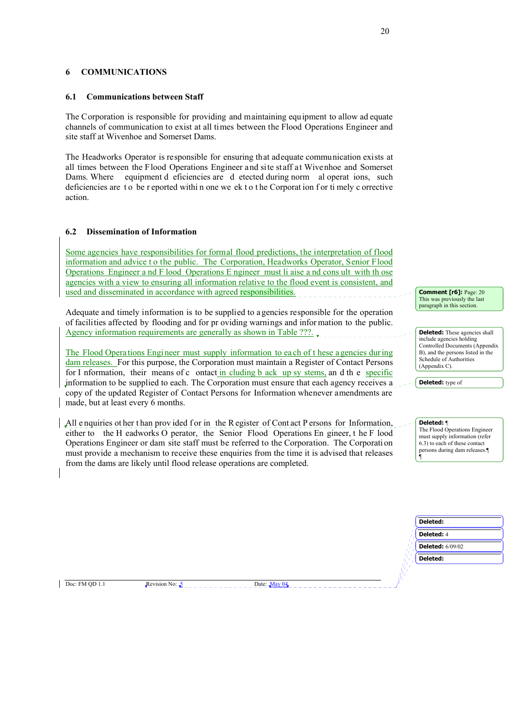#### **6 COMMUNICATIONS**

#### <span id="page-19-0"></span>**6.1 Communications between Staff**

<span id="page-19-1"></span>The Corporation is responsible for providing and maintaining equipment to allow ad equate channels of communication to exist at all times between the Flood Operations Engineer and site staff at Wivenhoe and Somerset Dams.

The Headworks Operator is responsible for ensuring that adequate communication exists at all times between the Flood Operations Engineer and site staff at Wivenhoe and Somerset Dams. Where equipment d eficiencies are d etected during norm al operat ions, such deficiencies are to be r eported within one we ek to the Corporation for timely c orrective action.

# **6.2 Dissemination of Information**

<span id="page-19-2"></span>Some agencies have responsibilities for formal flood predictions, the interpretation of flood information and advice t o the public. The Corporation, Headworks Operator, Senior Flood Operations Engineer a nd F lood Operations E ngineer must li aise a nd cons ult with th ose agencies with a view to ensuring all information relative to the flood event is consistent, and used and disseminated in accordance with agreed responsibilities.

Adequate and timely information is to be supplied to a gencies responsible for the operation of facilities affected by flooding and for pr oviding warnings and infor mation to the public. Agency information requirements are generally as shown in Table ???.

The Flood Operations Engineer must supply information to each of t hese a gencies during dam releases. For this purpose, the Corporation must maintain a Register of Contact Persons for I nformation, their means of c ontact in cluding b ack up sy stems, an d th e specific information to be supplied to each. The Corporation must ensure that each agency receives a copy of the updated Register of Contact Persons for Information whenever amendments are made, but at least every 6 months.

All e nquiries ot her t han prov ided f or in the R egister of Cont act P ersons for Information, either to the H eadworks O perator, the Senior Flood Operations En gineer, t he F lood Operations Engineer or dam site staff must be referred to the Corporation. The Corporati on must provide a mechanism to receive these enquiries from the time it is advised that releases from the dams are likely until flood release operations are completed.

**Comment [r6]:** Page: 20 This was previously the last paragraph in this section.

**Deleted:** These agencies shall include agencies holding Controlled Documents (Appendix B), and the persons listed in the Schedule of Authorities (Appendix C).

**Deleted:** type of

**Deleted:** ¶ The Flood Operations Engineer must supply information (refer 6.3) to each of these contact persons during dam releases.¶ ¶

**Deleted: Deleted:** 4 **Deleted:** 6/09/02 **Deleted:** 

Doc: FM QD 1.1 Revision No:  $\frac{5}{2}$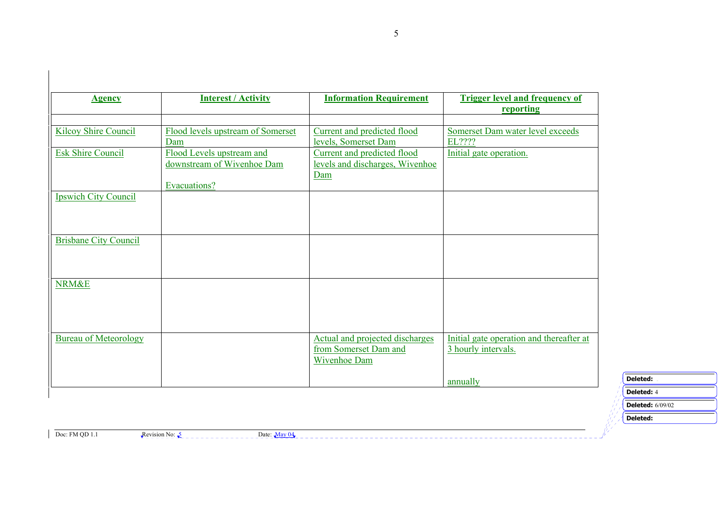| <b>Agency</b>                | <b>Interest / Activity</b>                                              | <b>Information Requirement</b>                                                  | <b>Trigger level and frequency of</b><br>reporting              |
|------------------------------|-------------------------------------------------------------------------|---------------------------------------------------------------------------------|-----------------------------------------------------------------|
| <b>Kilcoy Shire Council</b>  | Flood levels upstream of Somerset<br>Dam                                | Current and predicted flood<br>levels, Somerset Dam                             | Somerset Dam water level exceeds<br>EL????                      |
| <b>Esk Shire Council</b>     | Flood Levels upstream and<br>downstream of Wivenhoe Dam<br>Evacuations? | <b>Current and predicted flood</b><br>levels and discharges, Wivenhoe<br>Dam    | Initial gate operation.                                         |
| <b>Ipswich City Council</b>  |                                                                         |                                                                                 |                                                                 |
| <b>Brisbane City Council</b> |                                                                         |                                                                                 |                                                                 |
| <b>NRM&amp;E</b>             |                                                                         |                                                                                 |                                                                 |
| <b>Bureau of Meteorology</b> |                                                                         | Actual and projected discharges<br>from Somerset Dam and<br><b>Wivenhoe Dam</b> | Initial gate operation and thereafter at<br>3 hourly intervals. |
|                              |                                                                         |                                                                                 | annually                                                        |

**Deleted:** 4

**Deleted:** 6/09/02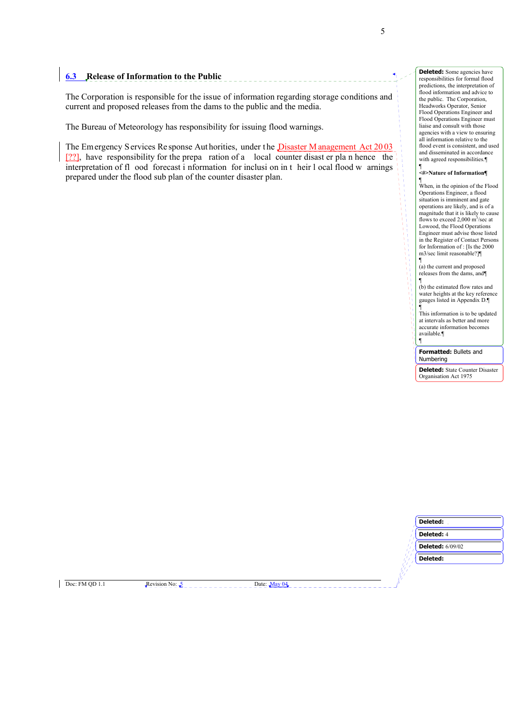### <span id="page-21-0"></span>**6.3 Release of Information to the Public**

The Corporation is responsible for the issue of information regarding storage conditions and current and proposed releases from the dams to the public and the media.

The Bureau of Meteorology has responsibility for issuing flood warnings.

The Emergency S ervices Re sponse Authorities, under the Disaster M anagement Act 2003 [??], have responsibility for the prepa ration of a local counter disast er pla n hence the interpretation of fl ood forecast i nformation for inclusi on in t heir l ocal flood w arnings prepared under the flood sub plan of the counter disaster plan.

**Deleted:** Some agencies have responsibilities for formal flood predictions, the interpretation of flood information and advice to the public. The Corporation, Headworks Operator, Senior Flood Operations Engineer and Flood Operations Engineer must liaise and consult with those agencies with a view to ensuring all information relative to the flood event is consistent, and used and disseminated in accordance with agreed responsibilities.

#### **<#>Nature of Information¶**

¶

¶ When, in the opinion of the Flood Operations Engineer, a flood situation is imminent and gate operations are likely, and is of a magnitude that it is likely to cause flows to exceed  $2,000 \text{ m}^3/\text{sec}$  at Lowood, the Flood Operations Engineer must advise those listed in the Register of Contact Persons for Information of : [Is the 2000 m3/sec limit reasonable?]¶

¶ (a) the current and proposed releases from the dams, and¶ ¶

(b) the estimated flow rates and water heights at the key reference gauges listed in Appendix D.¶ ¶

This information is to be updated at intervals as better and more accurate information becomes available.¶ ¶

#### **Formatted:** Bullets and Numbering

**Deleted:** State Counter Disaster Organisation Act 1975

| Deleted:                |
|-------------------------|
| Deleted: 4              |
| <b>Deleted: 6/09/02</b> |
| Deleted:                |

 $\overline{D}$  Doc: FM QD 1.1 Revision No:  $\frac{5}{2}$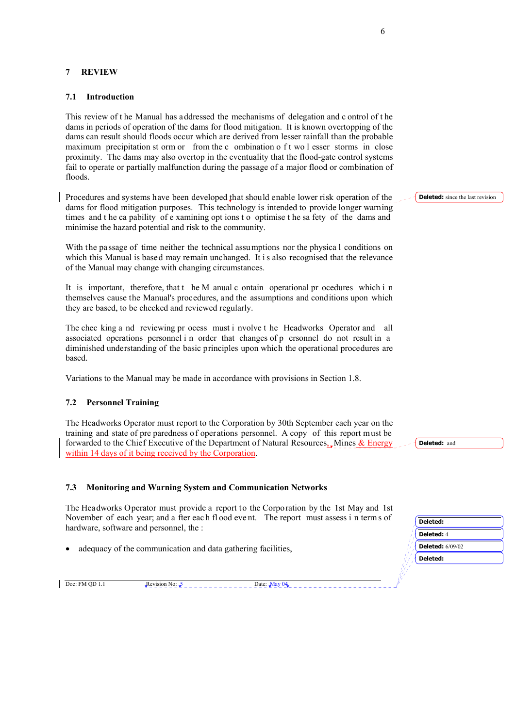#### <span id="page-22-0"></span>**7 REVIEW**

#### **7.1 Introduction**

<span id="page-22-1"></span>This review of t he Manual has addressed the mechanisms of delegation and c ontrol of t he dams in periods of operation of the dams for flood mitigation. It is known overtopping of the dams can result should floods occur which are derived from lesser rainfall than the probable maximum precipitation st orm or from the c ombination o f t wo l esser storms in close proximity. The dams may also overtop in the eventuality that the flood-gate control systems fail to operate or partially malfunction during the passage of a major flood or combination of floods.

Procedures and systems have been developed that should enable lower risk operation of the dams for flood mitigation purposes. This technology is intended to provide longer warning times and t he ca pability of e xamining opt ions t o optimise t he sa fety of the dams and minimise the hazard potential and risk to the community.

With the passage of time neither the technical assumptions nor the physical conditions on which this Manual is based may remain unchanged. It is also recognised that the relevance of the Manual may change with changing circumstances.

It is important, therefore, that t he M anual c ontain operational pr ocedures which i n themselves cause the Manual's procedures, and the assumptions and conditions upon which they are based, to be checked and reviewed regularly.

The chec king a nd reviewing pr ocess must i nvolve t he Headworks Operator and all associated operations personnel i n order that changes of p ersonnel do not result in a diminished understanding of the basic principles upon which the operational procedures are based.

Variations to the Manual may be made in accordance with provisions in Section 1.8.

#### **7.2 Personnel Training**

The Headworks Operator must report to the Corporation by 30th September each year on the training and state of pre paredness of operations personnel. A copy of this report must be forwarded to the Chief Executive of the Department of Natural Resources, Mines & Energy within 14 days of it being received by the Corporation.

#### <span id="page-22-2"></span>**7.3 Monitoring and Warning System and Communication Networks**

The Headworks Operator must provide a report to the Corporation by the 1st May and 1st November of each year; and a fter eac h fl ood eve nt. The report must assess i n term s of hardware, software and personnel, the :

adequacy of the communication and data gathering facilities,

<span id="page-22-3"></span>Doc: FM QD 1.1 Revision No: 5 Date: May 04

**Deleted:** since the last revision

6

**Deleted:** and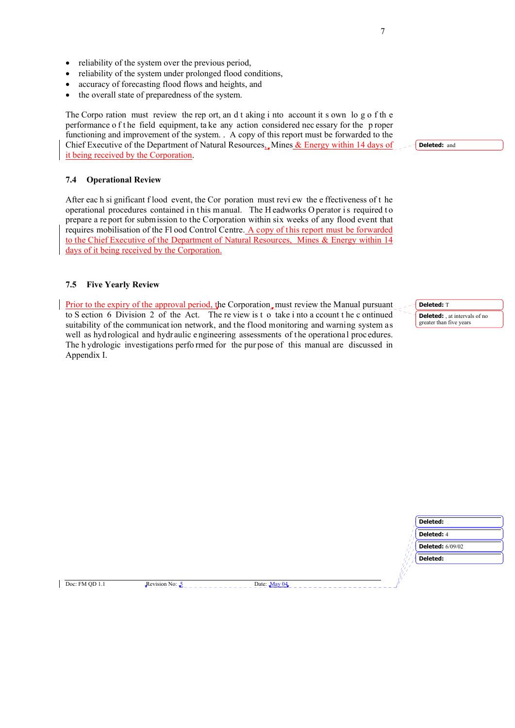- reliability of the system over the previous period,
- reliability of the system under prolonged flood conditions,
- accuracy of forecasting flood flows and heights, and
- the overall state of preparedness of the system.

The Corpo ration must review the rep ort, an d t aking i nto account it s own lo g o f th e performance o f t he field equipment, ta ke any action considered nec essary for the p roper functioning and improvement of the system. . A copy of this report must be forwarded to the Chief Executive of the Department of Natural Resources, Mines  $\&$  Energy within 14 days of it being received by the Corporation.

### **7.4 Operational Review**

<span id="page-23-0"></span>After eac h si gnificant f lood event, the Cor poration must revi ew the e ffectiveness of t he operational procedures contained i n t his m anual. The H eadworks O perator i s required t o prepare a re port for subm ission to the Corporation within six weeks of any flood event that requires mobilisation of the Fl ood Control Centre. A copy of this report must be forwarded to the Chief Executive of the Department of Natural Resources, Mines & Energy within 14 days of it being received by the Corporation.

#### **7.5 Five Yearly Review**

<span id="page-23-1"></span>Prior to the expiry of the approval period, the Corporation, must review the Manual pursuant to S ection 6 Division 2 of the Act. The re view is t o take i nto a ccount t he c ontinued suitability of the communicat ion network, and the flood monitoring and warning system as well as hydrological and hydraulic e ngineering assessments of the operational procedures. The h ydrologic investigations perfo rmed for the pur pose of this manual are discussed in Appendix I.

**Deleted:** T **Deleted:** , at intervals of no greater than five years

| Deleted:                |
|-------------------------|
| Deleted: 4              |
| <b>Deleted: 6/09/02</b> |
| Deleted:                |
|                         |

 $\overline{D}$  Doc: FM QD 1.1 Revision No:  $\frac{5}{2}$ 

**Deleted:** and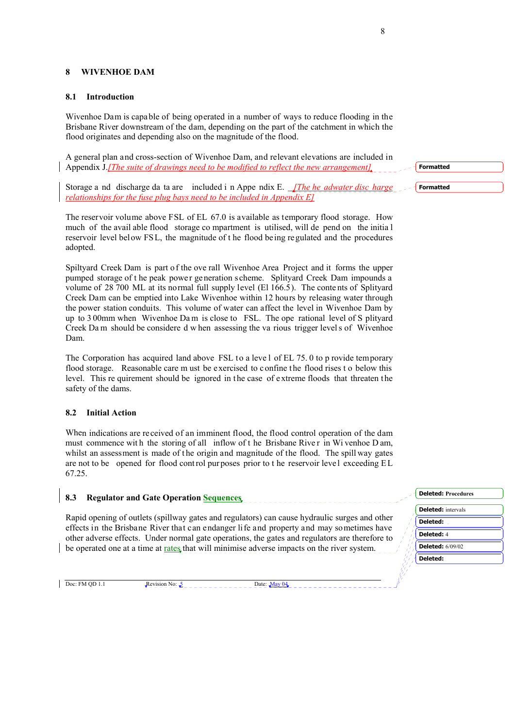### **8 WIVENHOE DAM**

#### <span id="page-24-0"></span>**8.1 Introduction**

<span id="page-24-1"></span>Wivenhoe Dam is capa ble of being operated in a number of ways to reduce flooding in the Brisbane River downstream of the dam, depending on the part of the catchment in which the flood originates and depending also on the magnitude of the flood.

A general plan and cross-section of Wivenhoe Dam, and relevant elevations are included in Appendix J.*[The suite of drawings need to be modified to reflect the new arrangement]*

Storage a nd discharge da ta are included i n Appe ndix E. *[The he adwater disc harge relationships for the fuse plug bays need to be included in Appendix E]*

The reservoir volume above FSL of EL 67.0 is available as temporary flood storage. How much of the avail able flood storage co mpartment is utilised, will de pend on the initia l reservoir level below FSL, the magnitude of t he flood being regulated and the procedures adopted.

Spiltyard Creek Dam is part o f the ove rall Wivenhoe Area Project and it forms the upper pumped storage of t he peak power generation scheme. Splityard Creek Dam impounds a volume of 28 700 ML at its normal full supply level (El 166.5). The conte nts of Splityard Creek Dam can be emptied into Lake Wivenhoe within 12 hours by releasing water through the power station conduits. This volume of water can affect the level in Wivenhoe Dam by up to 3 00mm when Wivenhoe Da m is close to FSL. The ope rational level of S plityard Creek Da m should be considere d w hen assessing the va rious trigger level s of Wivenhoe Dam.

The Corporation has acquired land above FSL to a leve l of EL 75. 0 to p rovide temporary flood storage. Reasonable care m ust be exercised to confine the flood rises t o below this level. This re quirement should be ignored in the case of extreme floods that threaten the safety of the dams.

#### **8.2 Initial Action**

When indications are received of an imminent flood, the flood control operation of the dam must commence with the storing of all inflow of the Brisbane River in Wi venhoe D am, whilst an assessment is made of the origin and magnitude of the flood. The spill way gates are not to be opened for flood cont rol pur poses prior to t he reservoir leve l exceeding E L 67.25.

# <span id="page-24-2"></span>**8.3 Regulator and Gate Operation Sequences**

Rapid opening of outlets (spillway gates and regulators) can cause hydraulic surges and other effects in the Brisbane River that can endanger life and property and may sometimes have other adverse effects. Under normal gate operations, the gates and regulators are therefore to be operated one at a time at rates that will minimise adverse impacts on the river system.

| <b>Deleted: Procedures</b> |
|----------------------------|
| <b>Deleted:</b> intervals  |
| Deleted:                   |
| Deleted: 4                 |
| <b>Deleted: 6/09/02</b>    |
| Deleted:                   |
|                            |

<span id="page-24-3"></span>Doc: FM QD 1.1 Revision No:  $\frac{5}{2}$  Date:  $\frac{May~04}{2}$ 

**Formatted**

**Formatted**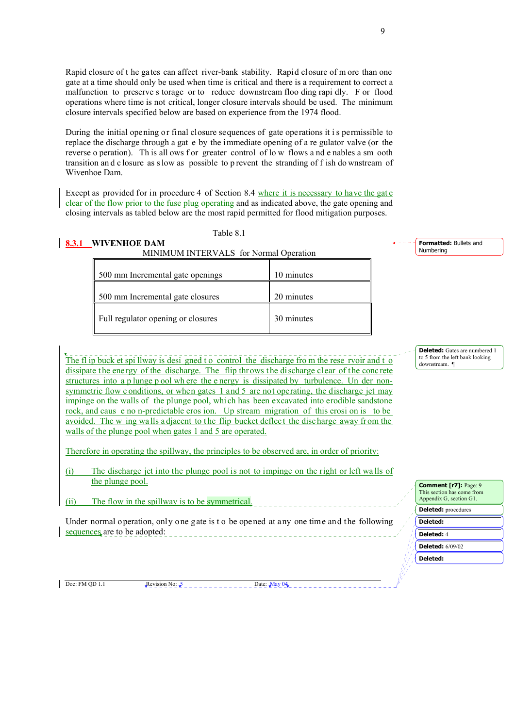Rapid closure of t he gates can affect river-bank stability. Rapid closure of m ore than one gate at a time should only be used when time is critical and there is a requirement to correct a malfunction to preserve s torage or to reduce downstream floo ding rapi dly. F or flood operations where time is not critical, longer closure intervals should be used. The minimum closure intervals specified below are based on experience from the 1974 flood.

During the initial opening or final closure sequences of gate operations it i s permissible to replace the discharge through a gat e by the immediate opening of a re gulator valve (or the reverse o peration). Th is all ows f or greater control of lo w flows a nd e nables a sm ooth transition an d c losure as s low as possible to p revent the stranding of f ish do wnstream of Wivenhoe Dam.

Except as provided for in procedure 4 of Section 8.4 where it is necessary to have the gate clear of the flow prior to the fuse plug operating and as indicated above, the gate opening and closing intervals as tabled below are the most rapid permitted for flood mitigation purposes.

Table 8.1

| WIVENHOE DAM                           |            |  |
|----------------------------------------|------------|--|
| MINIMUM INTERVALS for Normal Operation |            |  |
|                                        |            |  |
| 500 mm Incremental gate openings       | 10 minutes |  |
|                                        |            |  |
| 500 mm Incremental gate closures       | 20 minutes |  |
|                                        |            |  |
| Full regulator opening or closures     | 30 minutes |  |
|                                        |            |  |

The fl ip buck et spi llway is desi gned t o control the discharge from the rese rvoir and t o dissipate the energy of the discharge. The flip throws the discharge clear of the concrete structures into a p lunge p ool wh ere the e nergy is dissipated by turbulence. Un der nonsymmetric flow c onditions, or when gates 1 and 5 are not operating, the discharge jet may impinge on the walls of the plunge pool, whi ch has been excavated into erodible sandstone rock, and caus e no n-predictable eros ion. Up stream migration of this erosi on is to be avoided. The w ing walls a djacent to the flip bucket deflect the disc harge away from the walls of the plunge pool when gates 1 and 5 are operated.

Therefore in operating the spillway, the principles to be observed are, in order of priority:

- (i) The discharge jet into the plunge pool is not to impinge on the right or left wa lls of the plunge pool.
- (ii) The flow in the spillway is to be symmetrical.

Under normal operation, only one gate is t o be opened at any one time and the following sequences are to be adopted:



**8.3.1** 

Doc: FM QD 1.1 Revision No:  $\frac{5}{2}$  \_\_\_\_\_\_\_\_\_\_\_\_\_\_\_ Date:  $\frac{\text{Mac: } \cancel{May} 04}{\text{Area: } \cancel{My}}$ 

**Formatted:** Bullets and Numbering

**Deleted:** Gates are numbered 1 to 5 from the left bank looking downstream. ¶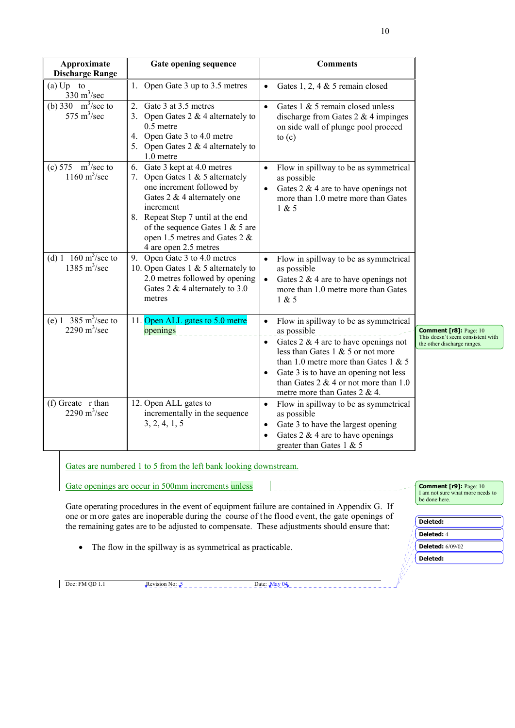<span id="page-26-0"></span>

| Approximate<br><b>Discharge Range</b>                               | Gate opening sequence                                                                                                                                                                                                                                                                  | <b>Comments</b>                                                                                                                                                                                                                                                                                                                               |                                                                                                   |
|---------------------------------------------------------------------|----------------------------------------------------------------------------------------------------------------------------------------------------------------------------------------------------------------------------------------------------------------------------------------|-----------------------------------------------------------------------------------------------------------------------------------------------------------------------------------------------------------------------------------------------------------------------------------------------------------------------------------------------|---------------------------------------------------------------------------------------------------|
| (a) $Up$ to<br>$330 \text{ m}^3/\text{sec}$                         | Open Gate 3 up to 3.5 metres<br>1.                                                                                                                                                                                                                                                     | Gates 1, 2, 4 $\&$ 5 remain closed<br>$\bullet$                                                                                                                                                                                                                                                                                               |                                                                                                   |
| (b) $330 \text{ m}^3/\text{sec}$ to<br>$575 \text{ m}^3/\text{sec}$ | 2. Gate 3 at 3.5 metres<br>3. Open Gates $2 \& 4$ alternately to<br>$0.5$ metre<br>4. Open Gate 3 to 4.0 metre<br>5. Open Gates $2 \& 4$ alternately to<br>1.0 metre                                                                                                                   | Gates 1 & 5 remain closed unless<br>$\bullet$<br>discharge from Gates $2 \& 4$ impinges<br>on side wall of plunge pool proceed<br>to $(c)$                                                                                                                                                                                                    |                                                                                                   |
| (c) 575 $\rm m^3/sec$ to<br>$1160 \text{ m}^3/\text{sec}$           | 6. Gate 3 kept at 4.0 metres<br>Open Gates $1 \& 5$ alternately<br>7.<br>one increment followed by<br>Gates $2 \& 4$ alternately one<br>increment<br>8. Repeat Step 7 until at the end<br>of the sequence Gates $1 \& 5$ are<br>open 1.5 metres and Gates 2 &<br>4 are open 2.5 metres | Flow in spillway to be as symmetrical<br>$\bullet$<br>as possible<br>Gates $2 \& 4$ are to have openings not<br>$\bullet$<br>more than 1.0 metre more than Gates<br>1 & 5                                                                                                                                                                     |                                                                                                   |
| (d) 1 160 m <sup>3</sup> /sec to<br>$1385 \text{ m}^3/\text{sec}$   | 9. Open Gate 3 to 4.0 metres<br>10. Open Gates 1 $\&$ 5 alternately to<br>2.0 metres followed by opening<br>Gates 2 & 4 alternately to $3.0$<br>metres                                                                                                                                 | Flow in spillway to be as symmetrical<br>$\bullet$<br>as possible<br>Gates $2 \& 4$ are to have openings not<br>more than 1.0 metre more than Gates<br>1 & 5                                                                                                                                                                                  |                                                                                                   |
| (e) 1 385 m <sup>3</sup> /sec to<br>$2290 \text{ m}^3/\text{sec}$   | 11. Open ALL gates to 5.0 metre<br>openings                                                                                                                                                                                                                                            | Flow in spillway to be as symmetrical<br>$\bullet$<br>as possible<br>Gates $2 \& 4$ are to have openings not<br>$\bullet$<br>less than Gates $1 \& 5$ or not more<br>than 1.0 metre more than Gates 1 $& 5$<br>Gate 3 is to have an opening not less<br>$\bullet$<br>than Gates $2 \& 4$ or not more than 1.0<br>metre more than Gates 2 & 4. | <b>Comment [r8]: Page: 10</b><br>This doesn't seem consistent with<br>the other discharge ranges. |
| (f) Greate r than<br>$2290 \text{ m}^3/\text{sec}$                  | 12. Open ALL gates to<br>incrementally in the sequence<br>3, 2, 4, 1, 5                                                                                                                                                                                                                | Flow in spillway to be as symmetrical<br>$\bullet$<br>as possible<br>Gate 3 to have the largest opening<br>$\bullet$<br>Gates $2 \& 4$ are to have openings<br>$\bullet$<br>greater than Gates $1 \& 5$                                                                                                                                       |                                                                                                   |

Gates are numbered 1 to 5 from the left bank looking downstream.

Gate openings are occur in 500mm increments unless

Gate operating procedures in the event of equipment failure are contained in Appendix G. If one or m ore gates are inoperable during the course of t he flood event, the gate openings of the remaining gates are to be adjusted to compensate. These adjustments should ensure that:

The flow in the spillway is as symmetrical as practicable.



**Comment [r9]: Page: 10** I am not sure what more needs to

be done here.

Doc: FM QD 1.1 Revision No:  $\frac{5}{2}$  Property Date: May 04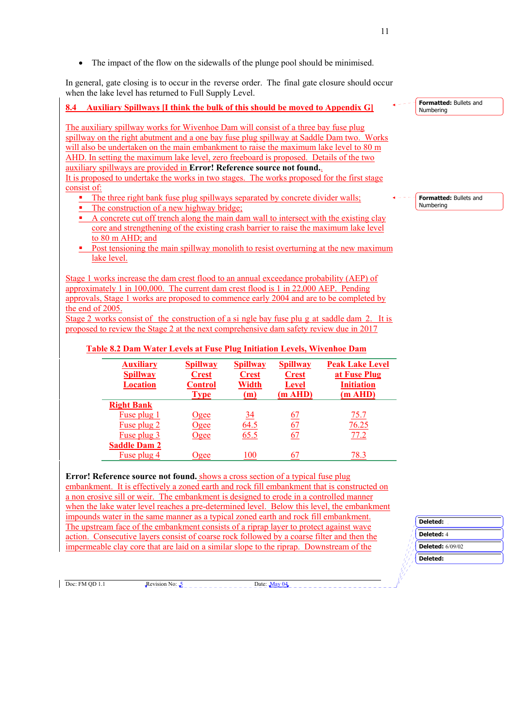• The impact of the flow on the sidewalls of the plunge pool should be minimised.

In general, gate closing is to occur in the reverse order. The final gate closure should occur when the lake level has returned to Full Supply Level.

| <b>Auxiliary Spillways II think the bulk of this should be moved to Appendix GI</b><br>8.4  |  |
|---------------------------------------------------------------------------------------------|--|
|                                                                                             |  |
| The auxiliary spillway works for Wivenhoe Dam will consist of a three bay fuse plug         |  |
| spillway on the right abutment and a one bay fuse plug spillway at Saddle Dam two. Works    |  |
| will also be undertaken on the main embankment to raise the maximum lake level to 80 m      |  |
| AHD. In setting the maximum lake level, zero freeboard is proposed. Details of the two      |  |
| auxiliary spillways are provided in Error! Reference source not found                       |  |
| It is proposed to undertake the works in two stages. The works proposed for the first stage |  |
| consist of:                                                                                 |  |
| The three right bank fuse plug spillways separated by concrete divider walls;               |  |
| The construction of a new highway bridge;                                                   |  |

- A concrete cut off trench along the main dam wall to intersect with the existing clay core and strengthening of the existing crash barrier to raise the maximum lake level to 80 m AHD; and
- Post tensioning the main spillway monolith to resist overturning at the new maximum lake level.

Stage 1 works increase the dam crest flood to an annual exceedance probability (AEP) of approximately 1 in 100,000. The current dam crest flood is 1 in 22,000 AEP. Pending approvals, Stage 1 works are proposed to commence early 2004 and are to be completed by the end of 2005.

Stage 2 works consist of the construction of a si ngle bay fuse plu g at saddle dam 2. It is proposed to review the Stage 2 at the next comprehensive dam safety review due in 2017

#### **Table 8.2 Dam Water Levels at Fuse Plug Initiation Levels, Wivenhoe Dam**

| <b>Auxiliary</b><br><b>Spillway</b><br><b>Location</b> | <b>Spillway</b><br><b>Crest</b><br><b>Control</b><br><b>Type</b> | <b>Spillway</b><br><b>Crest</b><br><b>Width</b><br>(m) | <b>Spillway</b><br><b>Crest</b><br><b>Level</b><br>$(m$ AHD $)$ | <b>Peak Lake Level</b><br>at Fuse Plug<br><b>Initiation</b><br>$(m$ AHD) |
|--------------------------------------------------------|------------------------------------------------------------------|--------------------------------------------------------|-----------------------------------------------------------------|--------------------------------------------------------------------------|
| <b>Right Bank</b>                                      |                                                                  |                                                        |                                                                 |                                                                          |
| Fuse plug 1                                            | $O$ gee                                                          | $\overline{34}$                                        | <u>67</u>                                                       | 75.7                                                                     |
| Fuse plug 2                                            | $O$ gee                                                          | 64.5                                                   | 67                                                              | 76.25                                                                    |
| Fuse plug 3                                            | $O$ gee                                                          | 65.5                                                   | 67                                                              | 77.2                                                                     |
| <b>Saddle Dam 2</b>                                    |                                                                  |                                                        |                                                                 |                                                                          |
| Fuse plug 4                                            | )gee                                                             | l 00                                                   | 67                                                              | 78.3                                                                     |

Error! Reference source not found. shows a cross section of a typical fuse plug embankment. It is effectively a zoned earth and rock fill embankment that is constructed on a non erosive sill or weir. The embankment is designed to erode in a controlled manner when the lake water level reaches a pre-determined level. Below this level, the embankment impounds water in the same manner as a typical zoned earth and rock fill embankment. The upstream face of the embankment consists of a riprap layer to protect against wave action. Consecutive layers consist of coarse rock followed by a coarse filter and then the impermeable clay core that are laid on a similar slope to the riprap. Downstream of the



Doc: FM QD 1.1 Revision No:  $\frac{5}{2}$   $\frac{2}{5}$  Date: May 04

11

**Formatted:** Bullets and Numbering

**Formatted:** Bullets and Numbering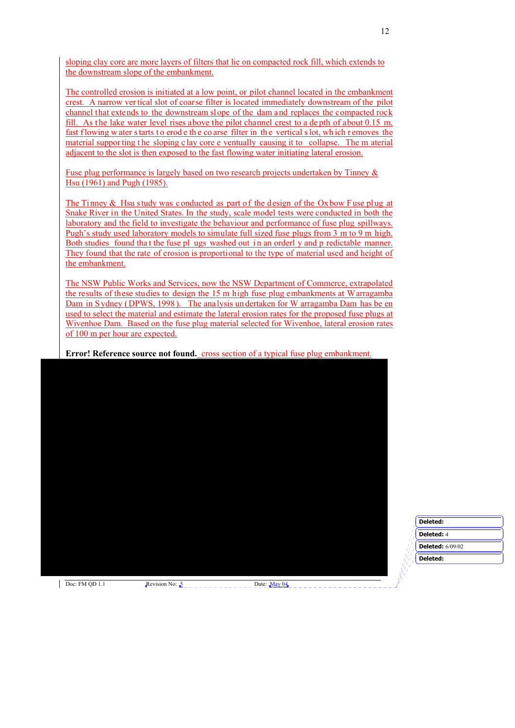sloping clay core are more layers of filters that lie on compacted rock fill, which extends to the downstream slope of the embankment.

The controlled erosion is initiated at a low point, or pilot channel located in the embankment crest. A narrow ver tical slot of coarse filter is located immediately downstream of the pilot channel that extends to the downstream slope of the dam and replaces the compacted rock fill. As the lake water level rises above the pilot channel crest to a depth of about 0.15 m, fast f lowing w ater s tarts to erod e the co arse filter in the vertical s lot, wh ich r emoves the material suppor ting the sloping clay core e ventually causing it to collapse. The m aterial adjacent to the slot is then exposed to the fast flowing water initiating lateral erosion.

Fuse plug performance is largely based on two research projects undertaken by Tinney & Hsu (1961) and Pugh (1985).

The Tinney & Hsu study was conducted as part of the design of the Oxbow Fuse plug at Snake River in the United States. In the study, scale model tests were conducted in both the laboratory and the field to investigate the behaviour and performance of fuse plug spillways. Pugh's study used laboratory models to simulate full sized fuse plugs from 3 m to 9 m high. Both studies found that the fuse pl ugs washed out in an orderly and p redictable manner. They found that the rate of erosion is proportional to the type of material used and height of the embankment.

The NSW Public Works and Services, now the NSW Department of Commerce, extrapolated the results of these studies to design the 15 m high fuse plug embankments at Warragamba Dam in S ydney ( DPWS, 1998 ). The ana lysis un dertaken for W arragamba Dam has be en used to select the material and estimate the lateral erosion rates for the proposed fuse plugs at Wivenhoe Dam. Based on the fuse plug material selected for Wivenhoe, lateral erosion rates of 100 m per hour are expected.

**Error! Reference source not found.** cross section of a typical fuse plug embankment.



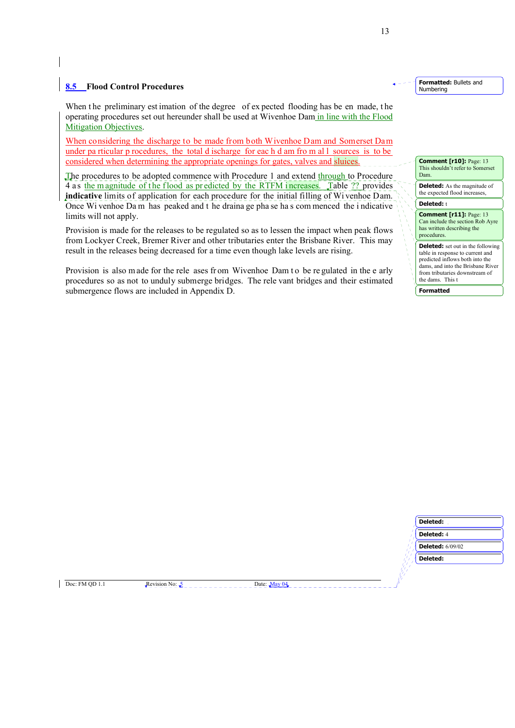# **8.5 Flood Control Procedures**

<span id="page-29-0"></span>When the preliminary est imation of the degree of expected flooding has be en made, the operating procedures set out hereunder shall be used at Wivenhoe Dam in line with the Flood Mitigation Objectives.

When considering the discharge to be made from both Wivenhoe Dam and Somerset Dam under pa rticular p rocedures, the total d ischarge for each d am from all sources is to be considered when determining the appropriate openings for gates, valves and sluices.

The procedures to be adopted commence with Procedure 1 and extend through to Procedure 4 as the m agnitude of the flood as predicted by the RTFM **increases**. Table ?? provides **indicative** limits of application for each procedure for the initial filling of Wi venhoe Dam. Once Wi venhoe Da m has peaked and t he draina ge pha se ha s com menced the i ndicative limits will not apply.

Provision is made for the releases to be regulated so as to lessen the impact when peak flows from Lockyer Creek, Bremer River and other tributaries enter the Brisbane River. This may result in the releases being decreased for a time even though lake levels are rising.

Provision is also m ade for the rele ases from Wivenhoe Dam t o be regulated in the e arly procedures so as not to unduly submerge bridges. The rele vant bridges and their estimated submergence flows are included in Appendix D.

**Formatted:** Bullets and Numbering

> **Comment [r10]: Page: 13** This shouldn't refer to Somerset Dam.

**Deleted:** As the magnitude of the expected flood increases,

**Deleted:** t

**Comment [r11]:** Page: 13 Can include the section Rob Ayre has written describing the procedures.

**Deleted:** set out in the following table in response to current and predicted inflows both into the dams, and into the Brisbane River from tributaries downstream of the dams. This t

**Formatted**

| Deleted:                |
|-------------------------|
| Deleted: 4              |
| <b>Deleted: 6/09/02</b> |
| Deleted:                |
|                         |

Doc: FM QD 1.1 Revision No:  $\frac{5}{2}$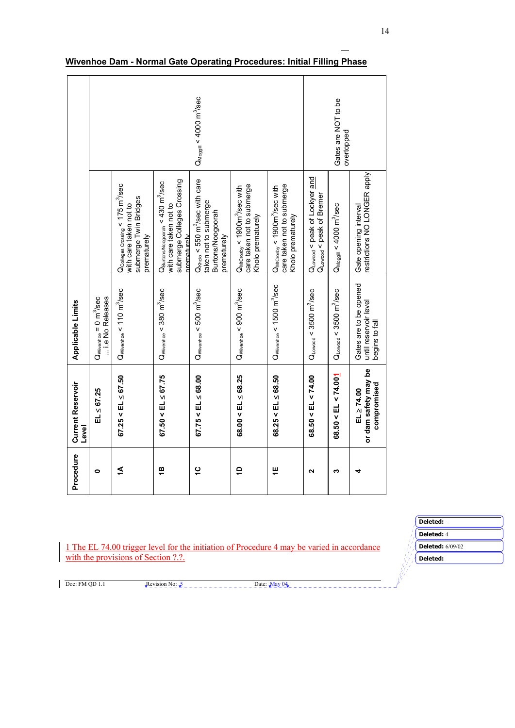| Procedure         | <b>Current Reservoir</b><br><b>Level</b>              | <b>Applicable Limits</b>                                            |                                                                                                                                    |                                                    |
|-------------------|-------------------------------------------------------|---------------------------------------------------------------------|------------------------------------------------------------------------------------------------------------------------------------|----------------------------------------------------|
| 0                 | $EL \leq 67.25$                                       | i.e No Releases<br>$Q_{\text{Wivenhoe}} = 0 \text{ m}^3/\text{sec}$ |                                                                                                                                    |                                                    |
| ₹                 | $67.25 < EL \le 67.50$                                | $Q_{\text{Wivenhoe}} < 110 \text{ m}^3/\text{sec}$                  | $Q_{\text{Colleges Crossing}} < 175 \text{ m}^3/\text{sec}$<br>submerge Twin Bridges<br>with care taken not to<br>prematurely      |                                                    |
| á                 | $67.50 < EL \le 67.75$                                | $Q_{\text{Wivenhoe}}$ < 380 m <sup>3</sup> /sec                     | submerge Colleges Crossing<br>$Q_{\text{Burtons/Noogoorah}} < 430 \text{ m}^3/\text{sec}$<br>with care taken not to<br>orematurely |                                                    |
| 9                 | $67.75 < EL \le 68.00$                                | $Q_{\text{Wivenhoe}}$ < 500 m <sup>3</sup> /sec                     | $Q_{\text{Knolo}} < 550 \text{ m}^3/\text{sec}$ with care<br>taken not to submerge<br>Burtons/Noogoorah<br>prematurely             | $Q_{\text{Moggill}} < 4000 \text{ m}^3/\text{sec}$ |
| Ő                 | $68.00 < EL \le 68.25$                                | $Q_{\text{Wivenhoe}} < 900 \text{ m}^3/\text{sec}$                  | care taken not to submerge<br>$Q_{\text{MICrosby}} < 1900 \text{m}^3/\text{sec}$ with<br>Kholo prematurely                         |                                                    |
| π                 | $68.25 < EL \le 68.50$                                | $Q_{\text{Wiventoe}} < 1500 \text{ m}^3/\text{sec}$                 | care taken not to submerge<br>$Q_{\text{MtCrosby}} < 1900 \text{m}^3/\text{sec}$ with<br>Kholo prematurely                         |                                                    |
| $\mathbf{\Omega}$ | 68.50 < EL < 74.00                                    | $Q_{\text{Lowood}} < 3500 \text{ m}^3/\text{sec}$                   | $Q_{\text{Lowood}}$ < peak of Lockyer and<br>Q <sub>Lowood</sub> < peak of Bremer                                                  |                                                    |
| S                 | 68.50 < EL < 74.001                                   | $Q_{\text{Lowood}} < 3500 \text{ m}^3/\text{sec}$                   | $Q_{\text{Moggill}} < 4000 \text{ m}^3/\text{sec}$                                                                                 | Gates are NOT to be<br>overtopped                  |
| d                 | or dam safety may be<br>compromised<br>$EL \ge 74.00$ | Gates are to be opened<br>until reservoir level<br>begins to fall   | restrictions NO LONGER apply<br>Gate opening interval                                                                              |                                                    |

# **Wivenhoe Dam - Normal Gate Operating Procedures: Initial Filling Phase**

| Deleted:                |
|-------------------------|
| Deleted: 4              |
| <b>Deleted: 6/09/02</b> |
| Deleted:                |
|                         |
|                         |

1 The EL 74.00 trigger level for the initiation of Procedure 4 may be varied in accordance with the provisions of Section ?.?.

<span id="page-30-0"></span>Doc: FM QD 1.1 Revision No: 5 Date: May 04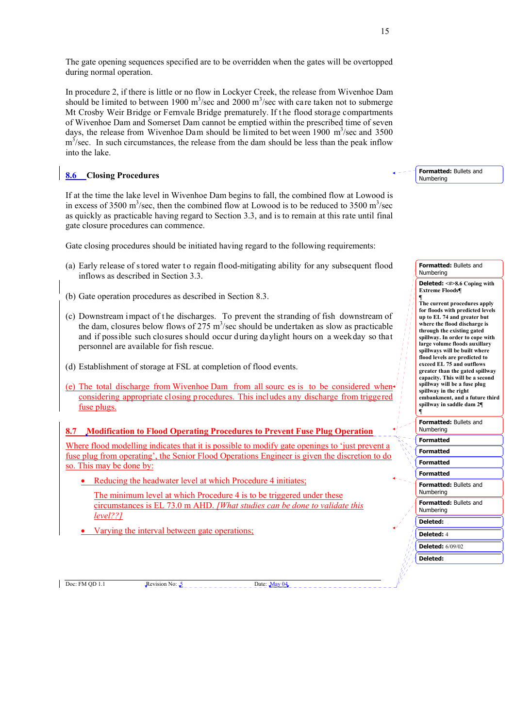The gate opening sequences specified are to be overridden when the gates will be overtopped during normal operation.

In procedure 2, if there is little or no flow in Lockyer Creek, the release from Wivenhoe Dam should be limited to between 1900  $\text{m}^3/\text{sec}$  and 2000  $\text{m}^3/\text{sec}$  with care taken not to submerge Mt Crosby Weir Bridge or Fernvale Bridge prematurely. If t he flood storage compartments of Wivenhoe Dam and Somerset Dam cannot be emptied within the prescribed time of seven days, the release from Wivenhoe Dam should be limited to bet ween 1900  $\text{m}^3/\text{sec}$  and 3500  $m<sup>3</sup>/sec$ . In such circumstances, the release from the dam should be less than the peak inflow into the lake.

# **8.6 Closing Procedures**

<span id="page-31-0"></span>If at the time the lake level in Wivenhoe Dam begins to fall, the combined flow at Lowood is in excess of 3500 m<sup>3</sup>/sec, then the combined flow at Lowood is to be reduced to 3500 m<sup>3</sup>/sec as quickly as practicable having regard to Section 3.3, and is to remain at this rate until final gate closure procedures can commence.

Gate closing procedures should be initiated having regard to the following requirements:

- (a) Early release of s tored water t o regain flood-mitigating ability for any subsequent flood inflows as described in Section 3.3.
- (b) Gate operation procedures as described in Section 8.3.
- (c) Downstream impact of t he discharges. To prevent the stranding of fish downstream of the dam, closures below flows of  $275 \text{ m}^3/\text{sec}$  should be undertaken as slow as practicable and if possible such closures should occur during daylight hours on a weekday so that personnel are available for fish rescue.
- (d) Establishment of storage at FSL at completion of flood events.
- (e) The total discharge from Wivenhoe Dam from all sourc es is to be considered when considering appropriate closing procedures. This includes any discharge from triggered fuse plugs.

**8.7 Modification to Flood Operating Procedures to Prevent Fuse Plug Operation**

Where flood modelling indicates that it is possible to modify gate openings to 'just prevent a fuse plug from operating', the Senior Flood Operations Engineer is given the discretion to do so. This may be done by:

Reducing the headwater level at which Procedure 4 initiates;

The minimum level at which Procedure 4 is to be triggered under these circumstances is EL 73.0 m AHD. *[What studies can be done to validate this level??]*

<span id="page-31-1"></span>Varying the interval between gate operations;

**Formatted:** Bullets and Numbering

> **Formatted:** Bullets and Numbering

**Deleted: <#>8.6 Coping with Extreme Floods¶ ¶**

**The current procedures apply for floods with predicted levels up to EL 74 and greater but where the flood discharge is through the existing gated spillway. In order to cope with large volume floods auxillary spillways will be built where flood levels are predicted to exceed EL 75 and outflows greater than the gated spillway capacity. This will be a second spillway will be a fuse plug spillway in the right embankment, and a future third spillway in saddle dam 2¶ ¶**

**Formatted:** Bullets and Numbering

**Formatted**

**Formatted**

**Formatted**

**Formatted**

**Formatted:** Bullets and Numbering

**Formatted:** Bullets and Numbering

**Deleted:** 

**Deleted:** 6/09/02 **Deleted:** 

**Deleted:** 4

Doc: FM QD 1.1 Revision No:  $\frac{5}{2}$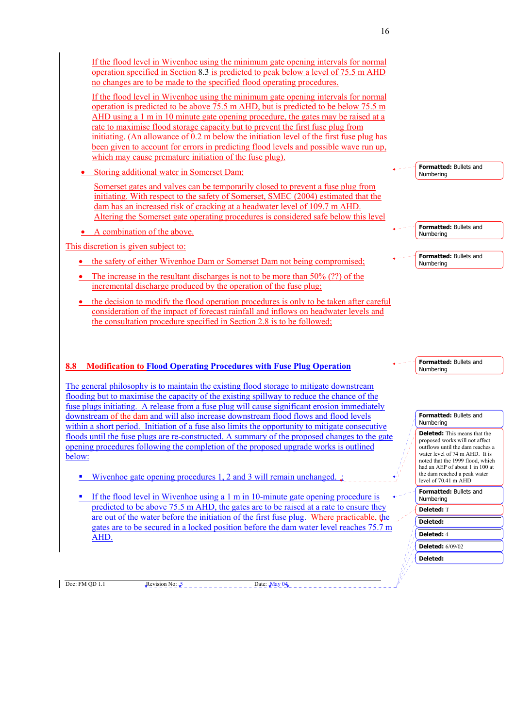

Doc: FM QD 1.1 Revision No:  $\frac{5}{2}$   $\frac{2}{5}$   $\frac{2}{5}$   $\frac{2}{5}$   $\frac{2}{5}$   $\frac{5}{10}$  Date: May 04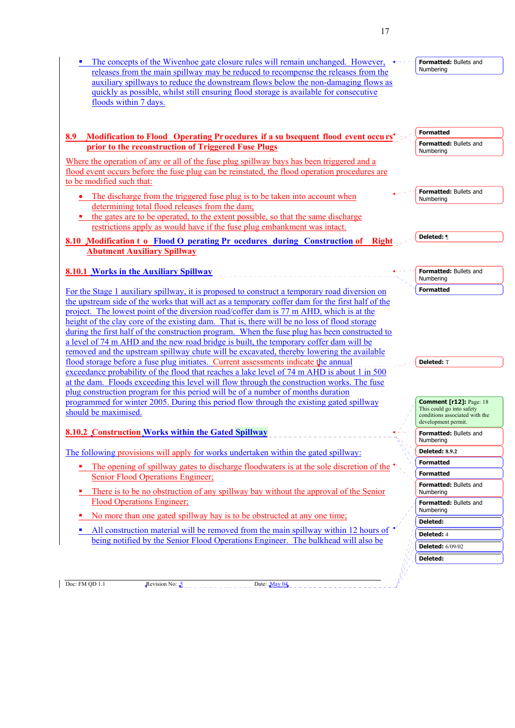| The concepts of the Wivenhoe gate closure rules will remain unchanged. However,<br>releases from the main spillway may be reduced to recompense the releases from the                      | <b>Formatted: Bullets and</b><br>Numbering            |
|--------------------------------------------------------------------------------------------------------------------------------------------------------------------------------------------|-------------------------------------------------------|
| auxiliary spillways to reduce the downstream flows below the non-damaging flows as                                                                                                         |                                                       |
| quickly as possible, whilst still ensuring flood storage is available for consecutive                                                                                                      |                                                       |
| floods within 7 days.                                                                                                                                                                      |                                                       |
|                                                                                                                                                                                            |                                                       |
|                                                                                                                                                                                            |                                                       |
| 8.9<br><b>Modification to Flood Operating Procedures if a subsequent flood event occurs</b>                                                                                                | <b>Formatted</b>                                      |
| prior to the reconstruction of Triggered Fuse Plugs                                                                                                                                        | Formatted: Bullets and                                |
|                                                                                                                                                                                            | Numbering                                             |
| Where the operation of any or all of the fuse plug spillway bays has been triggered and a<br>flood event occurs before the fuse plug can be reinstated, the flood operation procedures are |                                                       |
| to be modified such that:                                                                                                                                                                  |                                                       |
|                                                                                                                                                                                            | <b>Formatted: Bullets and</b>                         |
| The discharge from the triggered fuse plug is to be taken into account when                                                                                                                | Numbering                                             |
| determining total flood releases from the dam;                                                                                                                                             |                                                       |
| the gates are to be operated, to the extent possible, so that the same discharge                                                                                                           |                                                       |
| restrictions apply as would have if the fuse plug embankment was intact.                                                                                                                   |                                                       |
| 8.10 Modification t o Flood O perating Pr ocedures during Construction of Right                                                                                                            | Deleted: ¶                                            |
| <b>Abutment Auxiliary Spillway</b>                                                                                                                                                         |                                                       |
|                                                                                                                                                                                            |                                                       |
| 8.10.1 Works in the Auxiliary Spillway                                                                                                                                                     | Formatted: Bullets and<br>Numbering                   |
| For the Stage 1 auxiliary spillway, it is proposed to construct a temporary road diversion on                                                                                              | <b>Formatted</b>                                      |
| the upstream side of the works that will act as a temporary coffer dam for the first half of the                                                                                           |                                                       |
| project. The lowest point of the diversion road/coffer dam is 77 m AHD, which is at the                                                                                                    |                                                       |
| height of the clay core of the existing dam. That is, there will be no loss of flood storage                                                                                               |                                                       |
| during the first half of the construction program. When the fuse plug has been constructed to                                                                                              |                                                       |
| a level of 74 m AHD and the new road bridge is built, the temporary coffer dam will be                                                                                                     |                                                       |
| removed and the upstream spillway chute will be excavated, thereby lowering the available                                                                                                  |                                                       |
| flood storage before a fuse plug initiates. Current assessments indicate the annual                                                                                                        | <b>Deleted: T</b>                                     |
| exceedance probability of the flood that reaches a lake level of 74 m AHD is about 1 in 500                                                                                                |                                                       |
| at the dam. Floods exceeding this level will flow through the construction works. The fuse                                                                                                 |                                                       |
| plug construction program for this period will be of a number of months duration<br>programmed for winter 2005. During this period flow through the existing gated spillway                | Comment [r12]: Page: 18                               |
| should be maximised.                                                                                                                                                                       | This could go into safety                             |
|                                                                                                                                                                                            | conditions associated with the<br>development permit. |
| 8.10.2 Construction Works within the Gated Spillway                                                                                                                                        | <b>Formatted: Bullets and</b>                         |
|                                                                                                                                                                                            | Numbering                                             |
| The following provisions will apply for works undertaken within the gated spillway:                                                                                                        | <b>Deleted: 8.9.2</b>                                 |
| The opening of spillway gates to discharge floodwaters is at the sole discretion of the                                                                                                    | <b>Formatted</b>                                      |
| Senior Flood Operations Engineer;                                                                                                                                                          | <b>Formatted</b>                                      |
|                                                                                                                                                                                            | <b>Formatted: Bullets and</b>                         |
| There is to be no obstruction of any spillway bay without the approval of the Senior                                                                                                       | Numbering                                             |
| Flood Operations Engineer;                                                                                                                                                                 | Formatted: Bullets and<br>Numbering                   |
| No more than one gated spillway bay is to be obstructed at any one time;                                                                                                                   | Deleted:                                              |
| All construction material will be removed from the main spillway within 12 hours of<br>٠                                                                                                   | <b>Deleted: 4</b>                                     |
|                                                                                                                                                                                            |                                                       |
| being notified by the Senior Flood Operations Engineer. The bulkhead will also be                                                                                                          | <b>Deleted: 6/09/02</b>                               |
|                                                                                                                                                                                            | Deleted:                                              |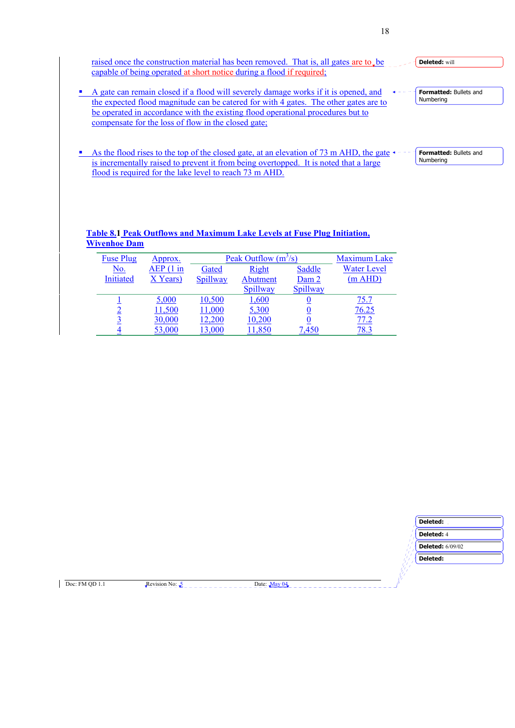| raised once the construction material has been removed. That is, all gates are to be                                                                                                                                                                                                                                  | Deleted: will                              |
|-----------------------------------------------------------------------------------------------------------------------------------------------------------------------------------------------------------------------------------------------------------------------------------------------------------------------|--------------------------------------------|
| capable of being operated at short notice during a flood if required;                                                                                                                                                                                                                                                 |                                            |
| A gate can remain closed if a flood will severely damage works if it is opened, and<br>the expected flood magnitude can be catered for with 4 gates. The other gates are to<br>be operated in accordance with the existing flood operational procedures but to<br>compensate for the loss of flow in the closed gate: | <b>Formatted: Bullets and</b><br>Numbering |
|                                                                                                                                                                                                                                                                                                                       |                                            |
| As the flood rises to the top of the closed gate, at an elevation of 73 m AHD, the gate<br>is incrementally raised to prevent it from being overtopped. It is noted that a large                                                                                                                                      | <b>Formatted: Bullets and</b><br>Numbering |

# **Table 8.1 Peak Outflows and Maximum Lake Levels at Fuse Plug Initiation, Wivenhoe Dam**

| <b>Fuse Plug</b> | Approx.     |          | Peak Outflow $(m^3/s)$ |          | Maximum Lake       |
|------------------|-------------|----------|------------------------|----------|--------------------|
| <u>No.</u>       | $AEP(1)$ in | Gated    | Right                  | Saddle   | <b>Water Level</b> |
| <b>Initiated</b> | X Years)    | Spillway | Abutment               | Dam 2    | (m AHD)            |
|                  |             |          | Spillway               | Spillway |                    |
|                  | 5,000       | 10,500   | 1,600                  | U        | 75.7               |
| ↑                | 11,500      | 11,000   | 5,300                  |          | 76.25              |
| <u>3</u>         | 30,000      | 12,200   | 10,200                 |          | 77.2               |
|                  | 53,000      | 13,000   | 11,850                 | 7,450    | 78.3               |

**Deleted: Deleted:** 4 **Deleted:** 6/09/02 **Deleted:** 

Doc: FM QD 1.1 Revision No: 5 Date: May 04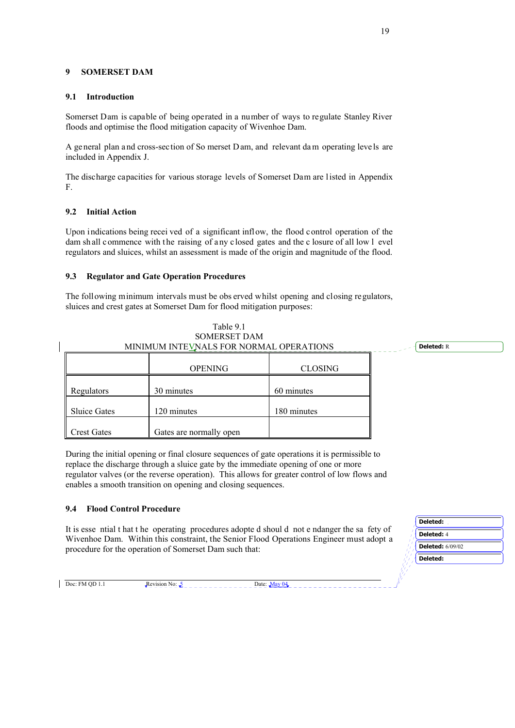#### **9 SOMERSET DAM**

#### <span id="page-35-0"></span>**9.1 Introduction**

<span id="page-35-1"></span>Somerset Dam is capable of being operated in a number of ways to regulate Stanley River floods and optimise the flood mitigation capacity of Wivenhoe Dam.

A general plan and cross-section of So merset D am, and relevant da m operating levels are included in Appendix J.

The discharge capacities for various storage levels of Somerset Dam are l isted in Appendix F.

### **9.2 Initial Action**

<span id="page-35-2"></span>Upon indications being recei ved of a significant inflow, the flood control operation of the dam sh all commence with the raising of any closed gates and the c losure of all low l evel regulators and sluices, whilst an assessment is made of the origin and magnitude of the flood.

### **9.3 Regulator and Gate Operation Procedures**

The following minimum intervals must be obs erved whilst opening and closing regulators, sluices and crest gates at Somerset Dam for flood mitigation purposes:

<span id="page-35-3"></span>

|                     | Table 9.1<br><b>SOMERSET DAM</b><br>MINIMUM INTEVNALS FOR NORMAL OPERATIONS |                | Deleted: R |
|---------------------|-----------------------------------------------------------------------------|----------------|------------|
|                     | <b>OPENING</b>                                                              | <b>CLOSING</b> |            |
| Regulators          | 30 minutes                                                                  | 60 minutes     |            |
| <b>Sluice Gates</b> | 120 minutes                                                                 | 180 minutes    |            |
| <b>Crest Gates</b>  | Gates are normally open                                                     |                |            |

During the initial opening or final closure sequences of gate operations it is permissible to replace the discharge through a sluice gate by the immediate opening of one or more regulator valves (or the reverse operation). This allows for greater control of low flows and enables a smooth transition on opening and closing sequences.

#### **9.4 Flood Control Procedure**

It is esse ntial t hat t he operating procedures adopte d shoul d not e ndanger the sa fety of Wivenhoe Dam. Within this constraint, the Senior Flood Operations Engineer must adopt a procedure for the operation of Somerset Dam such that:



<span id="page-35-4"></span> $\overline{D}$  Doc: FM QD 1.1 Revision No:  $\frac{5}{2}$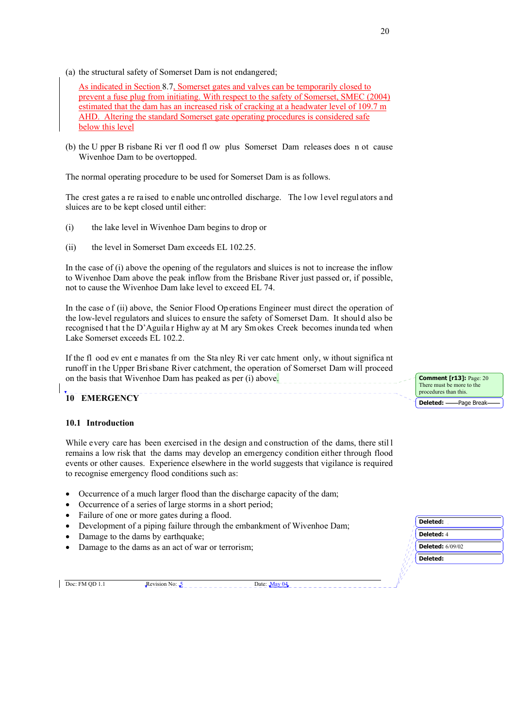(a) the structural safety of Somerset Dam is not endangered;

As indicated in Section [8.7](#page-31-1), Somerset gates and valves can be temporarily closed to prevent a fuse plug from initiating. With respect to the safety of Somerset, SMEC (2004) estimated that the dam has an increased risk of cracking at a headwater level of 109.7 m AHD. Altering the standard Somerset gate operating procedures is considered safe below this level

(b) the U pper B risbane Ri ver fl ood fl ow plus Somerset Dam releases does n ot cause Wivenhoe Dam to be overtopped.

The normal operating procedure to be used for Somerset Dam is as follows.

The crest gates a re raised to enable uncontrolled discharge. The low level regul ators and sluices are to be kept closed until either:

- (i) the lake level in Wivenhoe Dam begins to drop or
- (ii) the level in Somerset Dam exceeds EL 102.25.

In the case of (i) above the opening of the regulators and sluices is not to increase the inflow to Wivenhoe Dam above the peak inflow from the Brisbane River just passed or, if possible, not to cause the Wivenhoe Dam lake level to exceed EL 74.

In the case of (ii) above, the Senior Flood Operations Engineer must direct the operation of the low-level regulators and sluices to ensure the safety of Somerset Dam. It should also be recognised that the D'Aguila r Highw ay at M ary Sm okes Creek becomes inundated when Lake Somerset exceeds EL 102.2.

If the fl ood ev ent e manates fr om the Sta nley Ri ver catc hment only, w ithout significa nt runoff in the Upper Brisbane River catchment, the operation of Somerset Dam will proceed on the basis that Wivenhoe Dam has peaked as per (i) above.

# **10 EMERGENCY**

# **10.1 Introduction**

While every care has been exercised in the design and construction of the dams, there stil l remains a low risk that the dams may develop an emergency condition either through flood events or other causes. Experience elsewhere in the world suggests that vigilance is required to recognise emergency flood conditions such as:

- <span id="page-36-0"></span>Occurrence of a much larger flood than the discharge capacity of the dam;
- <span id="page-36-1"></span>Occurrence of a series of large storms in a short period;
- Failure of one or more gates during a flood.
- Development of a piping failure through the embankment of Wivenhoe Dam;
- Damage to the dams by earthquake:
- Damage to the dams as an act of war or terrorism;



Doc: FM QD 1.1 Revision No:  $\frac{5}{2}$ 

**Comment [r13]:** Page: 20 There must be more to the procedures than this. Deleted: ............. Page Break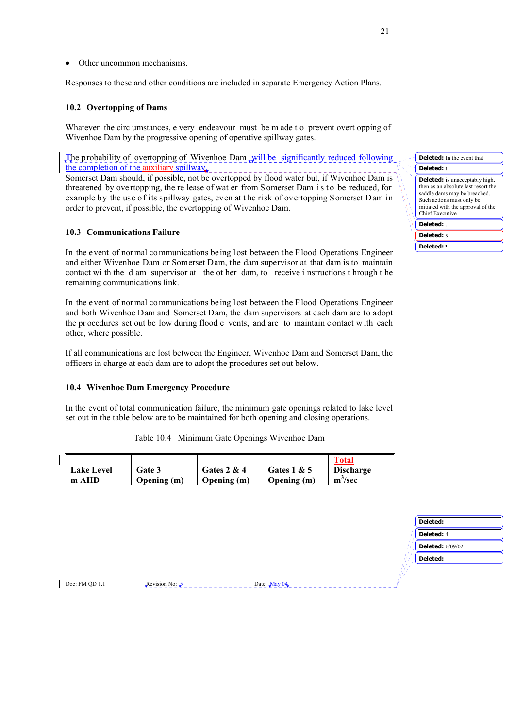Other uncommon mechanisms.

Responses to these and other conditions are included in separate Emergency Action Plans.

### **10.2 Overtopping of Dams**

<span id="page-37-0"></span>Whatever the circ umstances, e very endeavour must be m ade t o prevent overt opping of Wivenhoe Dam by the progressive opening of operative spillway gates.

The probability of overtopping of Wivenhoe Dam will be significantly reduced following the completion of the auxiliary spillway. Somerset Dam should, if possible, not be overtopped by flood water but, if Wivenhoe Dam is threatened by overtopping, the release of wat er from S omerset Dam is to be reduced, for example by the use of its spillway gates, even at t he risk of overtopping Somerset Dam in order to prevent, if possible, the overtopping of Wivenhoe Dam.

### **10.3 Communications Failure**

<span id="page-37-1"></span>In the event of normal communications being lost between the Flood Operations Engineer and either Wivenhoe Dam or Somerset Dam, the dam supervisor at that dam is to maintain contact wi th the d am supervisor at the ot her dam, to receive i nstructions t hrough t he remaining communications link.

In the event of normal communications being lost between the Flood Operations Engineer and both Wivenhoe Dam and Somerset Dam, the dam supervisors at each dam are to adopt the pr ocedures set out be low during flood e vents, and are to maintain c ontact w ith each other, where possible.

If all communications are lost between the Engineer, Wivenhoe Dam and Somerset Dam, the officers in charge at each dam are to adopt the procedures set out below.

#### **10.4 Wivenhoe Dam Emergency Procedure**

In the event of total communication failure, the minimum gate openings related to lake level set out in the table below are to be maintained for both opening and closing operations.

Table 10.4 Minimum Gate Openings Wivenhoe Dam

<span id="page-37-2"></span>

|                   |                    |                    |                      | Total               |
|-------------------|--------------------|--------------------|----------------------|---------------------|
| Lake Level        | Gate 3             | Gates $2 & 4$      | Gates $1 & 5$        | <b>Discharge</b>    |
| $\parallel$ m AHD | <b>Opening</b> (m) | <b>Opening</b> (m) | $\log$ Opening $(m)$ | m <sup>3</sup> /sec |

| <b>Deleted:</b> In the event that                                                                                                                                                                         |  |
|-----------------------------------------------------------------------------------------------------------------------------------------------------------------------------------------------------------|--|
|                                                                                                                                                                                                           |  |
| Deleted: t                                                                                                                                                                                                |  |
| <b>Deleted:</b> is unacceptably high,<br>then as an absolute last resort the<br>saddle dams may be breached.<br>Such actions must only be<br>initiated with the approval of the<br><b>Chief Executive</b> |  |
| Deleted:                                                                                                                                                                                                  |  |
| Deleted: s                                                                                                                                                                                                |  |
| Deleted: ¶                                                                                                                                                                                                |  |

| Deleted:                |
|-------------------------|
| Deleted: 4              |
| <b>Deleted: 6/09/02</b> |
| Deleted:                |
|                         |

Doc: FM QD 1.1 Revision No:  $\frac{5}{2}$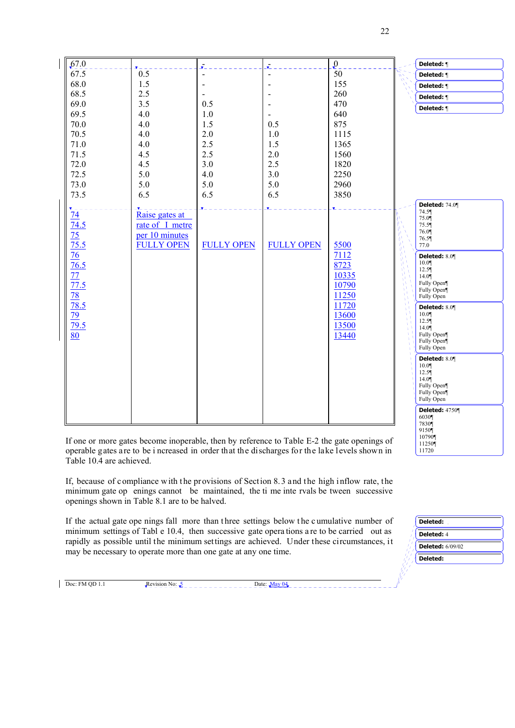| 67.0                                                                          |                   | ÿ.                       |                                                    | $\mathfrak{g}$ |                                        | Deleted: <b>¶</b>       |
|-------------------------------------------------------------------------------|-------------------|--------------------------|----------------------------------------------------|----------------|----------------------------------------|-------------------------|
| 67.5                                                                          | $\overline{0.5}$  |                          |                                                    | 50             |                                        | Deleted: <b>¶</b>       |
| 68.0                                                                          | 1.5               | $\overline{\phantom{0}}$ |                                                    | 155            |                                        | Deleted: ¶              |
| 68.5                                                                          | 2.5               | $\blacksquare$           |                                                    | 260            |                                        | Deleted: ¶              |
| 69.0                                                                          | 3.5               | 0.5                      |                                                    | 470            |                                        | Deleted: ¶              |
| 69.5                                                                          | 4.0               | 1.0                      |                                                    | 640            |                                        |                         |
| 70.0                                                                          | 4.0               | 1.5                      | 0.5                                                | 875            |                                        |                         |
| 70.5                                                                          | 4.0               | 2.0                      | 1.0                                                | 1115           |                                        |                         |
| 71.0                                                                          | 4.0               | 2.5                      | 1.5                                                | 1365           |                                        |                         |
| 71.5                                                                          | 4.5               | 2.5                      | 2.0                                                | 1560           |                                        |                         |
| 72.0                                                                          | 4.5               | 3.0                      | 2.5                                                | 1820           |                                        |                         |
| 72.5                                                                          | 5.0               | 4.0                      | 3.0                                                | 2250           |                                        |                         |
| 73.0                                                                          | 5.0               | 5.0                      | 5.0                                                | 2960           |                                        |                         |
| 73.5                                                                          | 6.5               | 6.5                      | 6.5                                                | 3850           |                                        |                         |
|                                                                               |                   |                          |                                                    |                |                                        | Deleted: 74.0¶<br>74.5¶ |
| $\frac{74}{1}$                                                                | Raise gates at    |                          |                                                    |                |                                        | 75.0¶                   |
|                                                                               | rate of I metre   |                          |                                                    |                |                                        | 75.59<br>76.0¶          |
|                                                                               | per 10 minutes    |                          |                                                    |                |                                        | 76.5¶                   |
| $\frac{74.5}{75}$<br>$\frac{75.5}{76}$                                        | <b>FULLY OPEN</b> | <b>FULLY OPEN</b>        | <b>FULLY OPEN</b>                                  | 5500           |                                        | 77.0                    |
|                                                                               |                   |                          |                                                    | 7112<br>8723   |                                        | Deleted: 8.0¶<br>10.0   |
|                                                                               |                   |                          |                                                    | 10335          | $\hat{u}^{\dagger}$<br>$\mathcal{W}^V$ | 12.5                    |
|                                                                               |                   |                          |                                                    | 10790          | W                                      | 14.0<br>Fully Open¶     |
| $\frac{76.5}{77.5}$ $\frac{77.5}{78.5}$ $\frac{78.5}{79.5}$ $\frac{79.5}{80}$ |                   |                          |                                                    | 11250          |                                        | Fully Open¶             |
|                                                                               |                   |                          |                                                    | 11720          |                                        | Fully Open              |
|                                                                               |                   |                          |                                                    | 13600          |                                        | Deleted: 8.0¶<br>10.0   |
|                                                                               |                   |                          |                                                    | 13500          |                                        | 12.5                    |
|                                                                               |                   |                          |                                                    | 13440          |                                        | 14.0<br>Fully Open¶     |
|                                                                               |                   |                          |                                                    |                |                                        | Fully Open¶             |
|                                                                               |                   |                          |                                                    |                |                                        | Fully Open              |
|                                                                               |                   |                          |                                                    |                |                                        | Deleted: 8.0¶<br>10.0   |
|                                                                               |                   |                          |                                                    |                |                                        | 12.5                    |
|                                                                               |                   |                          |                                                    |                |                                        | 14.0<br>Fully Open¶     |
|                                                                               |                   |                          |                                                    |                |                                        | Fully Open¶             |
|                                                                               |                   |                          |                                                    |                |                                        | Fully Open              |
|                                                                               |                   |                          |                                                    |                |                                        | Deleted: 4750¶<br>6030¶ |
|                                                                               |                   |                          |                                                    |                |                                        | 7830¶                   |
| $T_{\rm L}$                                                                   |                   |                          | $T_{\rm e}1.1_{\rm e}$ $\Gamma$<br>$\bigcap_{i=1}$ |                |                                        | 9150¶<br>10790¶         |

If one or more gates become inoperable, then by reference to Table E-2 the gate openings of operable gates are to be i ncreased in order that the discharges for the lake levels shown in Table 10.4 are achieved.

If, because of compliance with the provisions of Section 8.3 and the high inflow rate, the minimum gate op enings cannot be maintained, the ti me inte rvals be tween successive openings shown in Table 8.1 are to be halved.

If the actual gate ope nings fall more than t hree settings below t he c umulative number of minimum settings of Tabl e 10.4, then successive gate opera tions a re to be carried out as rapidly as possible until the minimum settings are achieved. Under these circumstances, it may be necessary to operate more than one gate at any one time.

**Deleted: Deleted:** 4 **Deleted:** 6/09/02 **Deleted:** 

11250¶ 11720

Doc: FM QD 1.1 Revision No:  $\frac{5}{2}$  Property 2.1 Date:  $\frac{May~04}{2}$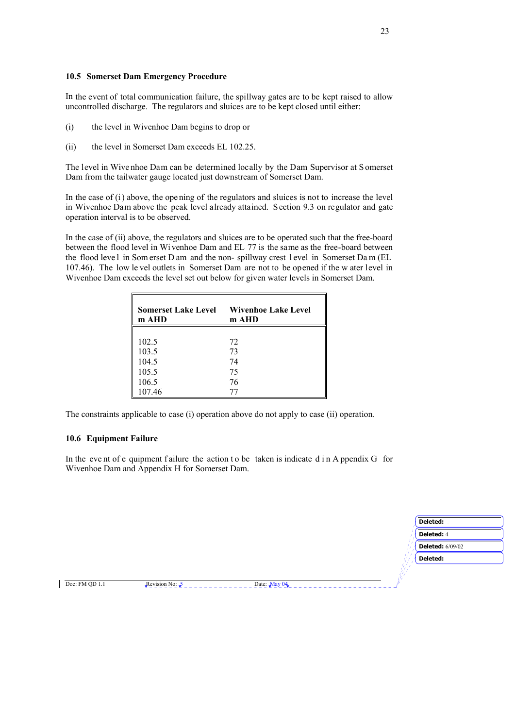#### **10.5 Somerset Dam Emergency Procedure**

<span id="page-39-0"></span>In the event of total communication failure, the spillway gates are to be kept raised to allow uncontrolled discharge. The regulators and sluices are to be kept closed until either:

- (i) the level in Wivenhoe Dam begins to drop or
- (ii) the level in Somerset Dam exceeds EL 102.25.

The level in Wive nhoe Dam can be determined locally by the Dam Supervisor at S omerset Dam from the tailwater gauge located just downstream of Somerset Dam.

In the case of  $(i)$  above, the opening of the regulators and sluices is not to increase the level in Wivenhoe Dam above the peak level already attained. S ection 9.3 on regulator and gate operation interval is to be observed.

In the case of (ii) above, the regulators and sluices are to be operated such that the free-board between the flood level in Wi venhoe Dam and EL 77 is the same as the free-board between the flood level in Som erset D am and the non-spillway crest level in Somerset Dam (EL 107.46). The low le vel outlets in Somerset Dam are not to be opened if the w ater level in Wivenhoe Dam exceeds the level set out below for given water levels in Somerset Dam.

| <b>Somerset Lake Level</b><br>m AHD | <b>Wivenhoe Lake Level</b><br>m AHD |
|-------------------------------------|-------------------------------------|
|                                     |                                     |
| 102.5                               | 72                                  |
| 103.5                               | 73                                  |
| 104.5                               | 74                                  |
| 105.5                               | 75                                  |
| 106.5                               | 76                                  |
| 107.46                              |                                     |

The constraints applicable to case (i) operation above do not apply to case (ii) operation.

#### **10.6 Equipment Failure**

In the event of e quipment f ailure the action to be taken is indicate d in A ppendix  $G$  for Wivenhoe Dam and Appendix H for Somerset Dam.

| Deleted:                |
|-------------------------|
| Deleted: 4              |
| <b>Deleted: 6/09/02</b> |
| Deleted:                |
|                         |

<span id="page-39-1"></span> $\overline{D}$  Doc: FM QD 1.1 Revision No:  $\frac{5}{2}$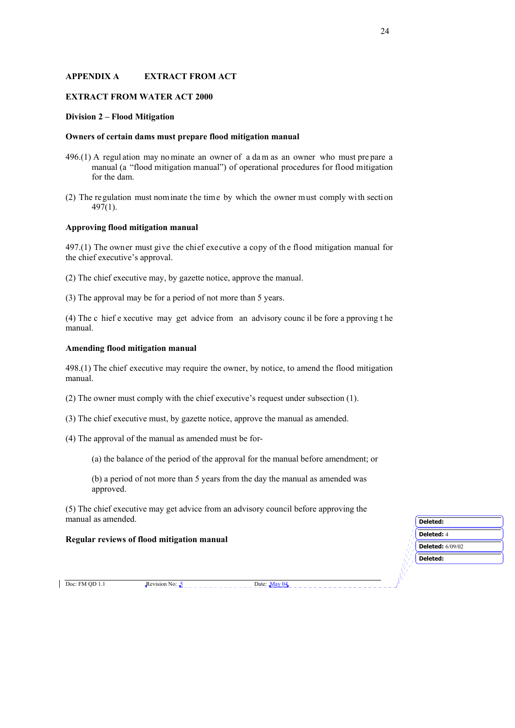#### **APPENDIX A EXTRACT FROM ACT**

#### <span id="page-40-0"></span>**EXTRACT FROM WATER ACT 2000**

#### **Division 2 – Flood Mitigation**

#### **Owners of certain dams must prepare flood mitigation manual**

- 496.(1) A regul ation may no minate an owner of a da m as an owner who must pre pare a manual (a "flood mitigation manual") of operational procedures for flood mitigation for the dam.
- (2) The regulation must nominate the time by which the owner must comply with section 497(1).

#### **Approving flood mitigation manual**

497.(1) The owner must give the chief executive a copy of th e flood mitigation manual for the chief executive's approval.

(2) The chief executive may, by gazette notice, approve the manual.

(3) The approval may be for a period of not more than 5 years.

(4) The c hief e xecutive may get advice from an advisory counc il be fore a pproving t he manual.

#### **Amending flood mitigation manual**

498.(1) The chief executive may require the owner, by notice, to amend the flood mitigation manual.

(2) The owner must comply with the chief executive's request under subsection (1).

- (3) The chief executive must, by gazette notice, approve the manual as amended.
- (4) The approval of the manual as amended must be for-

(a) the balance of the period of the approval for the manual before amendment; or

(b) a period of not more than 5 years from the day the manual as amended was approved.

(5) The chief executive may get advice from an advisory council before approving the manual as amended.

#### **Regular reviews of flood mitigation manual**



 $\overline{D}$  Doc: FM QD 1.1 Revision No:  $\frac{5}{2}$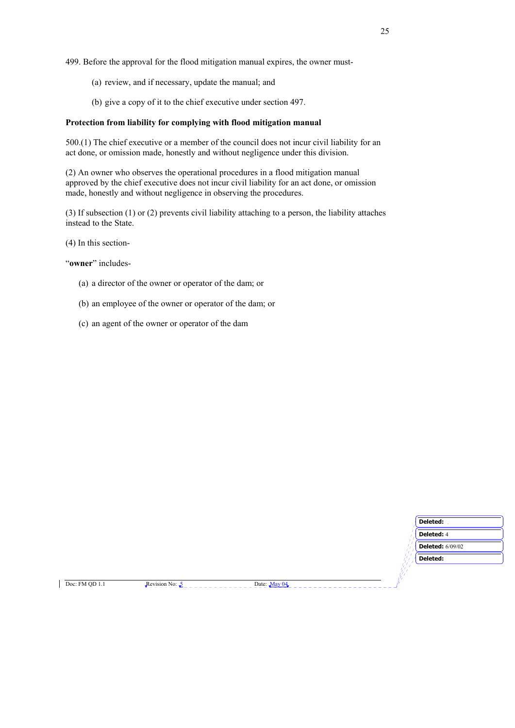499. Before the approval for the flood mitigation manual expires, the owner must-

- (a) review, and if necessary, update the manual; and
- (b) give a copy of it to the chief executive under section 497.

#### **Protection from liability for complying with flood mitigation manual**

500.(1) The chief executive or a member of the council does not incur civil liability for an act done, or omission made, honestly and without negligence under this division.

(2) An owner who observes the operational procedures in a flood mitigation manual approved by the chief executive does not incur civil liability for an act done, or omission made, honestly and without negligence in observing the procedures.

(3) If subsection (1) or (2) prevents civil liability attaching to a person, the liability attaches instead to the State.

(4) In this section-

"**owner**" includes-

- (a) a director of the owner or operator of the dam; or
- (b) an employee of the owner or operator of the dam; or
- (c) an agent of the owner or operator of the dam

| Deleted:                |
|-------------------------|
| Deleted: 4              |
| <b>Deleted: 6/09/02</b> |
| Deleted:                |

Doc: FM QD 1.1 Revision No:  $\frac{5}{2}$  Property Date: May 04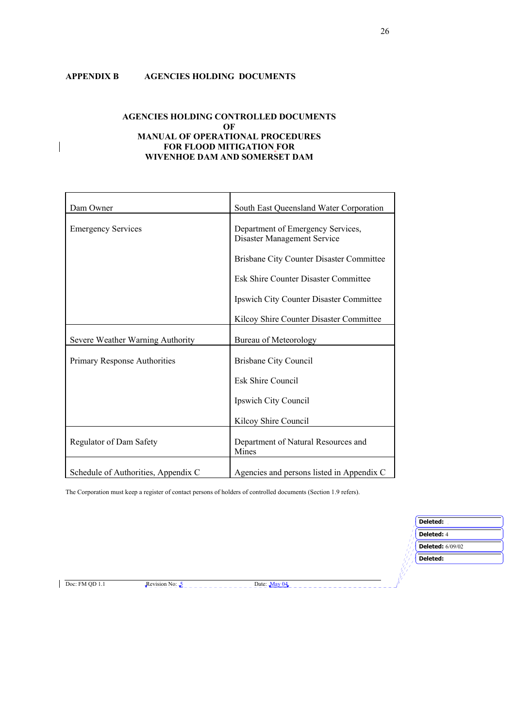# <span id="page-42-0"></span>**APPENDIX B AGENCIES HOLDING DOCUMENTS**

# **AGENCIES HOLDING CONTROLLED DOCUMENTS OF MANUAL OF OPERATIONAL PROCEDURES FOR FLOOD MITIGATION FOR WIVENHOE DAM AND SOMERSET DAM**

| Dam Owner                           | South East Queensland Water Corporation                                 |
|-------------------------------------|-------------------------------------------------------------------------|
|                                     |                                                                         |
| <b>Emergency Services</b>           | Department of Emergency Services,<br><b>Disaster Management Service</b> |
|                                     | <b>Brisbane City Counter Disaster Committee</b>                         |
|                                     | Esk Shire Counter Disaster Committee                                    |
|                                     | <b>Ipswich City Counter Disaster Committee</b>                          |
|                                     | Kilcoy Shire Counter Disaster Committee                                 |
| Severe Weather Warning Authority    | <b>Bureau of Meteorology</b>                                            |
| Primary Response Authorities        | <b>Brisbane City Council</b>                                            |
|                                     | Esk Shire Council                                                       |
|                                     | Ipswich City Council                                                    |
|                                     | Kilcoy Shire Council                                                    |
| Regulator of Dam Safety             | Department of Natural Resources and<br>Mines                            |
| Schedule of Authorities, Appendix C | Agencies and persons listed in Appendix C                               |

The Corporation must keep a register of contact persons of holders of controlled documents (Section 1.9 refers).

**Deleted: Deleted:** 4 **Deleted:** 6/09/02 **Deleted:** 

 $\overline{\phantom{a}}$ 

Doc: FM QD 1.1 Revision No: 5 Date: May 04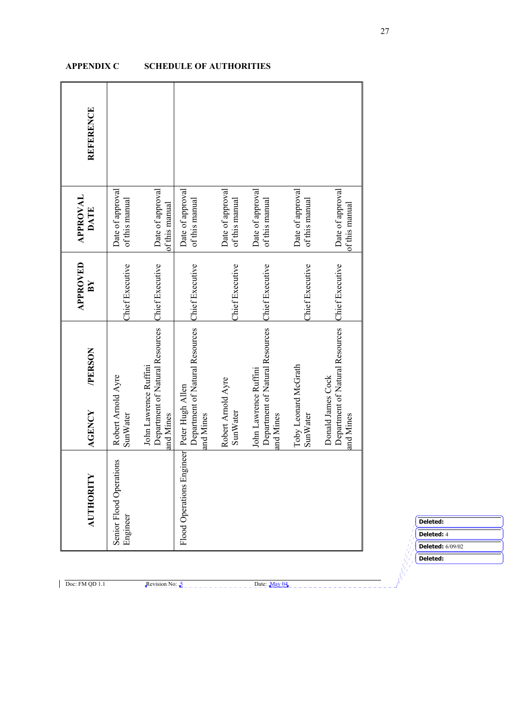<span id="page-43-0"></span>

| <b>REFERENCE</b>                         |                                                 |                                                                       |                                              |                                    |                                                                       |                                          |                                                                   |
|------------------------------------------|-------------------------------------------------|-----------------------------------------------------------------------|----------------------------------------------|------------------------------------|-----------------------------------------------------------------------|------------------------------------------|-------------------------------------------------------------------|
| <b>APPROVAL</b><br><b>DATE</b>           | Date of approval<br>of this manual              | Date of approval<br>of this manual                                    | Date of approval<br>of this manual           | Date of approval<br>of this manual | Date of approval<br>of this manual                                    | Date of approval<br>of this manual       | Date of approval<br>of this manual                                |
| <b>APPROVED</b><br>$\mathbf{B}^{\prime}$ | Chief Executive                                 | Chief Executive                                                       | <b>Chief Executive</b>                       | Chief Executive                    | <b>Chief Executive</b>                                                | Chief Executive                          | Chief Executive                                                   |
| <b>PERSON</b><br>AGENCY                  | Robert Arnold Ayre<br><b>Sun Water</b>          | Department of Natural Resources<br>John Lawrence Ruffini<br>and Mines | Department of Natural Resources<br>and Mines | Robert Arnold Ayre<br>SunWater     | Department of Natural Resources<br>John Lawrence Ruffini<br>and Mines | Toby Leonard McGrath<br><b>Sun Water</b> | Department of Natural Resources<br>Donald James Cock<br>and Mines |
| AUTHORITY                                | <b>LONS</b><br>Senior Flood Operati<br>Engineer |                                                                       | Flood Operations Engineer Peter Hugh Allen   |                                    |                                                                       |                                          |                                                                   |

**Deleted: Deleted:** 4 **Deleted:** 6/09/02 **Deleted:** 

**APPENDIX C SCHEDULE OF AUTHORITIES** 

Doc: FM QD 1.1 Revision No: 5 Date: May 04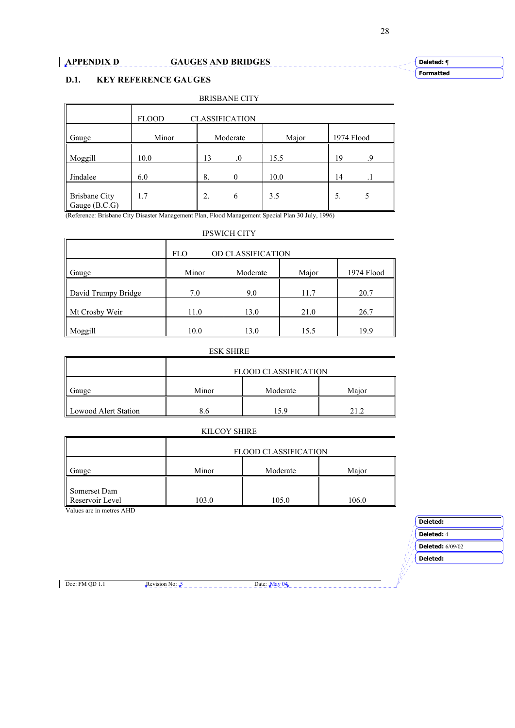# <span id="page-44-1"></span><span id="page-44-0"></span>**APPENDIX D GAUGES AND BRIDGES**

# **D.1. KEY REFERENCE GAUGES**

|                                       | <b>FLOOD</b> | <b>CLASSIFICATION</b> |       |                 |
|---------------------------------------|--------------|-----------------------|-------|-----------------|
| Gauge                                 | Minor        | Moderate              | Major | 1974 Flood      |
| Moggill                               | 10.0         | 13<br>$\cdot$         | 15.5  | 19<br>9.        |
| Jindalee                              | 6.0          | 8.<br>$\Omega$        | 10.0  | 14<br>$\cdot$ 1 |
| <b>Brisbane City</b><br>Gauge (B.C.G) | 1.7          | 2.<br>6               | 3.5   | 5.              |

BRISBANE CITY

(Reference: Brisbane City Disaster Management Plan, Flood Management Special Plan 30 July, 1996)

| <b>IPSWICH CITY</b>                    |                                          |      |      |      |  |
|----------------------------------------|------------------------------------------|------|------|------|--|
| <b>FLO</b><br><b>OD CLASSIFICATION</b> |                                          |      |      |      |  |
| Gauge                                  | Minor<br>Major<br>1974 Flood<br>Moderate |      |      |      |  |
| David Trumpy Bridge                    | 7.0                                      | 9.0  | 11.7 | 20.7 |  |
| Mt Crosby Weir                         | 11.0                                     | 13.0 | 21.0 | 26.7 |  |
| Moggill                                | 10.0                                     | 13.0 | 15.5 | 19.9 |  |

### ESK SHIRE

|                             | <b>FLOOD CLASSIFICATION</b> |          |       |  |  |
|-----------------------------|-----------------------------|----------|-------|--|--|
| Gauge                       | Minor                       | Moderate | Major |  |  |
| <b>Lowood Alert Station</b> | s.b                         | 159      | 21.2  |  |  |

### KILCOY SHIRE

|                 | <b>FLOOD CLASSIFICATION</b> |          |       |  |  |  |  |  |  |  |  |
|-----------------|-----------------------------|----------|-------|--|--|--|--|--|--|--|--|
| <b>Gauge</b>    | Minor                       | Moderate | Major |  |  |  |  |  |  |  |  |
| Somerset Dam    |                             |          |       |  |  |  |  |  |  |  |  |
| Reservoir Level | 103.0                       | 105.0    | 106.0 |  |  |  |  |  |  |  |  |

Values are in metres AHD

F

**Deleted: Deleted:** 4 **Deleted:** 6/09/02 **Deleted:** 

Doc: FM QD 1.1 Revision No: 5 Date: May 04

\_\_\_\_\_\_\_\_\_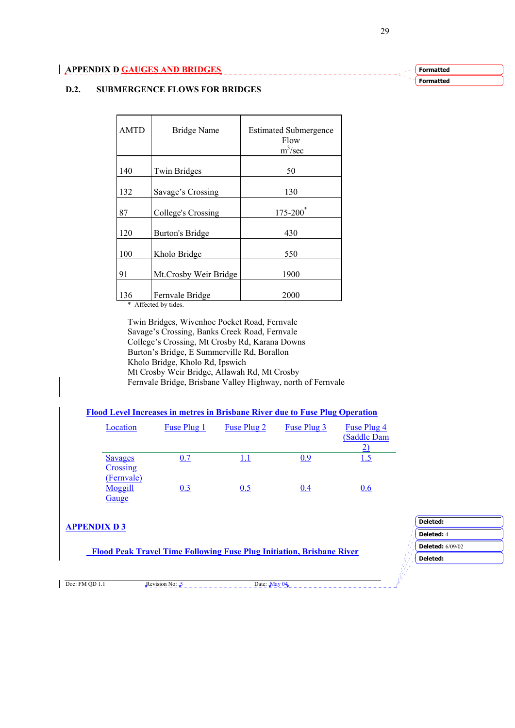# <span id="page-45-0"></span>**D.2. SUBMERGENCE FLOWS FOR BRIDGES**

| <b>AMTD</b> | <b>Bridge Name</b>     | <b>Estimated Submergence</b><br>Flow<br>$m^3/sec$ |
|-------------|------------------------|---------------------------------------------------|
| 140         | Twin Bridges           | 50                                                |
| 132         | Savage's Crossing      | 130                                               |
| 87          | College's Crossing     | $175 - 200^*$                                     |
| 120         | <b>Burton's Bridge</b> | 430                                               |
| 100         | Kholo Bridge           | 550                                               |
| 91          | Mt.Crosby Weir Bridge  | 1900                                              |
| 136         | Fernvale Bridge        | 2000                                              |

\_\_\_\_\_\_\_\_\_\_\_\_

\* Affected by tides.

Twin Bridges, Wivenhoe Pocket Road, Fernvale Savage's Crossing, Banks Creek Road, Fernvale College's Crossing, Mt Crosby Rd, Karana Downs Burton's Bridge, E Summerville Rd, Borallon Kholo Bridge, Kholo Rd, Ipswich Mt Crosby Weir Bridge, Allawah Rd, Mt Crosby Fernvale Bridge, Brisbane Valley Highway, north of Fernvale

# **Flood Level Increases in metres in Brisbane River due to Fuse Plug Operation**

| Location                                 | <b>Fuse Plug 1</b> | <b>Fuse Plug 2</b> | <b>Fuse Plug 3</b> | <b>Fuse Plug 4</b><br>(Saddle Dam |
|------------------------------------------|--------------------|--------------------|--------------------|-----------------------------------|
| <b>Savages</b><br>Crossing<br>(Fernvale) | $0.7\,$            | 1.1                | 0.9                | L.5                               |
| Moggill<br>Gauge                         | 0.3                | 0.5                | 0.4                | 0.6                               |

# **APPENDIX D 3**

 **Flood Peak Travel Time Following Fuse Plug Initiation, Brisbane River**



Doc: FM QD 1.1 Revision No:  $\frac{5}{2}$   $\frac{9}{2}$   $\frac{94}{2}$  Date: May 04

29

**Formatted Formatted**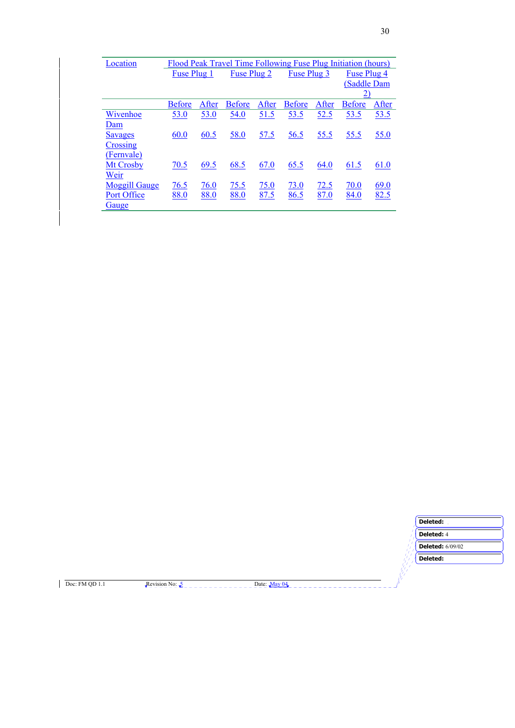| Location             |                    |       | Flood Peak Travel Time Following Fuse Plug Initiation (hours) |       |                    |       |                 |             |
|----------------------|--------------------|-------|---------------------------------------------------------------|-------|--------------------|-------|-----------------|-------------|
|                      | <b>Fuse Plug 1</b> |       | Fuse Plug 2                                                   |       | <b>Fuse Plug 3</b> |       | Fuse Plug 4     |             |
|                      |                    |       |                                                               |       |                    |       | (Saddle Dam     |             |
|                      |                    |       |                                                               |       |                    |       | $\overline{2)}$ |             |
|                      | <b>Before</b>      | After | <b>Before</b>                                                 | After | <b>Before</b>      | After | <b>Before</b>   | After       |
| Wivenhoe             | 53.0               | 53.0  | 54.0                                                          | 51.5  | 53.5               | 52.5  | 53.5            | 53.5        |
| Dam                  |                    |       |                                                               |       |                    |       |                 |             |
| <b>Savages</b>       | 60.0               | 60.5  | 58.0                                                          | 57.5  | 56.5               | 55.5  | 55.5            | <u>55.0</u> |
| Crossing             |                    |       |                                                               |       |                    |       |                 |             |
| (Fernyale)           |                    |       |                                                               |       |                    |       |                 |             |
| <b>Mt Crosby</b>     | 70.5               | 69.5  | 68.5                                                          | 67.0  | 65.5               | 64.0  | 61.5            | 61.0        |
| Weir                 |                    |       |                                                               |       |                    |       |                 |             |
| <b>Moggill Gauge</b> | 76.5               | 76.0  | 75.5                                                          | 75.0  | 73.0               | 72.5  | 70.0            | 69.0        |
| Port Office          | 88.0               | 88.0  | 88.0                                                          | 87.5  | 86.5               | 87.0  | 84.0            | 82.5        |
| Gauge                |                    |       |                                                               |       |                    |       |                 |             |



 $\overline{D}$  Doc: FM QD 1.1 Revision No:  $\frac{5}{5}$  - - - - - - - - - - - - Date:  $\frac{May~04}{5}$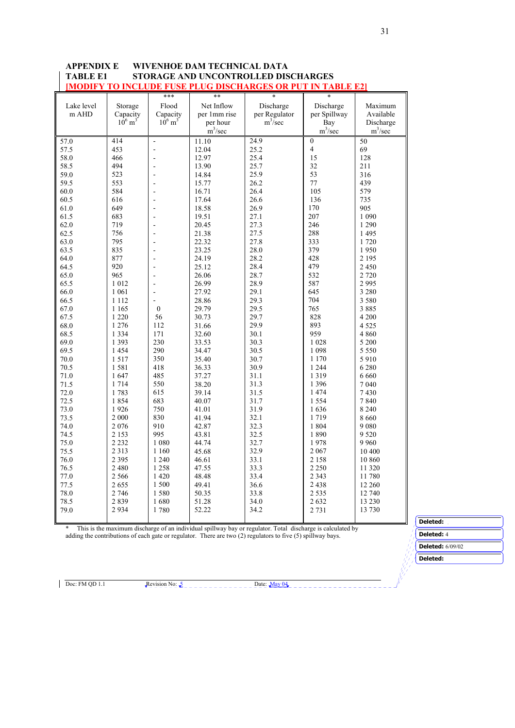| <b>APPENDIX E</b> | WIVENHOE DAM TECHNICAL DATA                                        |
|-------------------|--------------------------------------------------------------------|
| TABLE E1          | STORAGE AND UNCONTROLLED DISCHARGES                                |
|                   | <b>[MODIFY TO INCLUDE FUSE PLUG DISCHARGES OR PUT IN TABLE E2]</b> |

<span id="page-47-1"></span><span id="page-47-0"></span>

|            |                    | ***                | $**$         | $\ast$        | $\ast$         |           |
|------------|--------------------|--------------------|--------------|---------------|----------------|-----------|
| Lake level | Storage            | Flood              | Net Inflow   | Discharge     | Discharge      | Maximum   |
| m AHD      | Capacity           | Capacity           | per 1mm rise | per Regulator | per Spillway   | Available |
|            | $10^6 \text{ m}^3$ | $10^6 \text{ m}^3$ | per hour     | $m^3$ /sec    | Bay            | Discharge |
|            |                    |                    | $m^3/sec$    |               | $m^3/sec$      | $m^3/sec$ |
| 57.0       | 414                | $\overline{a}$     | 11.10        | 24.9          | $\mathbf{0}$   | 50        |
| 57.5       | 453                | $\overline{a}$     | 12.04        | 25.2          | $\overline{4}$ | 69        |
| 58.0       | 466                |                    | 12.97        | 25.4          | 15             | 128       |
| 58.5       | 494                |                    | 13.90        | 25.7          | 32             | 211       |
| 59.0       | 523                |                    | 14.84        | 25.9          | 53             | 316       |
| 59.5       | 553                | ٠                  | 15.77        | 26.2          | 77             | 439       |
| 60.0       | 584                | $\overline{a}$     | 16.71        | 26.4          | 105            | 579       |
| 60.5       | 616                |                    | 17.64        | 26.6          | 136            | 735       |
| 61.0       | 649                |                    | 18.58        | 26.9          | 170            | 905       |
| 61.5       | 683                |                    | 19.51        | 27.1          | 207            | 1 0 9 0   |
| 62.0       | 719                | $\overline{a}$     | 20.45        | 27.3          | 246            | 1 2 9 0   |
| 62.5       | 756                |                    | 21.38        | 27.5          | 288            | 1 4 9 5   |
| 63.0       | 795                |                    | 22.32        | 27.8          | 333            | 1720      |
| 63.5       | 835                |                    | 23.25        | 28.0          | 379            | 1950      |
| 64.0       | 877                |                    | 24.19        | 28.2          | 428            | 2 1 9 5   |
| 64.5       | 920                |                    | 25.12        | 28.4          | 479            | 2 4 5 0   |
| 65.0       | 965                |                    | 26.06        | 28.7          | 532            | 2 7 2 0   |
| 65.5       | 1012               |                    | 26.99        | 28.9          | 587            | 2995      |
| 66.0       | 1 0 6 1            |                    | 27.92        | 29.1          | 645            | 3 2 8 0   |
| 66.5       | 1 1 1 2            |                    | 28.86        | 29.3          | 704            | 3 5 8 0   |
| 67.0       | 1 1 6 5            | $\mathbf{0}$       | 29.79        | 29.5          | 765            | 3885      |
| 67.5       | 1 2 2 0            | 56                 | 30.73        | 29.7          | 828            | 4 200     |
| 68.0       | 1 2 7 6            | 112                | 31.66        | 29.9          | 893            | 4 5 2 5   |
| 68.5       | 1 3 3 4            | 171                | 32.60        | 30.1          | 959            | 4 8 6 0   |
| 69.0       | 1 3 9 3            | 230                | 33.53        | 30.3          | 1028           | 5 200     |
| 69.5       | 1454               | 290                | 34.47        | 30.5          | 1 0 9 8        | 5 5 5 0   |
| 70.0       | 1517               | 350                | 35.40        | 30.7          | 1 1 7 0        | 5910      |
| 70.5       | 1581               | 418                | 36.33        | 30.9          | 1 2 4 4        | 6 2 8 0   |
| 71.0       | 1647               | 485                | 37.27        | 31.1          | 1319           | 6 6 6 0   |
| 71.5       | 1714               | 550                | 38.20        | 31.3          | 1 3 9 6        | 7 0 4 0   |
| 72.0       | 1783               | 615                | 39.14        | 31.5          | 1474           | 7430      |
| 72.5       | 1854               | 683                | 40.07        | 31.7          | 1554           | 7840      |
| 73.0       | 1926               | 750                | 41.01        | 31.9          | 1636           | 8 2 4 0   |
| 73.5       | 2 000              | 830                | 41.94        | 32.1          | 1719           | 8 6 6 0   |
| 74.0       | 2076               | 910                | 42.87        | 32.3          | 1 804          | 9 0 8 0   |
| 74.5       | 2 1 5 3            | 995                | 43.81        | 32.5          | 1890           | 9 5 20    |
| 75.0       | 2 2 3 2            | 1 0 8 0            | 44.74        | 32.7          | 1978           | 9 9 6 0   |
| 75.5       | 2 3 1 3            | 1 1 6 0            | 45.68        | 32.9          | 2067           | 10 400    |
| 76.0       | 2 3 9 5            | 1 2 4 0            | 46.61        | 33.1          | 2 1 5 8        | 10 860    |
| 76.5       | 2 4 8 0            | 1258               | 47.55        | 33.3          | 2 2 5 0        | 11 320    |
| 77.0       | 2 5 6 6            | 1 4 2 0            | 48.48        | 33.4          | 2 3 4 3        | 11780     |
| 77.5       | 2655               | 1500               | 49.41        | 36.6          | 2438           | 12 260    |
| 78.0       | 2 7 4 6            | 1580               | 50.35        | 33.8          | 2 5 3 5        | 12 740    |
| 78.5       | 2839               | 1680               | 51.28        | 34.0          | 2632           | 13 2 30   |
| 79.0       | 2934               | 1780               | 52.22        | 34.2          | 2 7 3 1        | 13 730    |
|            |                    |                    |              |               |                |           |

\* This is the maximum discharge of an individual spillway bay or regulator. Total discharge is calculated by adding the contributions of each gate or regulator. There are two (2) regulators to five (5) spillway bays.

**Deleted:** 

**Deleted:** 4

**Deleted:** 6/09/02 **Deleted:** 

 $\overline{D}$ oc: FM QD 1.1 Revision No:  $\sum_{n=1}^{\infty}$   $\sum_{n=1}^{\infty}$   $\sum_{n=1}^{\infty}$   $\sum_{n=1}^{\infty}$   $\sum_{n=1}^{\infty}$   $\frac{Nay(0.1)}{2}$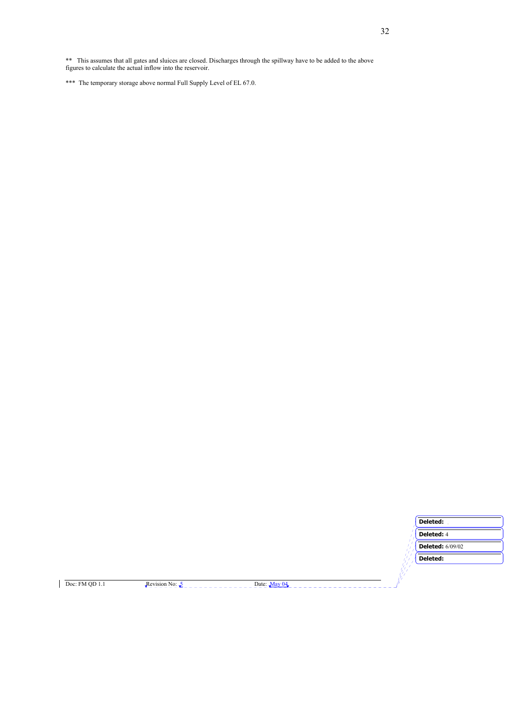\*\* This assumes that all gates and sluices are closed. Discharges through the spillway have to be added to the above figures to calculate the actual inflow into the reservoir.

\*\*\* The temporary storage above normal Full Supply Level of EL 67.0.



Doc: FM QD 1.1 Revision No: 5 Date: May 04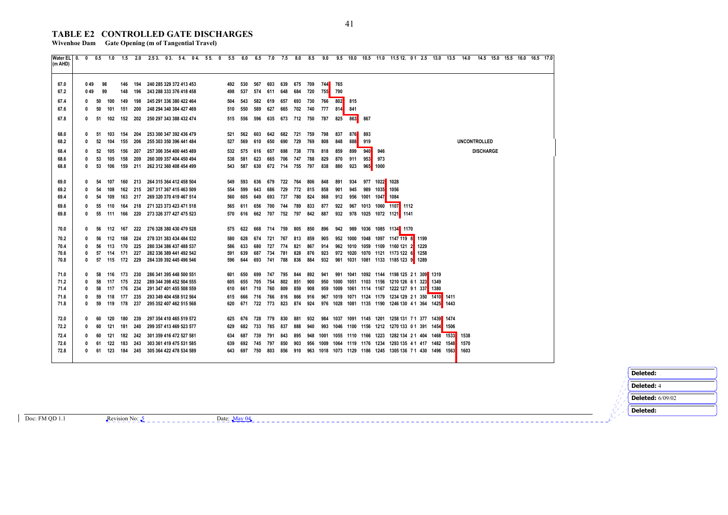# **TABLE E2 CONTROLLED GATE DISCHARGES Wivenhoe Dam Gate Opening (m of Tangential Travel)**

| Water EL<br>(m AHD) | 0. 0         | 0.5 | 1.0      | 1.5         |            | 2.0 2.53. 03. 54. 04. 55. 0 5.5 6.0 6.5 7.0 7.5 8.0 8.5 9.0 9.5 10.0 10.5 11.0 11.512. 01 2.5 13.0 13.5 14.0 14.5 15.0 15.5 16.0 16.5 17.0 |            |            |            |            |                 |            |            |            |            |          |                          |               |                                                               |      |  |                     |                  |  |  |
|---------------------|--------------|-----|----------|-------------|------------|--------------------------------------------------------------------------------------------------------------------------------------------|------------|------------|------------|------------|-----------------|------------|------------|------------|------------|----------|--------------------------|---------------|---------------------------------------------------------------|------|--|---------------------|------------------|--|--|
| 67.0<br>67.2        | 049<br>049   |     | 98<br>99 | 146<br>148  | 194<br>196 | 240 285 329 372 413 453<br>243 288 333 376 418 458                                                                                         | 492<br>498 | 530<br>537 | 567<br>574 | 603<br>611 | 639<br>648      | 675<br>684 | 709<br>720 | 744<br>755 | 765<br>790 |          |                          |               |                                                               |      |  |                     |                  |  |  |
| 67.4                | 0            | 50  | 100      | 149         | 198        | 245 291 336 380 422 464                                                                                                                    | 504        | 543        | 582        | 619        | 657             | 693        | 730        | 766        | 802        | 815      |                          |               |                                                               |      |  |                     |                  |  |  |
| 67.6                | 0            | 50  | 101      | 151         | 200        | 248 294 340 384 427 469                                                                                                                    | 510        | 550        | 589        | 627        | 665             | 702        | 740        | 777        | 814        | 841      |                          |               |                                                               |      |  |                     |                  |  |  |
| 67.8                |              | -51 |          |             |            | 102 152 202 250 297 343 388 432 474                                                                                                        | 515        | 556        | 596        |            | 635 673 712 750 |            |            | 787        | 825        | 863      | 867                      |               |                                                               |      |  |                     |                  |  |  |
| 68.0                | 0            | 51  | 103      | 154         | 204        | 253 300 347 392 436 479                                                                                                                    | 521        | 562        | 603        | 642        | 682             | 721        | 759        | 798        | 837        | 876      | 893                      |               |                                                               |      |  |                     |                  |  |  |
| 68.2                | 0            | 52  | 104      | 155         | 206        | 255 303 350 396 441 484                                                                                                                    | 527        | 569        | 610        | 650        | 690             | 729        | 769        | 808        | 848        | 888      | 919                      |               |                                                               |      |  | <b>UNCONTROLLED</b> |                  |  |  |
| 68.4                |              | 52  | 105      | 156         | 207        | 257 306 354 400 445 489                                                                                                                    | 532        | 575        | 616        | 657        | 698             | 738        | 778        | 818        | 859        | 899      | 940                      | 946           |                                                               |      |  |                     | <b>DISCHARGE</b> |  |  |
| 68.6                |              | 53  | 105      | 158         | 209        | 260 309 357 404 450 494                                                                                                                    | 538        | 581        | 623        | 665        | 706             | 747        | 788        | 829        | 870        | 911      | 953                      | 973           |                                                               |      |  |                     |                  |  |  |
| 68.8                | 0            | 53  | 106      | 159         | 211        | 262 312 360 408 454 499                                                                                                                    | 543        | 587        | 630        | 672        | 714             | 755 797    |            | 838        | 880        | 923      |                          | 965 1000      |                                                               |      |  |                     |                  |  |  |
| 69.0                | 0            | 54  | 107      | 160         | 213        | 264 315 364 412 458 504                                                                                                                    | 549        | 593        | 636        | 679        | 722             | 764        | 806        | 848        | 891        | 934      |                          | 977 1022 1028 |                                                               |      |  |                     |                  |  |  |
| 69.2                | 0            | 54  | 108      |             | 162 215    | 267 317 367 415 463 509                                                                                                                    | 554        | 599        | 643        | 686        | 729             | 772        | 815        | 858        | 901        | 945      | 989                      | 1035 1056     |                                                               |      |  |                     |                  |  |  |
| 69.4                | 0            | 54  | 109      |             | 163 217    | 269 320 370 419 467 514                                                                                                                    | 560        | 605        | 649        | 693        | 737             | 780        | 824        | 868        | 912        | 956      | 1001                     | 1047 1084     |                                                               |      |  |                     |                  |  |  |
| 69.6                | 0            | 55  | 110      | 164         | 218        | 271 323 373 423 471 518                                                                                                                    | 565        | 611        | 656        | 700        | 744             | 789        | 833        | 877        | 922        | 967      |                          |               | 1013 1060 1107 1112                                           |      |  |                     |                  |  |  |
| 69.8                | 0            | 55  | 111      |             | 166 220    | 273 326 377 427 475 523                                                                                                                    | 570        | 616        | 662        | 707        | 752             | 797        | 842        | 887        | 932        |          |                          |               | 978 1025 1072 1121 1141                                       |      |  |                     |                  |  |  |
| 70.0                | 0            | 56  |          | 112 167     | 222        | 276 328 380 430 479 528                                                                                                                    | 575        | 622        | 668        | 714        | 759             | 805        | 850        | 896        | 942        |          |                          |               | 989 1036 1085 1134 1170                                       |      |  |                     |                  |  |  |
| 70.2                | 0            | 56  | 112      | 168         | 224        | 278 331 383 434 484 532                                                                                                                    | 580        | 628        | 674        | 721        | 767             | 813        | 859        | 905        | 952        | 1000     | 1048                     |               | 1097 1147 119 8 1199                                          |      |  |                     |                  |  |  |
| 70.4                | $\mathbf{0}$ | 56  | 113      | 170         | 225        | 280 334 386 437 488 537                                                                                                                    | 586        | 633        | 680        | 727        | 774             | 821        | 867        | 914        |            | 962 1010 | 1059                     |               | 1109 1160 121 2                                               | 1229 |  |                     |                  |  |  |
| 70.6                |              | 57  | 114      | 171         | 227        | 282 336 389 441 492 542                                                                                                                    | 591        | 639        | 687        | 734        | 781             | 828        | 876        | 923        |            |          |                          |               | 972 1020 1070 1121 1173 122 6 1258                            |      |  |                     |                  |  |  |
| 70.8                | 0            | 57  |          | 115 172 229 |            | 284 339 392 445 496 546                                                                                                                    | 596        | 644        | 693        | 741        | 788             | 836        | 884        | 932        |            |          |                          |               | 981 1031 1081 1133 1185 123 9 1289                            |      |  |                     |                  |  |  |
| 71.0                | 0            | 58  |          | 116 173     | 230        | 286 341 395 448 500 551                                                                                                                    | 601        | 650        | 699        | 747        | 795             | 844        | 892        | 941        |            |          |                          |               | 991 1041 1092 1144 1198 125 21 309 1319                       |      |  |                     |                  |  |  |
| 71.2                | 0            | 58  |          | 117 175     | 232        | 289 344 398 452 504 555                                                                                                                    | 605        | 655        | 705        | 754        | 802             | 851        | 900        | 950        | 1000       |          |                          |               | 1051 1103 1156 1210 126 6 1 323 1349                          |      |  |                     |                  |  |  |
| 71.4                | 0            | 58  |          | 117 176 234 |            | 291 347 401 455 508 559                                                                                                                    | 610        | 661        | 710        | 760        | 809             | 859        | 908        | 959        |            |          |                          |               | 1009 1061 1114 1167 1222 127 91 337 1380                      |      |  |                     |                  |  |  |
| 71.6                | n            | 59  | 118      | 177         | 235        | 293 349 404 458 512 564                                                                                                                    | 615        | 666        | 716        | 766        | 816             | 866        | 916        | 967        |            |          |                          |               | 1019 1071 1124 1179 1234 129 2 1 350 1410 <mark>1</mark> 1411 |      |  |                     |                  |  |  |
| 71.8                | $\mathbf{0}$ | 59  |          | 119 178 237 |            | 295 352 407 462 515 568                                                                                                                    | 620        | 671        | 722        | 773        | 823             | 874 924    |            |            |            |          |                          |               | 976 1028 1081 1135 1190 1246 130 41 364 1425 1443             |      |  |                     |                  |  |  |
| 72.0                |              | 60  | 120      | 180         | 239        | 297 354 410 465 519 572                                                                                                                    | 625        | 676        | 728        | 779        | 830             | 881        | 932        |            |            |          |                          |               | 984 1037 1091 1145 1201 1258 131 7 1 377 1439 1474            |      |  |                     |                  |  |  |
| 72.2                | 0            | 60  | 121      | 181         | 240        | 299 357 413 469 523 577                                                                                                                    | 629        | 682        | 733        | 785        | 837             | 888        | 940        |            |            |          |                          |               | 993 1046 1100 1156 1212 1270 133 01 391 1454 1506             |      |  |                     |                  |  |  |
| 72.4                | 0            | 60  | 121      |             | 182 242    | 301 359 416 472 527 581                                                                                                                    | 634        | 687        | 739        | 791        | 843             | 895        | 948        |            |            |          | 1001 1055 1110 1166 1223 |               | 1282 134 2 1 404 1468 1533                                    |      |  | 1538                |                  |  |  |
| 72.6                |              | 61  | 122      | 183         | 243        | 303 361 419 475 531 585                                                                                                                    | 639        | 692        | 745        | 797        | 850             | 903        | 956        | 1009       |            |          |                          |               | 1064 1119 1176 1234 1293 135 41 417 1482 1548                 |      |  | 1570                |                  |  |  |
| 72.8                | O            | 61  | 123      | 184         | 245        | 305 364 422 478 534 589                                                                                                                    | 643        | 697        | 750        | 803        | 856             | 910        |            |            |            |          |                          |               | 963 1018 1073 1129 1186 1245 1305 136 7 1 430 1496 1563       |      |  | 1603                |                  |  |  |
|                     |              |     |          |             |            |                                                                                                                                            |            |            |            |            |                 |            |            |            |            |          |                          |               |                                                               |      |  |                     |                  |  |  |

**Deleted: Deleted:** 4 **Deleted:** 6/09/02 **Deleted:** 

<span id="page-49-0"></span>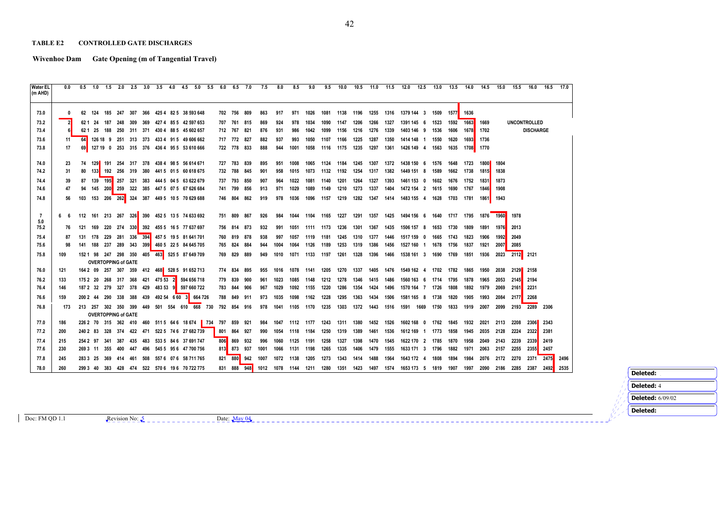#### **TABLE E2 CONTROLLED GATE DISCHARGES**

 **Wivenhoe Dam Gate Opening (m of Tangential Travel)** 

| <b>Water EL</b><br>(m AHD) | 0.0      | 0.5 | 1.0                                                | 1.5 | 2.0 | 2.5 | 3.0                      | 3.5          | 4.0 | 4.5                                                                | 5.0<br>5.5            | 6.0 | 6.5         | 7.0 | 7.5  | 8.0  | 8.5                      | 9.0  | 9.5  | 10.0 | 10.5 | 11.0 | 11.5 | 12.0<br>12.5                        | 13.0      | 13.5 | 14.0        | 14.5        | 15.0        | 15.5              | 16.0                | 16.5          | 17.0 |
|----------------------------|----------|-----|----------------------------------------------------|-----|-----|-----|--------------------------|--------------|-----|--------------------------------------------------------------------|-----------------------|-----|-------------|-----|------|------|--------------------------|------|------|------|------|------|------|-------------------------------------|-----------|------|-------------|-------------|-------------|-------------------|---------------------|---------------|------|
|                            |          |     |                                                    |     |     |     |                          |              |     |                                                                    |                       |     |             |     |      |      |                          |      |      |      |      |      |      |                                     |           |      |             |             |             |                   |                     |               |      |
| 73.0                       | O        |     |                                                    |     |     |     |                          |              |     | 62 124 185 247 307 366 4254 825 38593648                           |                       |     | 702 756     | 809 | 863  | 917  | 971                      | 1026 | 1081 | 1138 | 1196 | 1255 | 1316 | 1379 144 3                          | 1509      | 1577 | 1636        |             |             |                   |                     |               |      |
| 73.2                       |          | 621 | 24                                                 | 187 | 248 | 309 | 369                      |              |     | 427 4 85 5 42 597 653                                              |                       |     | 707 761     | 815 | 869  | 924  | 978                      | 1034 | 1090 | 1147 | 1206 | 1266 | 1327 | 1391 145<br>- 6                     | 1523      | 1592 | 1663        | 1669        |             |                   | <b>UNCONTROLLED</b> |               |      |
| 73.4                       |          |     | 62 1 25 188                                        |     |     |     |                          |              |     | 250 311 371 430 4 88 5 45 602 657                                  |                       |     | 712 767     | 821 | 876  | 931  | 986                      | 1042 | 1099 | 1156 | 1216 | 1276 | 1339 | 1403 146<br>9                       | 1536      | 1606 | <b>1678</b> | 1702        |             |                   | <b>DISCHARGE</b>    |               |      |
| 73.6                       | 11       | 64  |                                                    |     |     |     |                          |              |     | 126 18 9 251 313 373 433 4 91 5 49 606 662                         |                       |     | 717 772     | 827 | 882  | 937  | 993                      | 1050 | 1107 | 1166 | 1225 | 1287 | 1350 | 1414 148<br>$\overline{\mathbf{1}}$ | 1550      | 1620 | 1693        | 1736        |             |                   |                     |               |      |
| 73.8                       | 17       | 69  |                                                    |     |     |     |                          |              |     | 127 19 0 253 315 376 436 4 95 5 53 610 666                         |                       |     | 722 778 833 |     | 888  | 944  | 1001                     | 1058 | 1116 | 1175 | 1235 | 1297 | 1361 | 1426 149<br>4                       | 1563      | 1635 | 1708        | 1770        |             |                   |                     |               |      |
| 74.0                       | 23       |     | 74 129                                             | 191 |     |     |                          |              |     | 254 317 378 438 4 98 5 56 614 671                                  |                       |     | 727 783     | 839 | 895  | 951  | 1008                     | 1065 | 1124 | 1184 | 1245 | 1307 | 1372 | 1438 150<br>- 6                     | 1576      | 1648 | 1723        | <b>1800</b> | 1804        |                   |                     |               |      |
| 74.2                       | 31       | 80  |                                                    |     |     |     |                          |              |     | 133 192 256 319 380 441 5 01 5 60 618 675                          |                       |     | 732 788     | 845 | 901  | 958  | 1015                     | 1073 | 1132 | 1192 | 1254 | 1317 | 1382 | 1449 151 8                          | 1589      | 1662 | 1738        | 1815        | 1838        |                   |                     |               |      |
| 74.4                       | 39       | 87  |                                                    |     |     |     |                          |              |     | 139  195 <mark>  257  321  383  444  5  04  5  63  622  679</mark> |                       |     | 737 793     | 850 | 907  | 964  | 1022                     | 1081 | 1140 | 1201 | 1264 | 1327 | 1393 | 1461 153 0                          | 1602      | 1676 | 1752        | 1831        | 1873        |                   |                     |               |      |
| 74.6                       | 47       | 94  |                                                    |     |     |     |                          |              |     | 145 200 259 322 385 447 5 07 5 67 626 684                          |                       |     | 741 799     | 856 | 913  | 971  | 1029                     | 1089 | 1149 | 1210 | 1273 | 1337 | 1404 | 1472 154 2                          | 1615      | 1690 | 1767        | <b>1846</b> | 1908        |                   |                     |               |      |
| 74.8                       | 56       | 103 |                                                    |     |     |     |                          |              |     | 153 206 262 324 387 449 5 10 5 70 629 688                          |                       |     | 746 804     | 862 | 919  | 978  | 1036                     | 1096 | 1157 | 1219 | 1282 | 1347 |      | 1414 1483 155 4                     | 1628      | 1703 | 1781        | 1861        | 1943        |                   |                     |               |      |
|                            |          |     |                                                    |     |     |     |                          |              |     |                                                                    |                       |     |             |     |      |      |                          |      |      |      |      |      |      |                                     |           |      |             |             |             |                   |                     |               |      |
| $\overline{7}$             | 6<br>- 6 |     |                                                    |     |     |     |                          |              |     | 112 161 213 267 326 390 452 5 13 5 74 633 692                      |                       |     | 751 809     | 867 | 926  | 984  | 1044                     | 1104 | 1165 | 1227 | 1291 | 1357 | 1425 | 1494 156 6                          | 1640      | 1717 | 1795        | 1876        | <b>1960</b> | 1978              |                     |               |      |
| 5.0<br>75.2                | 76       | 121 |                                                    |     |     |     |                          |              |     | 169 220 274 330 392 455 5 165 77 637 697                           |                       |     | 756 814     | 873 | 932  | 991  | 1051                     | 1111 | 1173 | 1236 | 1301 | 1367 | 1435 | 1506 157 8                          | 1653      | 1730 | 1809        | 1891        | 1976        | 2013              |                     |               |      |
| 75.4                       | 87       | 131 | 178 229 281 336                                    |     |     |     | 394                      |              |     | 457 5 19 5 81 641 701                                              |                       |     | 760 819     | 878 | 938  | 997  | 1057                     | 1119 | 1181 | 1245 | 1310 | 1377 | 1446 | 1517 159<br>0                       | 1665      | 1743 | 1823        | 1906        | 1992        | 2049              |                     |               |      |
| 75.6                       | 98       | 141 | 188 237 289 343                                    |     |     |     |                          |              |     | 399 460 5 22 5 84 645 705                                          |                       |     | 765 824     | 884 | 944  | 1004 | 1064                     | 1126 | 1189 | 1253 | 1319 | 1386 | 1456 | 1527 160 1                          | 1678      | 1756 | 1837        | 1921        | <b>2007</b> | 2085              |                     |               |      |
| 75.8                       | 109      |     |                                                    |     |     |     |                          |              |     | 152 1 98 247 298 350 405 463 525 5 87 649 709                      |                       |     | 769 829     | 889 | 949  | 1010 | 1071                     | 1133 | 1197 | 1261 | 1328 | 1396 | 1466 | 1538 161 3                          | 1690      | 1769 | 1851        | 1936        | 2023        | 2112 <b>22121</b> |                     |               |      |
|                            |          |     | <b>OVERTOPPING of GATE</b>                         |     |     |     |                          |              |     |                                                                    |                       |     |             |     |      |      |                          |      |      |      |      |      |      |                                     |           |      |             |             |             |                   |                     |               |      |
| 76.0                       | 121      |     |                                                    |     |     |     |                          |              |     | 164 2 09 257 307 359 412 468 528 5 91 652 713                      |                       |     | 774 834     | 895 | 955  | 1016 | 1078                     | 1141 | 1205 | 1270 | 1337 | 1405 | 1476 | 1549 162 4                          | 1702      | 1782 | 1865        | 1950        | 2038        | 2129              | 2158                |               |      |
| 76.2                       | 133      |     | 1752 20 268                                        |     | 317 | 368 |                          | 421 475 53 2 |     | 594 656 718                                                        |                       | 779 | 839         | 900 | 961  | 1023 | 1085                     | 1148 | 1212 | 1278 | 1346 | 1415 | 1486 | 1560 163<br>- 6                     | 1714      | 1795 | 1878        | 1965        | 2053        | 2145              | 2194                |               |      |
| 76.4                       | 146      |     | 187 2 32 279 327 378                               |     |     |     |                          | 429 483 53 9 |     | 597 660 722                                                        |                       |     | 783 844     | 906 | 967  | 1029 | 1092                     | 1155 | 1220 | 1286 | 1354 | 1424 | 1496 | 1570 164 7                          | 1726      | 1808 | 1892        | 1979        | 2069        | 2161              | 2231                |               |      |
| 76.6                       | 159      |     | 200 2 44 290                                       |     | 338 | 388 | 439                      |              |     |                                                                    | 492 54 660 3 664 726  | 788 | 849         | 911 | 973  | 1035 | 1098                     | 1162 | 1228 | 1295 | 1363 | 1434 | 1506 | 1581 165<br>- 8                     | 1738      | 1820 | 1905        | 1993        | 2084        | <b>2177</b>       | 2268                |               |      |
| 76.8                       | 173      |     | 213 257 302 350 399                                |     |     |     | 449                      |              |     | 501 554 610 668                                                    | 730                   |     | 792 854 916 |     | 978  | 1041 | 1105                     | 1170 | 1235 | 1303 | 1372 | 1443 | 1516 | 1591<br>1669                        | 1750      | 1833 | 1919        | 2007        | 2099        | 2193              | 2289                | 2306          |      |
| 77.0                       | 186      |     | <b>OVERTOPPING of GATE</b><br>226 2 70 315 362 410 |     |     |     | 460                      |              |     |                                                                    | 511 5 64 6 18 674 734 | 797 | 859         | 921 | 984  | 1047 | 1112                     | 1177 | 1243 | 1311 | 1380 | 1452 | 1526 | 1602 168<br>0                       | 1762      | 1845 | 1932        | 2021        | 2113        | 2208              | <b>2306</b>         | 2343          |      |
| 77.2                       | 200      |     |                                                    |     |     |     | 240 2 83 328 374 422 471 |              |     | 522 5 74 6 27 682 739                                              |                       |     | 801 864     | 927 | 990  | 1054 | 1118                     | 1184 | 1250 | 1319 | 1389 | 1461 | 1536 | 1612 169<br>$\overline{1}$          | 1773      | 1858 | 1945        | 2035        | 2128        | 2224              | 2322                | 2381          |      |
| 77.4                       | 215      |     | 254 2 97                                           | 341 | 387 | 435 | 483                      |              |     | 533 5 84 6 37 691 747                                              |                       | 806 | 869         | 932 | 996  | 1060 | 1125                     | 1191 | 1258 | 1327 | 1398 | 1470 | 1545 | 1622 170<br>-2                      | 1785      | 1870 | 1958        | 2049        | 2143        | 2239              | 2339                | 2419          |      |
| 77.6                       | 230      |     | 269 3 11 355                                       |     |     |     |                          |              |     | 400 447 496 545 5 95 6 47 700 756                                  |                       |     | 813 873     | 937 | 1001 | 1066 | 1131                     | 1198 | 1265 | 1335 | 1406 | 1479 | 1555 | 1633 171 3                          | 1796      | 1882 | 1971        | 2063        | 2157        | 2255              | 2355                | 2457          |      |
| 77.8                       | 245      |     | 283 3 25 369                                       |     |     |     |                          |              |     | 414 461 508 557 6 07 6 58 711 765                                  |                       | 821 | 880         | 942 | 1007 | 1072 | 1138                     | 1205 | 1273 | 1343 | 1414 | 1488 | 1564 | 1643 172 4                          | 1808      | 1894 | 1984        | 2076        | 2172        | 2270              | 2371                | <b>2475</b>   | 2496 |
| 78.0                       | 260      |     |                                                    |     |     |     |                          |              |     | 299 3 40 383 428 474 522 570 6 19 6 70 722 775                     |                       |     | 831 888     | 948 |      |      | 1012 1078 1144 1211 1280 |      |      | 1351 | 1423 | 1497 | 1574 | 1653 173 5                          | 1819 1907 |      | 1997        | 2090        | 2186 2285   |                   | 2387                | 2492 <b>1</b> | 2535 |
|                            |          |     |                                                    |     |     |     |                          |              |     |                                                                    |                       |     |             |     |      |      |                          |      |      |      |      |      |      |                                     |           |      |             |             |             |                   |                     |               |      |

**Deleted: Deleted:** 4 **Deleted:** 6/09/02 **Deleted:** 

Doc: FM QD 1.1 Revision No:  $\frac{5}{2}$  <u>Pate: May 04</u>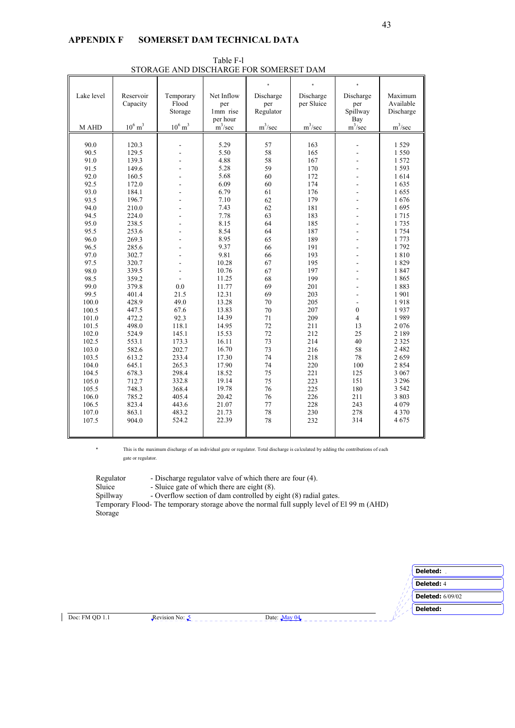<span id="page-51-0"></span>

| Lake level   | Reservoir          | Temporary          | Net Inflow   | Discharge | Discharge  | Discharge      | Maximum      |
|--------------|--------------------|--------------------|--------------|-----------|------------|----------------|--------------|
|              | Capacity           | Flood              | per          | per       | per Sluice | per            | Available    |
|              |                    | Storage            | 1mm rise     | Regulator |            | Spillway       | Discharge    |
|              |                    |                    | per hour     |           |            | Bay            |              |
| M AHD        | $10^6 \text{ m}^3$ | $10^6 \text{ m}^3$ | $m^3/sec$    | $m^3/sec$ | $m^3/sec$  | $m^3/sec$      | $m^3/sec$    |
|              |                    |                    |              |           |            |                |              |
| 90.0         | 120.3              |                    | 5.29         | 57        | 163        |                | 1529         |
| 90.5         | 129.5              |                    | 5.50         | 58        | 165        |                | 1550<br>1572 |
| 91.0         | 139.3              |                    | 4.88         | 58        | 167        |                |              |
| 91.5         | 149.6<br>160.5     |                    | 5.28<br>5.68 | 59<br>60  | 170<br>172 |                | 1593<br>1614 |
| 92.0         | 172.0              |                    | 6.09         | 60        | 174        |                | 1635         |
| 92.5<br>93.0 | 184.1              |                    | 6.79         | 61        | 176        |                | 1655         |
| 93.5         | 196.7              |                    | 7.10         | 62        | 179        |                | 1676         |
| 94.0         | 210.0              |                    | 7.43         | 62        | 181        |                | 1695         |
| 94.5         | 224.0              |                    | 7.78         | 63        | 183        |                | 1715         |
| 95.0         | 238.5              |                    | 8.15         | 64        | 185        |                | 1735         |
| 95.5         | 253.6              |                    | 8.54         | 64        | 187        |                | 1754         |
| 96.0         | 269.3              |                    | 8.95         | 65        | 189        |                | 1 773        |
| 96.5         | 285.6              |                    | 9.37         | 66        | 191        |                | 1792         |
| 97.0         | 302.7              |                    | 9.81         | 66        | 193        |                | 1810         |
| 97.5         | 320.7              |                    | 10.28        | 67        | 195        |                | 1829         |
| 98.0         | 339.5              |                    | 10.76        | 67        | 197        |                | 1847         |
| 98.5         | 359.2              |                    | 11.25        | 68        | 199        |                | 1865         |
| 99.0         | 379.8              | 0.0                | 11.77        | 69        | 201        |                | 1883         |
| 99.5         | 401.4              | 21.5               | 12.31        | 69        | 203        |                | 1901         |
| 100.0        | 428.9              | 49.0               | 13.28        | 70        | 205        |                | 1918         |
| 100.5        | 447.5              | 67.6               | 13.83        | 70        | 207        | $\overline{0}$ | 1937         |
| 101.0        | 472.2              | 92.3               | 14.39        | 71        | 209        | 4              | 1989         |
| 101.5        | 498.0              | 118.1              | 14.95        | 72        | 211        | 13             | 2076         |
| 102.0        | 524.9              | 145.1              | 15.53        | 72        | 212        | 25             | 2 1 8 9      |
| 102.5        | 553.1              | 173.3              | 16.11        | 73        | 214        | 40             | 2 3 2 5      |
| 103.0        | 582.6              | 202.7              | 16.70        | 73        | 216        | 58             | 2482         |
| 103.5        | 613.2              | 233.4              | 17.30        | 74        | 218        | 78             | 2659         |
| 104.0        | 645.1              | 265.3              | 17.90        | 74        | 220        | 100            | 2854         |
| 104.5        | 678.3              | 298.4              | 18.52        | 75        | 221        | 125            | 3 0 6 7      |
| 105.0        | 712.7              | 332.8              | 19.14        | 75        | 223        | 151            | 3 2 9 6      |
| 105.5        | 748.3              | 368.4              | 19.78        | 76        | 225        | 180            | 3 5 4 2      |
| 106.0        | 785.2              | 405.4              | 20.42        | 76        | 226        | 211            | 3803         |
| 106.5        | 823.4              | 443.6              | 21.07        | 77        | 228        | 243            | 4 0 7 9      |
| 107.0        | 863.1              | 483.2              | 21.73        | 78        | 230        | 278            | 4 3 7 0      |
| 107.5        | 904.0              | 524.2              | 22.39        | 78        | 232        | 314            | 4675         |
|              |                    |                    |              |           |            |                |              |

Table F-l STORAGE AND DISCHARGE FOR SOMERSET DAM

\* This is the maximum discharge of an individual gate or regulator. Total discharge is calculated by adding the contributions of each gate or regulator.

Regulator - Discharge regulator valve of which there are four (4).<br>Sluice - Sluice gate of which there are eight (8). Sluice - Sluice gate of which there are eight (8).<br>Spillway - Overflow section of dam controlled by e - Overflow section of dam controlled by eight (8) radial gates.

Temporary Flood- The temporary storage above the normal full supply level of El 99 m (AHD) Storage



Doc: FM QD 1.1 Revision No:  $\frac{1}{2}$  \_\_\_\_\_\_\_\_\_\_\_\_\_\_ Date:  $\frac{May\ 04}{2}$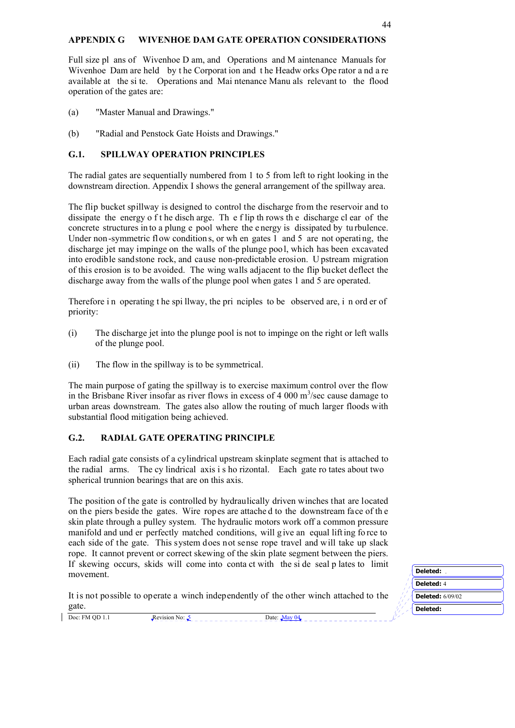# <span id="page-52-0"></span>**APPENDIX G WIVENHOE DAM GATE OPERATION CONSIDERATIONS**

Full size pl ans of Wivenhoe D am, and Operations and M aintenance Manuals for Wivenhoe Dam are held by the Corporation and the Headw orks Ope rator and a re available at the si te. Operations and Mai ntenance Manu als relevant to the flood operation of the gates are:

- (a) "Master Manual and Drawings."
- (b) "Radial and Penstock Gate Hoists and Drawings."

# **G.1. SPILLWAY OPERATION PRINCIPLES**

<span id="page-52-1"></span>The radial gates are sequentially numbered from 1 to 5 from left to right looking in the downstream direction. Appendix I shows the general arrangement of the spillway area.

The flip bucket spillway is designed to control the discharge from the reservoir and to dissipate the energy o f t he disch arge. Th e f lip th rows th e discharge cl ear of the concrete structures in to a plung e pool where the e nergy is dissipated by tu rbulence. Under non-symmetric flow conditions, or wh en gates  $1$  and  $5$  are not operating, the discharge jet may impinge on the walls of the plunge pool, which has been excavated into erodible sandstone rock, and cause non-predictable erosion. U pstream migration of this erosion is to be avoided. The wing walls adjacent to the flip bucket deflect the discharge away from the walls of the plunge pool when gates 1 and 5 are operated.

Therefore in operating the spi llway, the pri nciples to be observed are, in order of priority:

- (i) The discharge jet into the plunge pool is not to impinge on the right or left walls of the plunge pool.
- (ii) The flow in the spillway is to be symmetrical.

The main purpose of gating the spillway is to exercise maximum control over the flow in the Brisbane River insofar as river flows in excess of 4 000  $\text{m}^3\text{/sec}$  cause damage to urban areas downstream. The gates also allow the routing of much larger floods with substantial flood mitigation being achieved.

# **G.2. RADIAL GATE OPERATING PRINCIPLE**

Each radial gate consists of a cylindrical upstream skinplate segment that is attached to the radial arms. The cy lindrical axis i s ho rizontal. Each gate ro tates about two spherical trunnion bearings that are on this axis.

<span id="page-52-2"></span>The position of the gate is controlled by hydraulically driven winches that are located on the piers beside the gates. Wire ropes are attache d to the downstream face of th e skin plate through a pulley system. The hydraulic motors work off a common pressure manifold and und er perfectly matched conditions, will give an equal lifting force to each side of the gate. This system does not sense rope travel and will take up slack rope. It cannot prevent or correct skewing of the skin plate segment between the piers. If skewing occurs, skids will come into conta ct with the si de seal p lates to limit movement.

It is not possible to operate a winch independently of the other winch attached to the gate.



Doc: FM QD 1.1 Revision No:  $\frac{5}{2}$  Proposed by Date:  $\frac{May\ 04}{2}$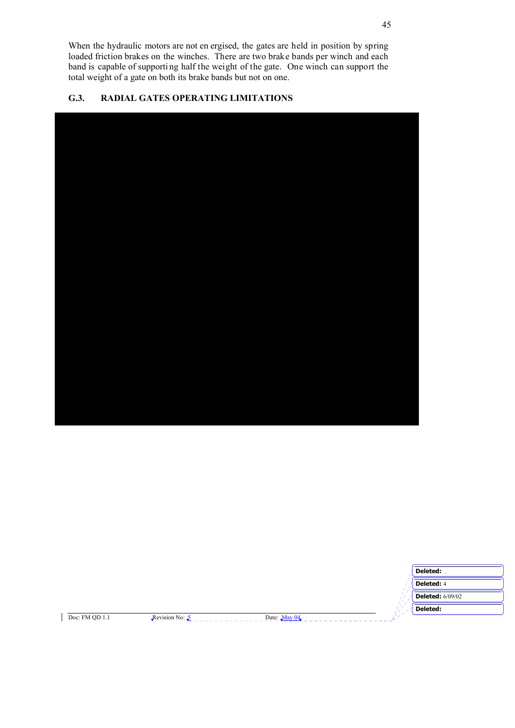When the hydraulic motors are not en ergised, the gates are held in position by spring loaded friction brakes on the winches. There are two brake bands per winch and each band is capable of supporti ng half the weight of the gate. One winch can support the total weight of a gate on both its brake bands but not on one.

# **G.3. RADIAL GATES OPERATING LIMITATIONS**

<span id="page-53-0"></span>

**Deleted: Deleted:** 4 **Deleted:** 6/09/02 **Deleted:** 

Doc: FM QD 1.1 Revision No:  $\frac{5}{2}$  \_\_\_\_\_\_\_\_\_\_\_\_\_\_\_\_\_\_\_ Date:  $\frac{May 04}{2}$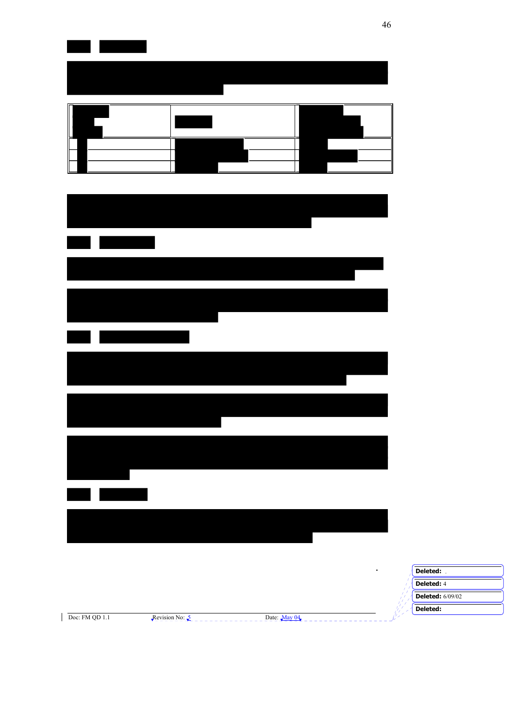| $\mathbb{L}$ |  |  |  |
|--------------|--|--|--|
|              |  |  |  |
|              |  |  |  |
|              |  |  |  |
|              |  |  |  |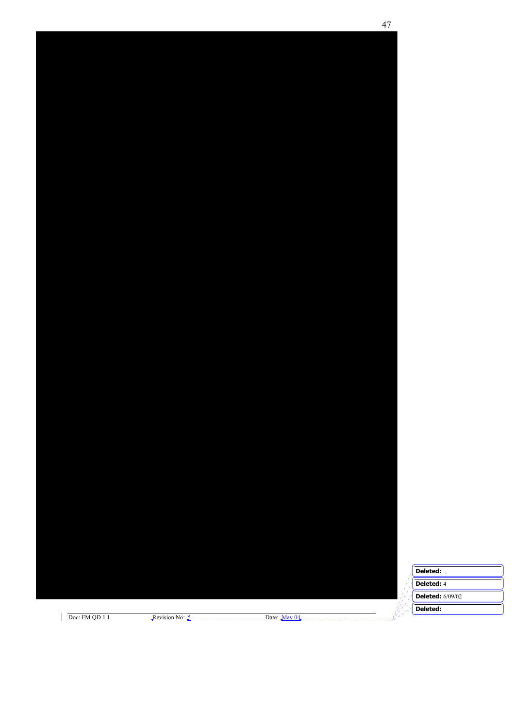<span id="page-55-0"></span>

| Deleted:                |
|-------------------------|
| Deleted: 4              |
| <b>Deleted: 6/09/02</b> |
| Deleted:                |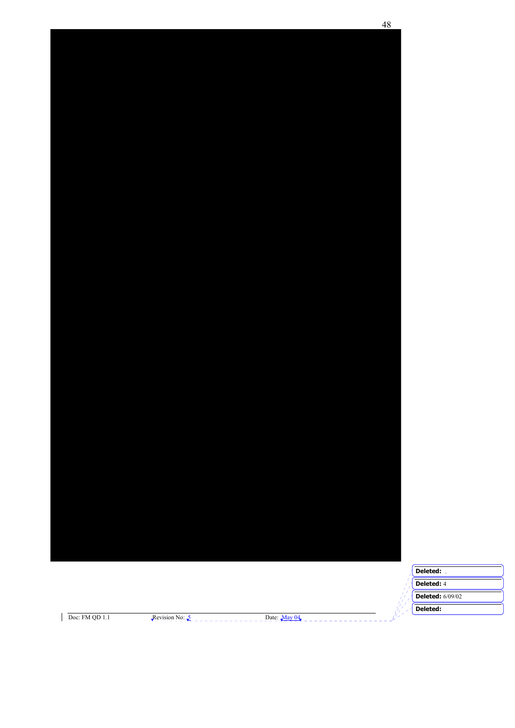<span id="page-56-0"></span>

<span id="page-56-1"></span>Doc: FM QD 1.1 Revision No: 5 Date: May 04

**Deleted:** 6/09/02 **Deleted:**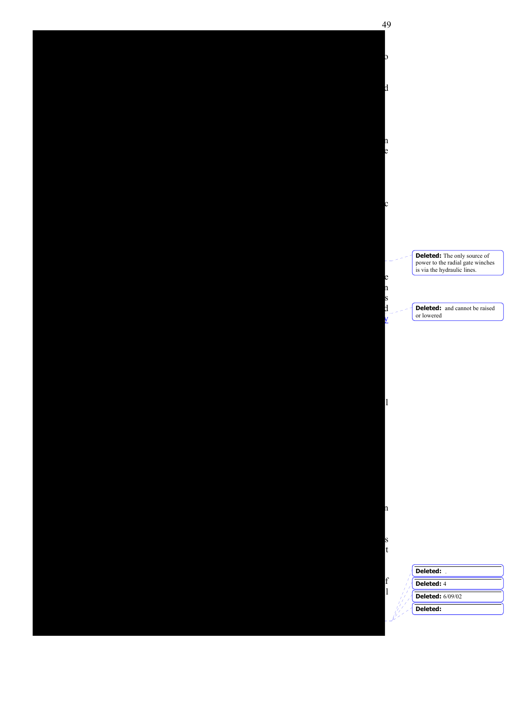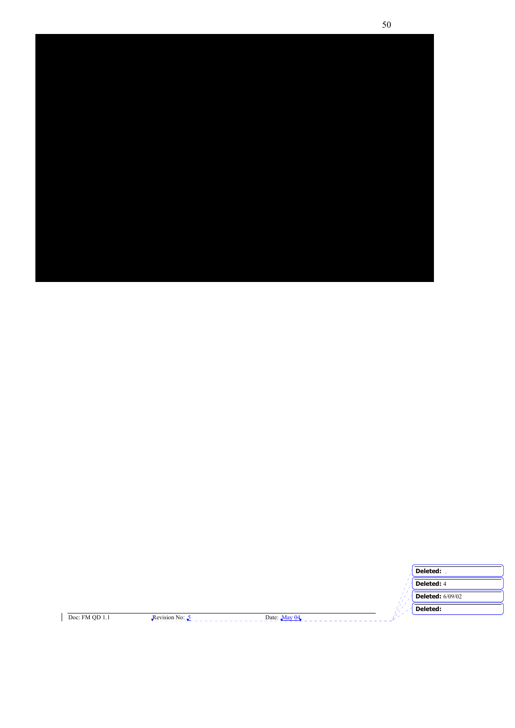

**Deleted: Deleted:** 4 **Deleted:** 6/09/02 **Deleted:** 

 $\overline{D}$  Doc: FM QD 1.1 Revision No:  $\sum_{n=1}^{\infty}$   $\sum_{n=1}^{\infty}$   $\sum_{n=1}^{\infty}$   $\sum_{n=1}^{\infty}$   $\sum_{n=1}^{\infty}$   $\sum_{n=1}^{\infty}$   $\frac{Nay 04}{a}$ 

50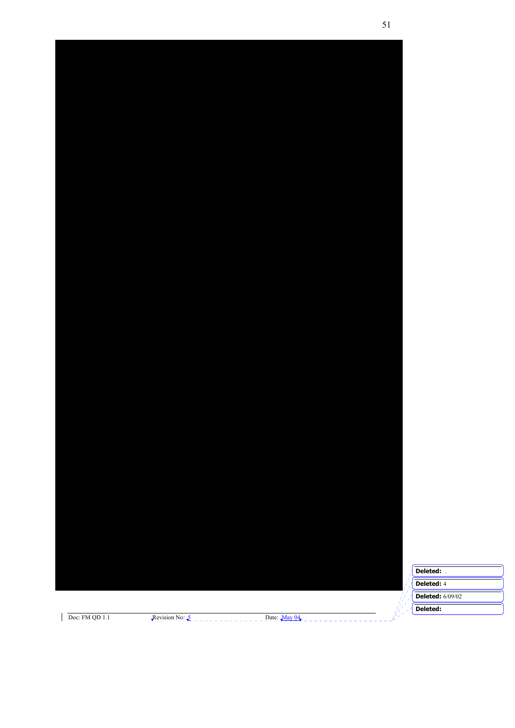<span id="page-59-2"></span><span id="page-59-1"></span><span id="page-59-0"></span>

<span id="page-59-5"></span><span id="page-59-4"></span><span id="page-59-3"></span>

**Deleted:** 6/09/02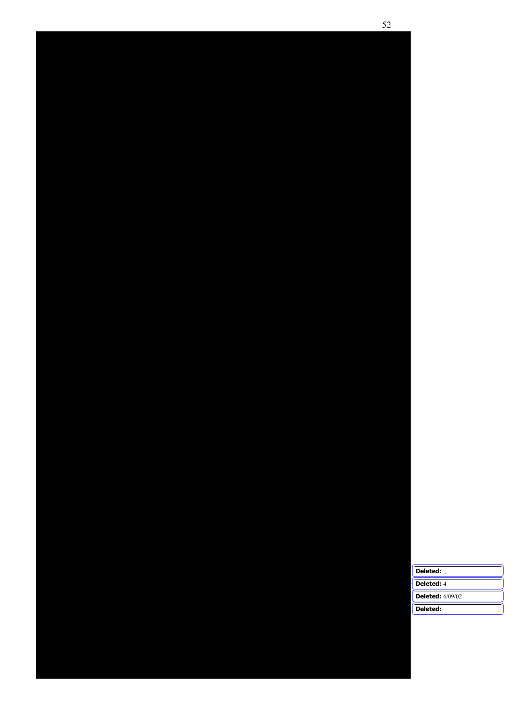<span id="page-60-2"></span>

#### **Deleted:**

**Deleted:** 4

**Deleted:** 6/09/02 **Deleted:** 

<span id="page-60-1"></span><span id="page-60-0"></span>52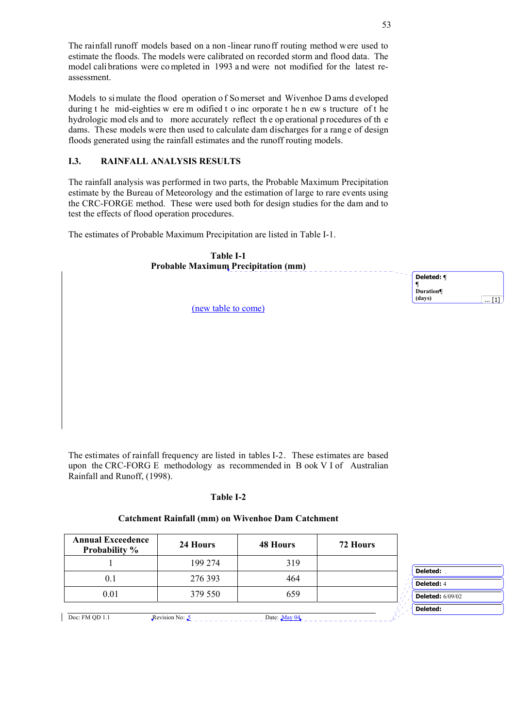The rainfall runoff models based on a non -linear runoff routing method were used to estimate the floods. The models were calibrated on recorded storm and flood data. The model cali brations were co mpleted in 1993 a nd were not modified for the latest reassessment.

Models to simulate the flood operation of Somerset and Wivenhoe Dams developed during t he mid-eighties w ere m odified t o inc orporate t he n ew s tructure of t he hydrologic mod els and to more accurately reflect th e op erational p rocedures of th e dams. These models were then used to calculate dam discharges for a range of design floods generated using the rainfall estimates and the runoff routing models.

# **I.3. RAINFALL ANALYSIS RESULTS**

<span id="page-61-0"></span>The rainfall analysis was performed in two parts, the Probable Maximum Precipitation estimate by the Bureau of Meteorology and the estimation of large to rare events using the CRC-FORGE method. These were used both for design studies for the dam and to test the effects of flood operation procedures.

The estimates of Probable Maximum Precipitation are listed in Table I-1.



The estimates of rainfall frequency are listed in tables I-2. These estimates are based upon the CRC-FORG E methodology as recommended in B ook V I of Australian Rainfall and Runoff, (1998).

# **Table I-2**

# **Catchment Rainfall (mm) on Wivenhoe Dam Catchment**

| <b>Annual Exceedence</b><br><b>Probability %</b> | 24 Hours | 48 Hours | 72 Hours |                               |
|--------------------------------------------------|----------|----------|----------|-------------------------------|
|                                                  | 199 274  | 319      |          |                               |
| 0.1                                              | 276 393  | 464      |          | Deleted:<br><b>Deleted: 4</b> |
| 0.01                                             | 379 550  | 659      |          | <b>Deleted:</b> 6/09/02       |
|                                                  |          |          |          | Deleted:                      |

Doc: FM QD 1.1 Revision No: 5 Date: May 04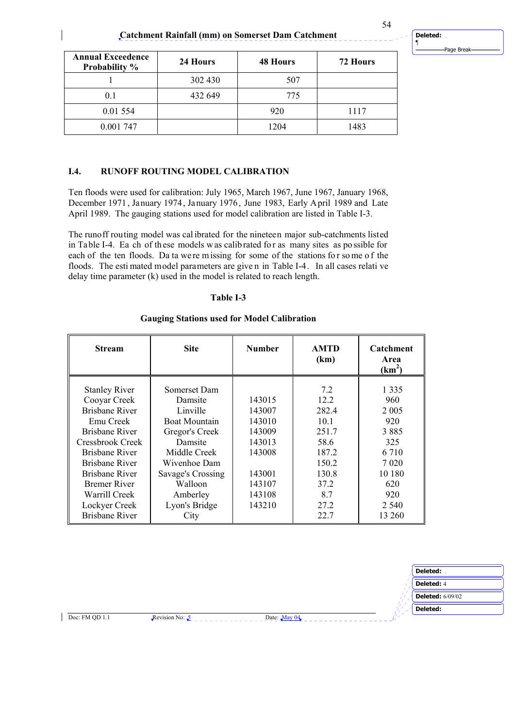**Catchment Rainfall (mm) on Somerset Dam Catchment** 

54

Page Break

**Deleted:**  ¶

| <b>Annual Exceedence</b><br><b>Probability %</b> | 24 Hours | <b>48 Hours</b> | 72 Hours |
|--------------------------------------------------|----------|-----------------|----------|
|                                                  | 302 430  | 507             |          |
| 0.1                                              | 432 649  | 775             |          |
| 0.01 554                                         |          | 920             | 1117     |
| 0.001 747                                        |          | 1204            | 1483     |

# **I.4. RUNOFF ROUTING MODEL CALIBRATION**

<span id="page-62-0"></span>Ten floods were used for calibration: July 1965, March 1967, June 1967, January 1968, December 1971, January 1974, January 1976, June 1983, Early April 1989 and Late April 1989. The gauging stations used for model calibration are listed in Table I-3.

The runoff routing model was cal ibrated for the nineteen major sub-catchments listed in Table I-4. Ea ch of th ese models w as calib rated fo r as many sites as po ssible for each of the ten floods. Da ta were missing for some of the stations for some of the floods. The esti mated model parameters are give n in Table I-4. In all cases relati ve delay time parameter (k) used in the model is related to reach length.

# **Table I-3**

| <b>Stream</b>                                                                                                         | <b>Site</b>                                                                         | <b>Number</b>                                  | <b>AMTD</b><br>(km)                            | Catchment<br>Area<br>(km <sup>2</sup> )           |
|-----------------------------------------------------------------------------------------------------------------------|-------------------------------------------------------------------------------------|------------------------------------------------|------------------------------------------------|---------------------------------------------------|
| <b>Stanley River</b><br>Cooyar Creek<br><b>Brisbane River</b><br>Emu Creek<br>Brisbane River                          | Somerset Dam<br>Damsite<br>Linville<br>Boat Mountain<br>Gregor's Creek              | 143015<br>143007<br>143010<br>143009           | 7.2<br>12.2<br>282.4<br>10.1<br>251.7          | 1 3 3 5<br>960<br>2 0 0 5<br>920<br>3885          |
| Cressbrook Creek<br><b>Brishane River</b><br>Brisbane River<br>Brisbane River<br><b>Bremer River</b><br>Warrill Creek | Damsite<br>Middle Creek<br>Wivenhoe Dam<br>Savage's Crossing<br>Walloon<br>Amberley | 143013<br>143008<br>143001<br>143107<br>143108 | 58.6<br>187.2<br>150.2<br>130.8<br>37.2<br>8.7 | 325<br>6 7 1 0<br>7 0 2 0<br>10 180<br>620<br>920 |
| Lockyer Creek<br><b>Brisbane River</b>                                                                                | Lyon's Bridge<br>City                                                               | 143210                                         | 27.2<br>22.7                                   | 2 5 4 0<br>13 260                                 |

### **Gauging Stations used for Model Calibration**

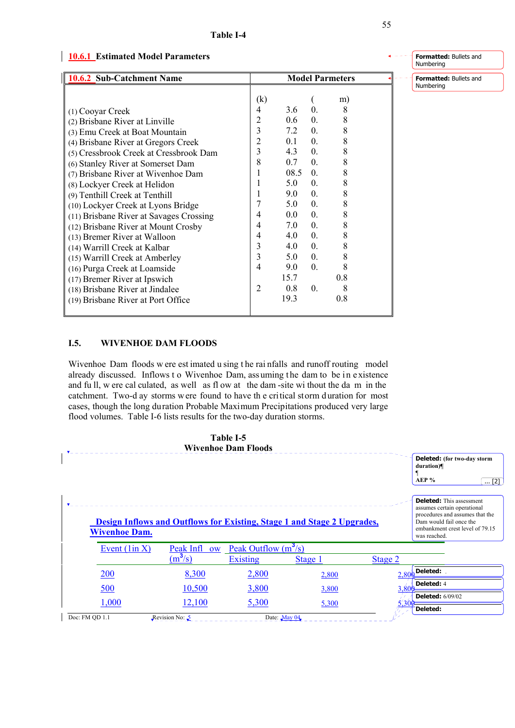| <b>10.6.1 Estimated Model Parameters</b>                                                                                                                                                                                                                                                                                                                                                                                                                                                                                                                                                                                                                                              |                                                                      |                                                                                                                                          |                                                                                                                                                                                                                                                                                      |                                                                                                       | <b>Formatted:</b> Bullets and<br>Numbering |
|---------------------------------------------------------------------------------------------------------------------------------------------------------------------------------------------------------------------------------------------------------------------------------------------------------------------------------------------------------------------------------------------------------------------------------------------------------------------------------------------------------------------------------------------------------------------------------------------------------------------------------------------------------------------------------------|----------------------------------------------------------------------|------------------------------------------------------------------------------------------------------------------------------------------|--------------------------------------------------------------------------------------------------------------------------------------------------------------------------------------------------------------------------------------------------------------------------------------|-------------------------------------------------------------------------------------------------------|--------------------------------------------|
| 10.6.2 Sub-Catchment Name                                                                                                                                                                                                                                                                                                                                                                                                                                                                                                                                                                                                                                                             | <b>Model Parmeters</b>                                               |                                                                                                                                          |                                                                                                                                                                                                                                                                                      | <b>Formatted: Bullets and</b>                                                                         |                                            |
| (1) Cooyar Creek<br>(2) Brisbane River at Linville<br>(3) Emu Creek at Boat Mountain<br>(4) Brisbane River at Gregors Creek<br>(5) Cressbrook Creek at Cressbrook Dam<br>(6) Stanley River at Somerset Dam<br>(7) Brisbane River at Wivenhoe Dam<br>(8) Lockyer Creek at Helidon<br>(9) Tenthill Creek at Tenthill<br>(10) Lockyer Creek at Lyons Bridge<br>(11) Brisbane River at Savages Crossing<br>(12) Brisbane River at Mount Crosby<br>(13) Bremer River at Walloon<br>(14) Warrill Creek at Kalbar<br>(15) Warrill Creek at Amberley<br>(16) Purga Creek at Loamside<br>(17) Bremer River at Ipswich<br>(18) Brisbane River at Jindalee<br>(19) Brisbane River at Port Office | (k)<br>4<br>2<br>3<br>2<br>3<br>8<br>4<br>4<br>4<br>3<br>3<br>4<br>2 | 3.6<br>0.6<br>7.2<br>0.1<br>4.3<br>0.7<br>08.5<br>5.0<br>9.0<br>5.0<br>$0.0\,$<br>7.0<br>4.0<br>4.0<br>5.0<br>9.0<br>15.7<br>0.8<br>19.3 | $\overline{0}$ .<br>$\theta$ .<br>$\overline{0}$ .<br>$\theta$ .<br>$\theta$ .<br>$\theta$ .<br>$\overline{0}$ .<br>$\theta$ .<br>$\overline{0}$ .<br>$\theta$ .<br>$\theta$ .<br>$\theta$ .<br>$\overline{0}$ .<br>$\Omega$ .<br>$\overline{0}$ .<br>$\overline{0}$ .<br>$\Omega$ . | m)<br>8<br>8<br>8<br>8<br>8<br>8<br>8<br>8<br>8<br>8<br>8<br>8<br>8<br>8<br>8<br>8<br>0.8<br>8<br>0.8 | Numbering                                  |
|                                                                                                                                                                                                                                                                                                                                                                                                                                                                                                                                                                                                                                                                                       |                                                                      |                                                                                                                                          |                                                                                                                                                                                                                                                                                      |                                                                                                       |                                            |

# **10.6.1 Estimated Model Parameters**

# **I.5. WIVENHOE DAM FLOODS**

Wivenhoe Dam floods w ere est imated u sing the rai nfalls and runoff routing model already discussed. Inflows to Wivenhoe Dam, assuming the dam to be in existence and fu ll, w ere cal culated, as well as fl ow at the dam -site wi thout the da m in the catchment. Two-d ay storms were found to have th e critical storm duration for most cases, though the long duration Probable Maximum Precipitations produced very large flood volumes. Table I-6 lists results for the two-day duration storms.

<span id="page-63-0"></span>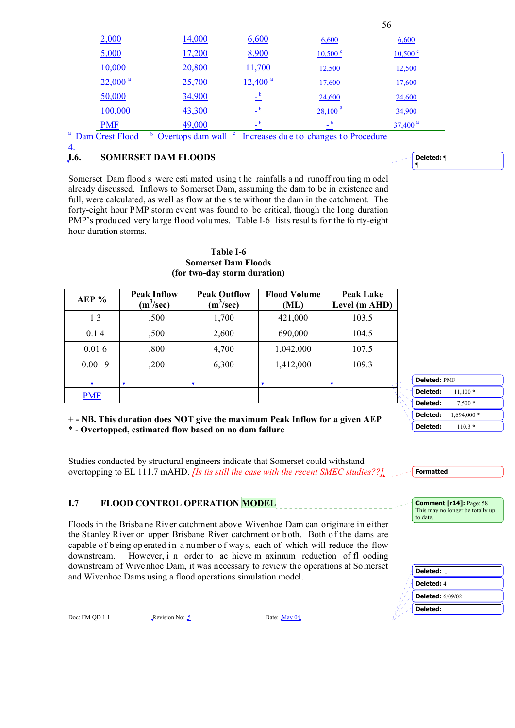|                                 |                                |                  |                                       | 56               |
|---------------------------------|--------------------------------|------------------|---------------------------------------|------------------|
| 2,000                           | 14,000                         | 6,600            | 6,600                                 | 6,600            |
| 5,000                           | 17,200                         | 8,900            | $10,500^{\circ}$                      | $10,500^{\circ}$ |
| 10,000                          | 20,800                         | 11,700           | 12,500                                | 12,500           |
| $22,000^{\circ}$                | 25,700                         | $12,400^{\circ}$ | 17,600                                | 17,600           |
| 50,000                          | 34,900                         | $-b$             | 24,600                                | 24,600           |
| 100,000                         | 43,300                         | $-$ <sub>b</sub> | $28,100^{a}$                          | 34,900           |
| <b>PMF</b>                      | 49,000                         |                  | b                                     | $37,400^{a}$     |
| Dam Crest Flood<br>$\mathbf{b}$ | Overtops dam wall <sup>c</sup> |                  | Increases due to changes to Procedure |                  |
| <u>4.</u>                       |                                |                  |                                       |                  |
| <b>J.6.</b>                     | <b>SOMERSET DAM FLOODS</b>     |                  |                                       | Deleted: 1       |

<span id="page-64-0"></span>Somerset Dam flood s were esti mated using t he rainfalls a nd runoff rou ting m odel already discussed. Inflows to Somerset Dam, assuming the dam to be in existence and full, were calculated, as well as flow at the site without the dam in the catchment. The forty-eight hour PMP storm event was found to be critical, though the long duration PMP's produced very large flood volumes. Table I-6 lists results for the fo rty-eight hour duration storms.

#### **Table I-6 Somerset Dam Floods (for two-day storm duration)**

| AEP %      | <b>Peak Inflow</b><br>$(m^3/sec)$ | <b>Peak Outflow</b><br>$(m^3/sec)$ | <b>Flood Volume</b><br>(ML) | Peak Lake<br>Level (m AHD) |
|------------|-----------------------------------|------------------------------------|-----------------------------|----------------------------|
| 13         | ,500                              | 1,700                              | 421,000                     | 103.5                      |
| 0.14       | ,500                              | 2,600                              | 690,000                     | 104.5                      |
| 0.016      | ,800                              | 4,700                              | 1,042,000                   | 107.5                      |
| 0.0019     | ,200                              | 6,300                              | 1,412,000                   | 109.3                      |
|            |                                   |                                    |                             |                            |
| <b>PMF</b> |                                   |                                    |                             |                            |

**+ - NB. This duration does NOT give the maximum Peak Inflow for a given AEP**  \* - **Overtopped, estimated flow based on no dam failure**

Studies conducted by structural engineers indicate that Somerset could withstand overtopping to EL 111.7 mAHD. *[Is tis still the case with the recent SMEC studies??]*

# **I.7 FLOOD CONTROL OPERATION MODEL**

<span id="page-64-1"></span>Floods in the Brisba ne River catchment above Wivenhoe Dam can originate in either the Stanley River or upper Brisbane River catchment or both. Both of the dams are capable o f b eing op erated in a nu mber o f way s, each of which will reduce the flow downstream. However, i n order to ac hieve m aximum reduction of fl ooding downstream of Wivenhoe Dam, it was necessary to review the operations at Somerset and Wivenhoe Dams using a flood operations simulation model.





 $\vert$  ¶

**Comment [r14]:** Page: 58 This may no longer be totally up to date.

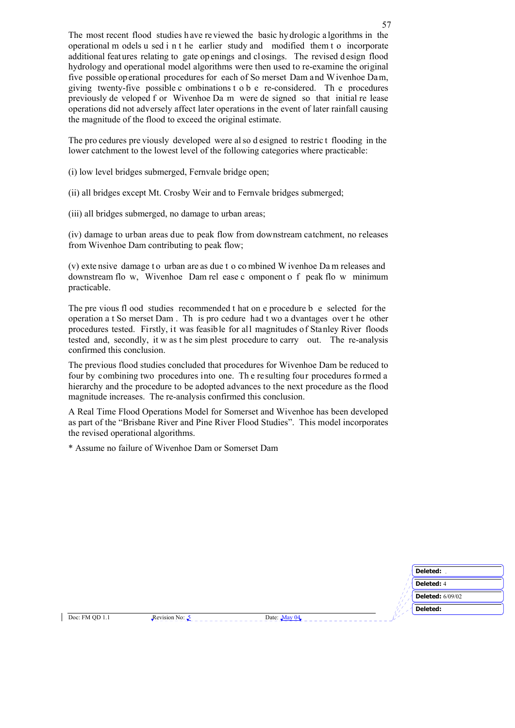The most recent flood studies h ave re viewed the basic hy drologic a lgorithms in the operational m odels u sed i n t he earlier study and modified them t o incorporate additional features relating to gate op enings and closings. The revised d esign flood hydrology and operational model algorithms were then used to re-examine the original five possible op erational procedures for each of So merset Dam and Wivenhoe Dam, giving twenty-five possible c ombinations t o b e re-considered. Th e procedures previously de veloped f or Wivenhoe Da m were de signed so that initial re lease operations did not adversely affect later operations in the event of later rainfall causing the magnitude of the flood to exceed the original estimate.

The pro cedures pre viously developed were al so d esigned to restric t flooding in the lower catchment to the lowest level of the following categories where practicable:

(i) low level bridges submerged, Fernvale bridge open;

(ii) all bridges except Mt. Crosby Weir and to Fernvale bridges submerged;

(iii) all bridges submerged, no damage to urban areas;

(iv) damage to urban areas due to peak flow from downstream catchment, no releases from Wivenhoe Dam contributing to peak flow;

(v) exte nsive damage t o urban are as due t o co mbined W ivenhoe Da m releases and downstream flo w, Wivenhoe Dam rel ease c omponent o f peak flo w minimum practicable.

The pre vious fl ood studies recommended t hat on e procedure b e selected for the operation a t So merset Dam . Th is pro cedure had t wo a dvantages over t he other procedures tested. Firstly, it was feasible for all magnitudes of Stanley River floods tested and, secondly, it w as t he sim plest procedure to carry out. The re-analysis confirmed this conclusion.

The previous flood studies concluded that procedures for Wivenhoe Dam be reduced to four by combining two procedures into one. Th e resulting four procedures formed a hierarchy and the procedure to be adopted advances to the next procedure as the flood magnitude increases. The re-analysis confirmed this conclusion.

A Real Time Flood Operations Model for Somerset and Wivenhoe has been developed as part of the "Brisbane River and Pine River Flood Studies". This model incorporates the revised operational algorithms.

\* Assume no failure of Wivenhoe Dam or Somerset Dam

**Deleted: Deleted:** 4 **Deleted:** 6/09/02 **Deleted:** 

Doc: FM QD 1.1 Revision No: 5 Date: May 04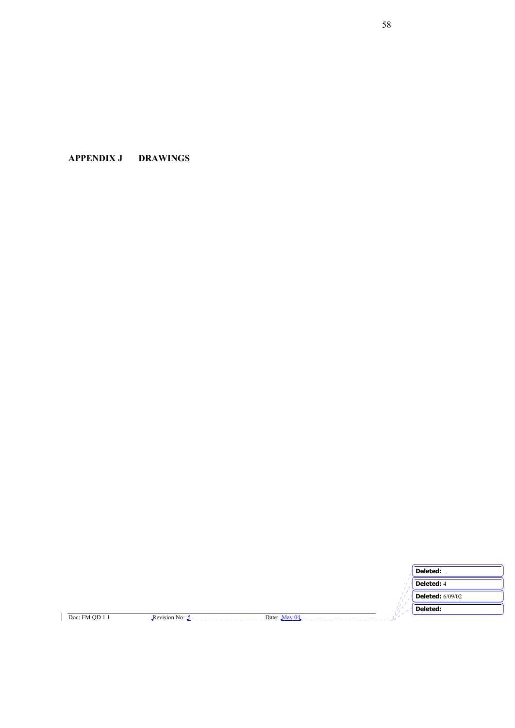<span id="page-66-0"></span>**APPENDIX J DRAWINGS** 

**Deleted: Deleted:** 4 **Deleted:** 6/09/02 **Deleted:** 

Doc: FM QD 1.1 Revision No: 5 Date: May 04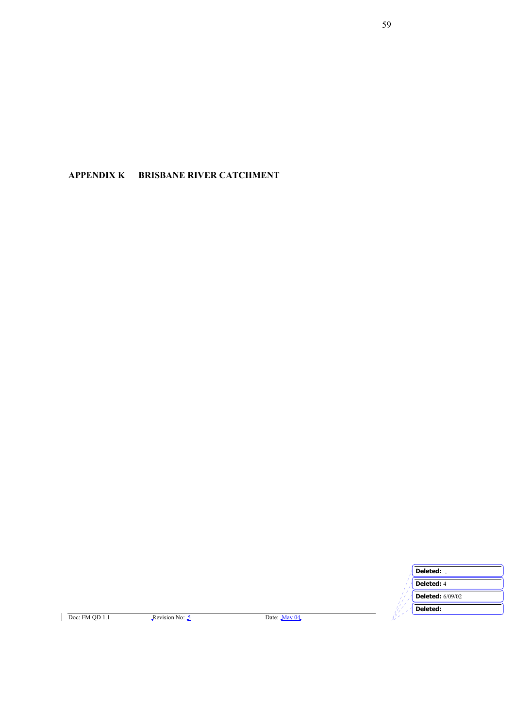<span id="page-67-0"></span>**APPENDIX K BRISBANE RIVER CATCHMENT** 

**Deleted: Deleted:** 4 **Deleted:** 6/09/02 **Deleted:** 

Doc: FM QD 1.1 Revision No: 5 Date: May 04

59